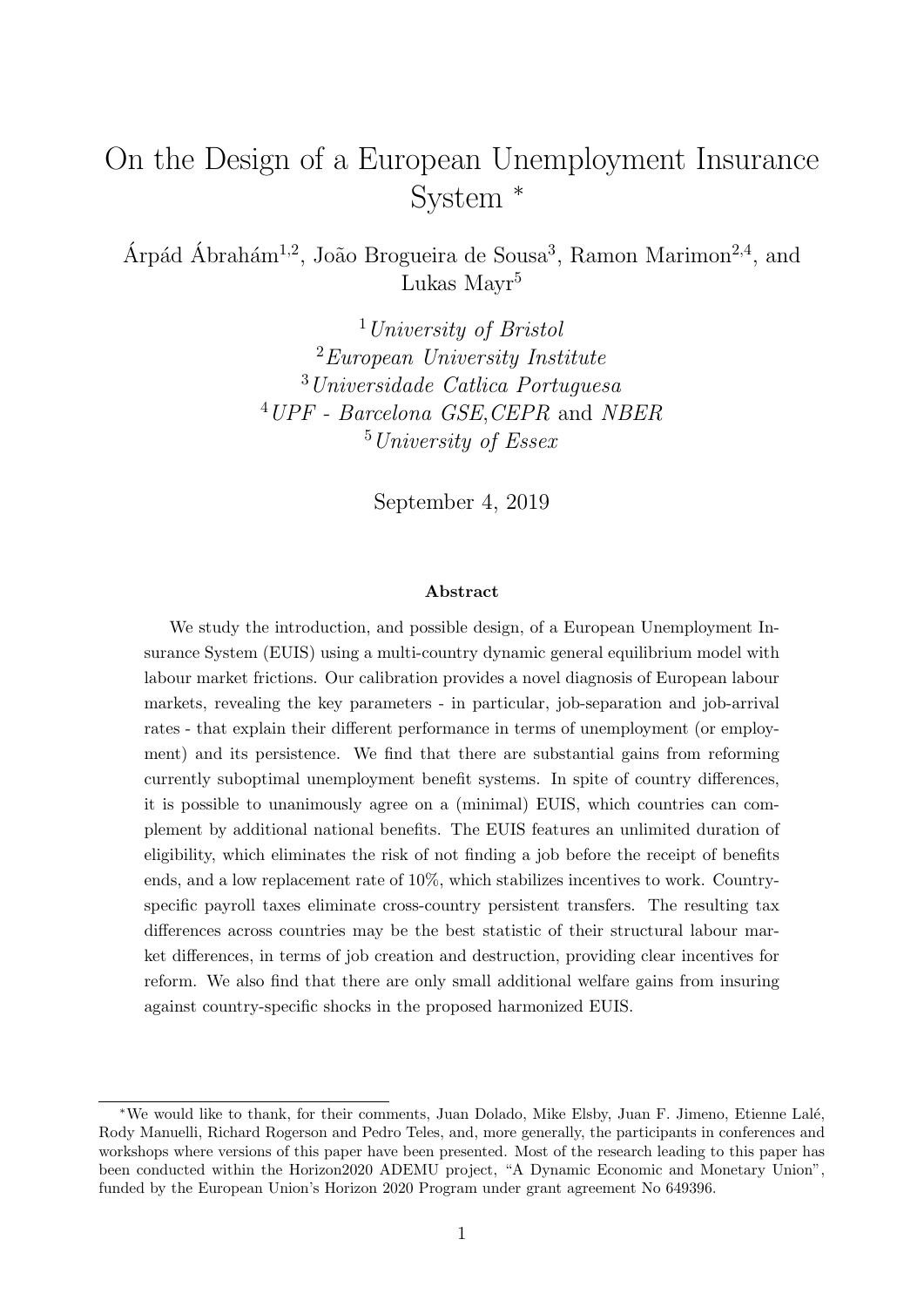# <span id="page-0-0"></span>On the Design of a European Unemployment Insurance System <sup>∗</sup>

Árpád Ábrahám<sup>1,2</sup>, João Brogueira de Sousa<sup>3</sup>, Ramon Marimon<sup>2,4</sup>, and Lukas Mayr<sup>5</sup>

> University of Bristol European University Institute Universidade Catlica Portuguesa UPF - Barcelona GSE,CEPR and NBER University of Essex

> > September 4, 2019

#### Abstract

We study the introduction, and possible design, of a European Unemployment Insurance System (EUIS) using a multi-country dynamic general equilibrium model with labour market frictions. Our calibration provides a novel diagnosis of European labour markets, revealing the key parameters - in particular, job-separation and job-arrival rates - that explain their different performance in terms of unemployment (or employment) and its persistence. We find that there are substantial gains from reforming currently suboptimal unemployment benefit systems. In spite of country differences, it is possible to unanimously agree on a (minimal) EUIS, which countries can complement by additional national benefits. The EUIS features an unlimited duration of eligibility, which eliminates the risk of not finding a job before the receipt of benefits ends, and a low replacement rate of 10%, which stabilizes incentives to work. Countryspecific payroll taxes eliminate cross-country persistent transfers. The resulting tax differences across countries may be the best statistic of their structural labour market differences, in terms of job creation and destruction, providing clear incentives for reform. We also find that there are only small additional welfare gains from insuring against country-specific shocks in the proposed harmonized EUIS.

<sup>∗</sup>We would like to thank, for their comments, Juan Dolado, Mike Elsby, Juan F. Jimeno, Etienne Lal´e, Rody Manuelli, Richard Rogerson and Pedro Teles, and, more generally, the participants in conferences and workshops where versions of this paper have been presented. Most of the research leading to this paper has been conducted within the Horizon2020 ADEMU project, "A Dynamic Economic and Monetary Union", funded by the European Union's Horizon 2020 Program under grant agreement No 649396.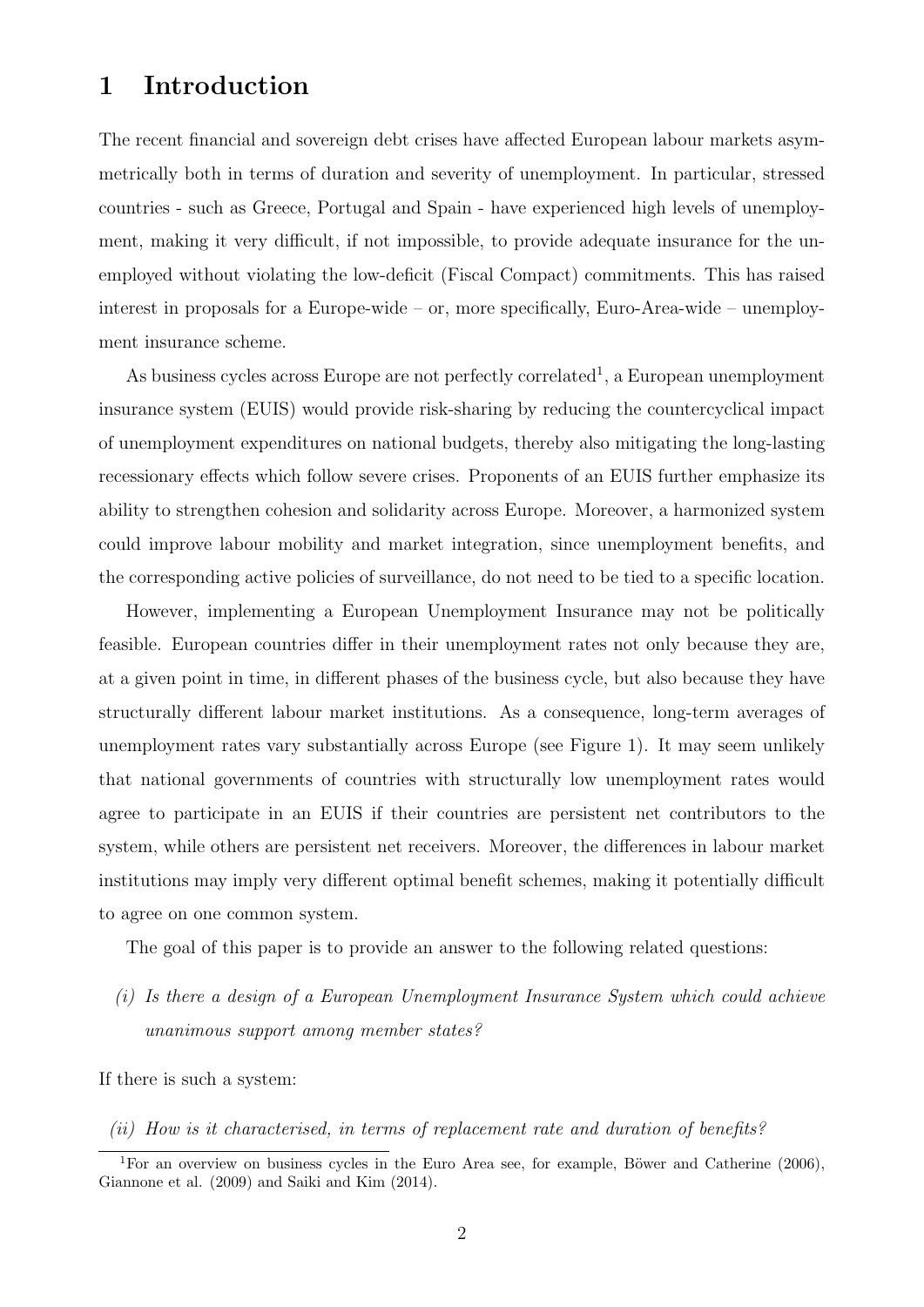# 1 Introduction

The recent financial and sovereign debt crises have affected European labour markets asymmetrically both in terms of duration and severity of unemployment. In particular, stressed countries - such as Greece, Portugal and Spain - have experienced high levels of unemployment, making it very difficult, if not impossible, to provide adequate insurance for the unemployed without violating the low-deficit (Fiscal Compact) commitments. This has raised interest in proposals for a Europe-wide – or, more specifically, Euro-Area-wide – unemployment insurance scheme.

As business cycles across Europe are not perfectly correlated<sup>[1](#page-0-0)</sup>, a European unemployment insurance system (EUIS) would provide risk-sharing by reducing the countercyclical impact of unemployment expenditures on national budgets, thereby also mitigating the long-lasting recessionary effects which follow severe crises. Proponents of an EUIS further emphasize its ability to strengthen cohesion and solidarity across Europe. Moreover, a harmonized system could improve labour mobility and market integration, since unemployment benefits, and the corresponding active policies of surveillance, do not need to be tied to a specific location.

However, implementing a European Unemployment Insurance may not be politically feasible. European countries differ in their unemployment rates not only because they are, at a given point in time, in different phases of the business cycle, but also because they have structurally different labour market institutions. As a consequence, long-term averages of unemployment rates vary substantially across Europe (see Figure [1\)](#page-2-0). It may seem unlikely that national governments of countries with structurally low unemployment rates would agree to participate in an EUIS if their countries are persistent net contributors to the system, while others are persistent net receivers. Moreover, the differences in labour market institutions may imply very different optimal benefit schemes, making it potentially difficult to agree on one common system.

The goal of this paper is to provide an answer to the following related questions:

(i) Is there a design of a European Unemployment Insurance System which could achieve unanimous support among member states?

If there is such a system:

(ii) How is it characterised, in terms of replacement rate and duration of benefits?

<sup>&</sup>lt;sup>1</sup>For an overview on business cycles in the Euro Area see, for example, Böwer and Catherine  $(2006)$ , [Giannone et al. \(2009\)](#page-48-0) and [Saiki and Kim \(2014\)](#page-48-1).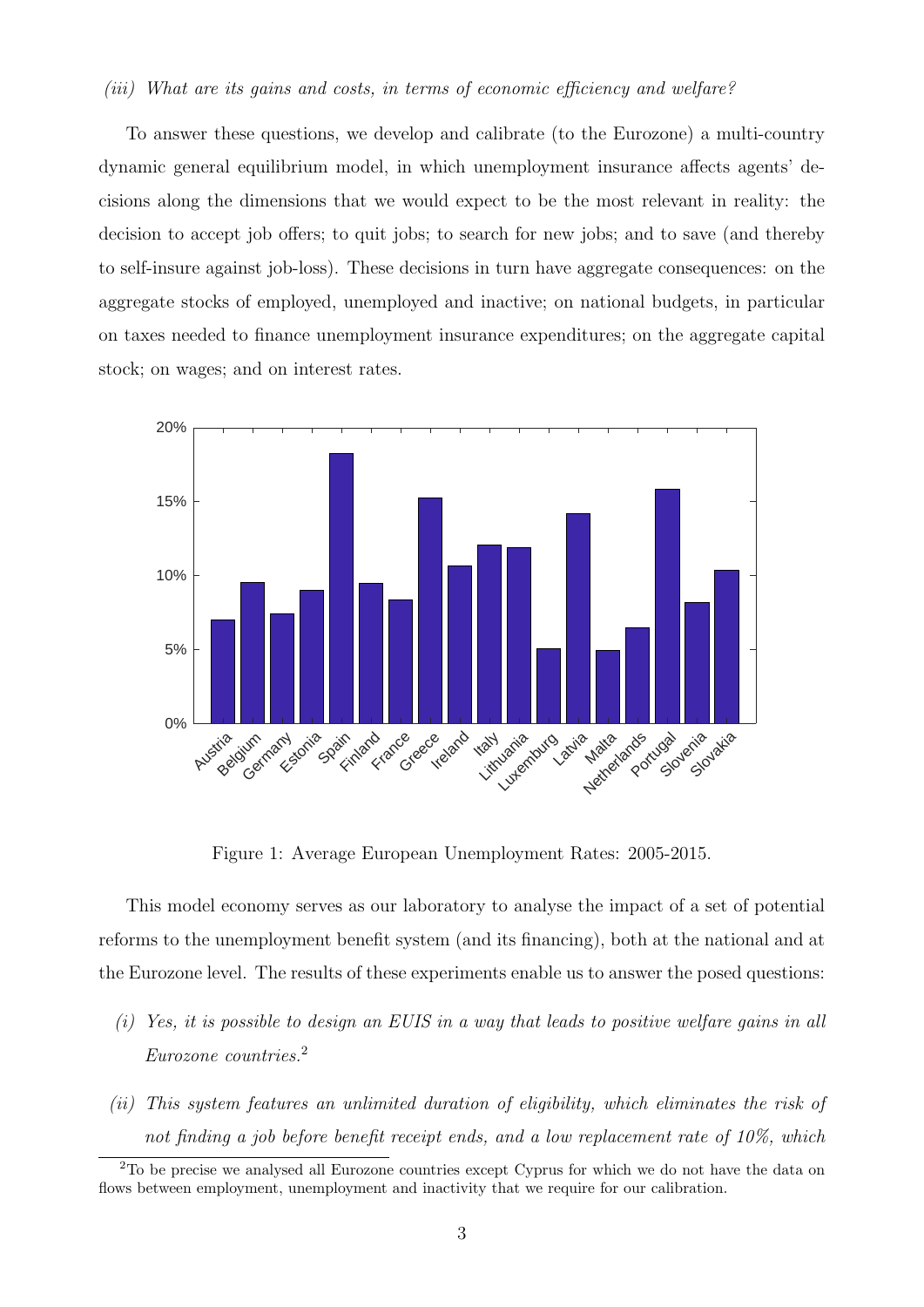#### (iii) What are its gains and costs, in terms of economic efficiency and welfare?

To answer these questions, we develop and calibrate (to the Eurozone) a multi-country dynamic general equilibrium model, in which unemployment insurance affects agents' decisions along the dimensions that we would expect to be the most relevant in reality: the decision to accept job offers; to quit jobs; to search for new jobs; and to save (and thereby to self-insure against job-loss). These decisions in turn have aggregate consequences: on the aggregate stocks of employed, unemployed and inactive; on national budgets, in particular on taxes needed to finance unemployment insurance expenditures; on the aggregate capital stock; on wages; and on interest rates.



<span id="page-2-0"></span>Figure 1: Average European Unemployment Rates: 2005-2015.

This model economy serves as our laboratory to analyse the impact of a set of potential reforms to the unemployment benefit system (and its financing), both at the national and at the Eurozone level. The results of these experiments enable us to answer the posed questions:

- (i) Yes, it is possible to design an EUIS in a way that leads to positive welfare gains in all Eurozone countries.[2](#page-0-0)
- (ii) This system features an unlimited duration of eligibility, which eliminates the risk of not finding a job before benefit receipt ends, and a low replacement rate of 10%, which

<sup>&</sup>lt;sup>2</sup>To be precise we analysed all Eurozone countries except Cyprus for which we do not have the data on flows between employment, unemployment and inactivity that we require for our calibration.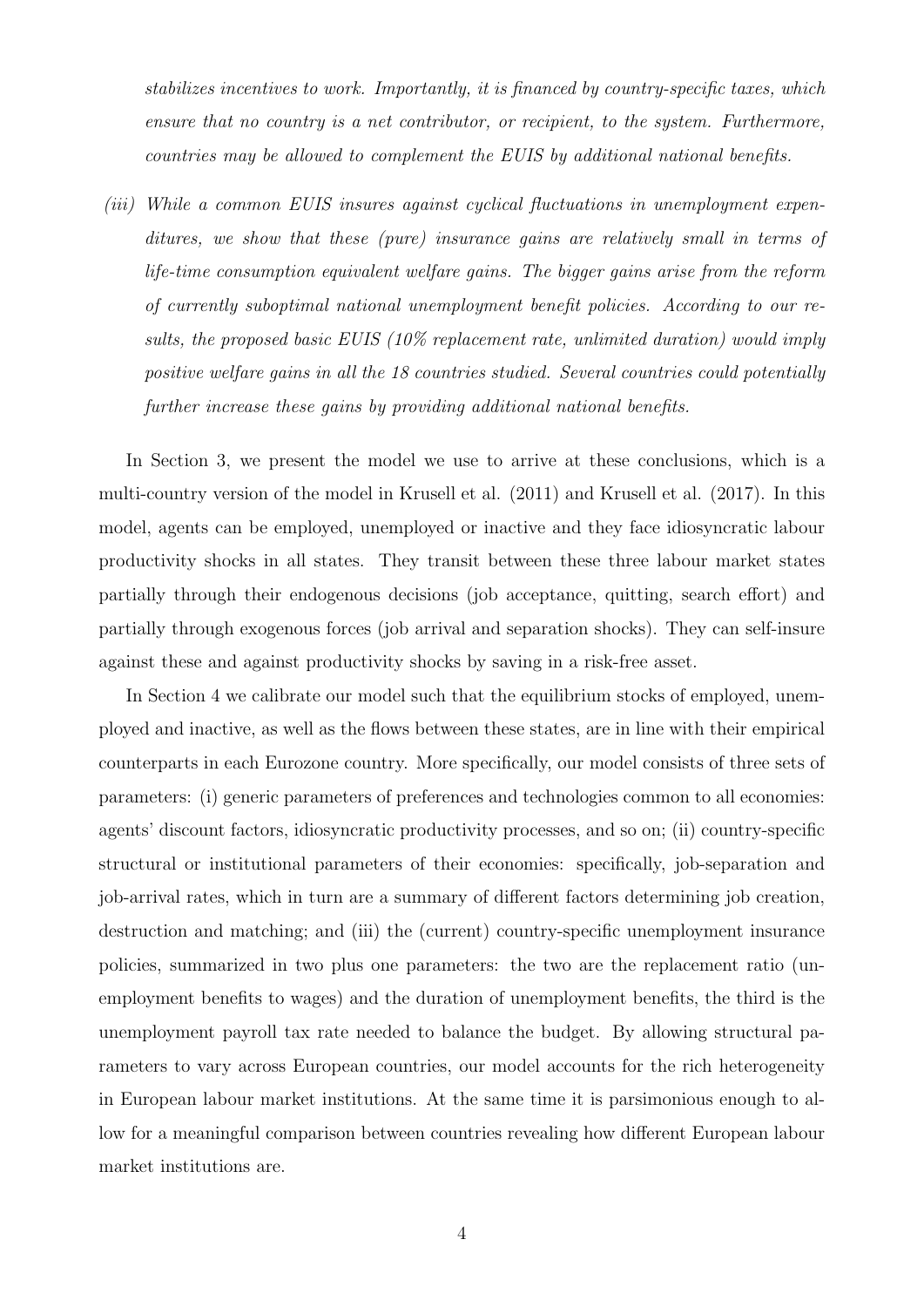stabilizes incentives to work. Importantly, it is financed by country-specific taxes, which ensure that no country is a net contributor, or recipient, to the system. Furthermore, countries may be allowed to complement the EUIS by additional national benefits.

(iii) While a common EUIS insures against cyclical fluctuations in unemployment expenditures, we show that these (pure) insurance gains are relatively small in terms of life-time consumption equivalent welfare gains. The bigger gains arise from the reform of currently suboptimal national unemployment benefit policies. According to our results, the proposed basic EUIS (10% replacement rate, unlimited duration) would imply positive welfare gains in all the 18 countries studied. Several countries could potentially further increase these gains by providing additional national benefits.

In Section [3,](#page-8-0) we present the model we use to arrive at these conclusions, which is a multi-country version of the model in [Krusell et al. \(2011\)](#page-48-2) and [Krusell et al. \(2017\)](#page-48-3). In this model, agents can be employed, unemployed or inactive and they face idiosyncratic labour productivity shocks in all states. They transit between these three labour market states partially through their endogenous decisions (job acceptance, quitting, search effort) and partially through exogenous forces (job arrival and separation shocks). They can self-insure against these and against productivity shocks by saving in a risk-free asset.

In Section [4](#page-15-0) we calibrate our model such that the equilibrium stocks of employed, unemployed and inactive, as well as the flows between these states, are in line with their empirical counterparts in each Eurozone country. More specifically, our model consists of three sets of parameters: (i) generic parameters of preferences and technologies common to all economies: agents' discount factors, idiosyncratic productivity processes, and so on; (ii) country-specific structural or institutional parameters of their economies: specifically, job-separation and job-arrival rates, which in turn are a summary of different factors determining job creation, destruction and matching; and (iii) the (current) country-specific unemployment insurance policies, summarized in two plus one parameters: the two are the replacement ratio (unemployment benefits to wages) and the duration of unemployment benefits, the third is the unemployment payroll tax rate needed to balance the budget. By allowing structural parameters to vary across European countries, our model accounts for the rich heterogeneity in European labour market institutions. At the same time it is parsimonious enough to allow for a meaningful comparison between countries revealing how different European labour market institutions are.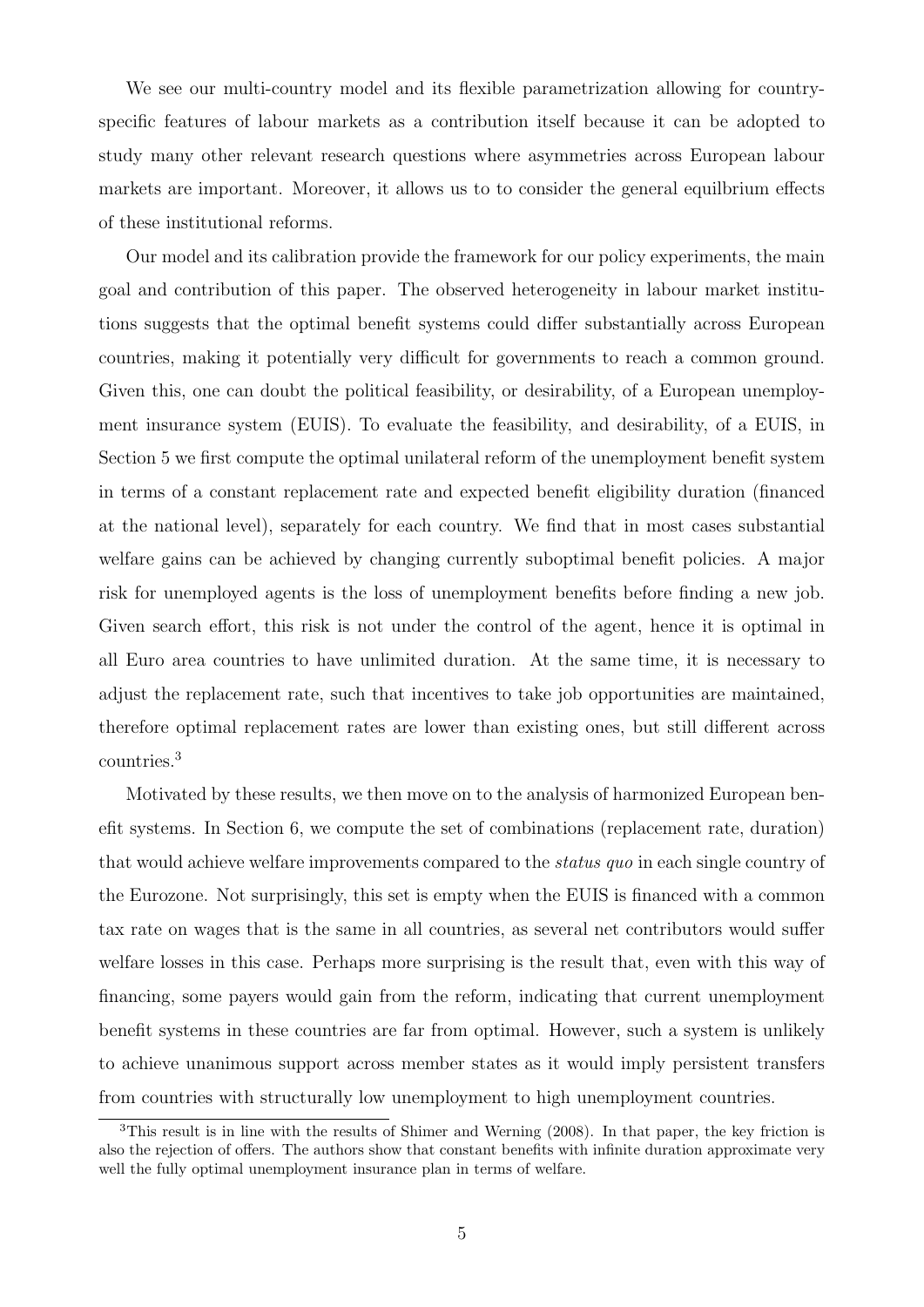We see our multi-country model and its flexible parametrization allowing for countryspecific features of labour markets as a contribution itself because it can be adopted to study many other relevant research questions where asymmetries across European labour markets are important. Moreover, it allows us to to consider the general equilbrium effects of these institutional reforms.

Our model and its calibration provide the framework for our policy experiments, the main goal and contribution of this paper. The observed heterogeneity in labour market institutions suggests that the optimal benefit systems could differ substantially across European countries, making it potentially very difficult for governments to reach a common ground. Given this, one can doubt the political feasibility, or desirability, of a European unemployment insurance system (EUIS). To evaluate the feasibility, and desirability, of a EUIS, in Section [5](#page-21-0) we first compute the optimal unilateral reform of the unemployment benefit system in terms of a constant replacement rate and expected benefit eligibility duration (financed at the national level), separately for each country. We find that in most cases substantial welfare gains can be achieved by changing currently suboptimal benefit policies. A major risk for unemployed agents is the loss of unemployment benefits before finding a new job. Given search effort, this risk is not under the control of the agent, hence it is optimal in all Euro area countries to have unlimited duration. At the same time, it is necessary to adjust the replacement rate, such that incentives to take job opportunities are maintained, therefore optimal replacement rates are lower than existing ones, but still different across countries.[3](#page-0-0)

Motivated by these results, we then move on to the analysis of harmonized European benefit systems. In Section [6,](#page-27-0) we compute the set of combinations (replacement rate, duration) that would achieve welfare improvements compared to the *status quo* in each single country of the Eurozone. Not surprisingly, this set is empty when the EUIS is financed with a common tax rate on wages that is the same in all countries, as several net contributors would suffer welfare losses in this case. Perhaps more surprising is the result that, even with this way of financing, some payers would gain from the reform, indicating that current unemployment benefit systems in these countries are far from optimal. However, such a system is unlikely to achieve unanimous support across member states as it would imply persistent transfers from countries with structurally low unemployment to high unemployment countries.

<sup>3</sup>This result is in line with the results of [Shimer and Werning \(2008\)](#page-48-4). In that paper, the key friction is also the rejection of offers. The authors show that constant benefits with infinite duration approximate very well the fully optimal unemployment insurance plan in terms of welfare.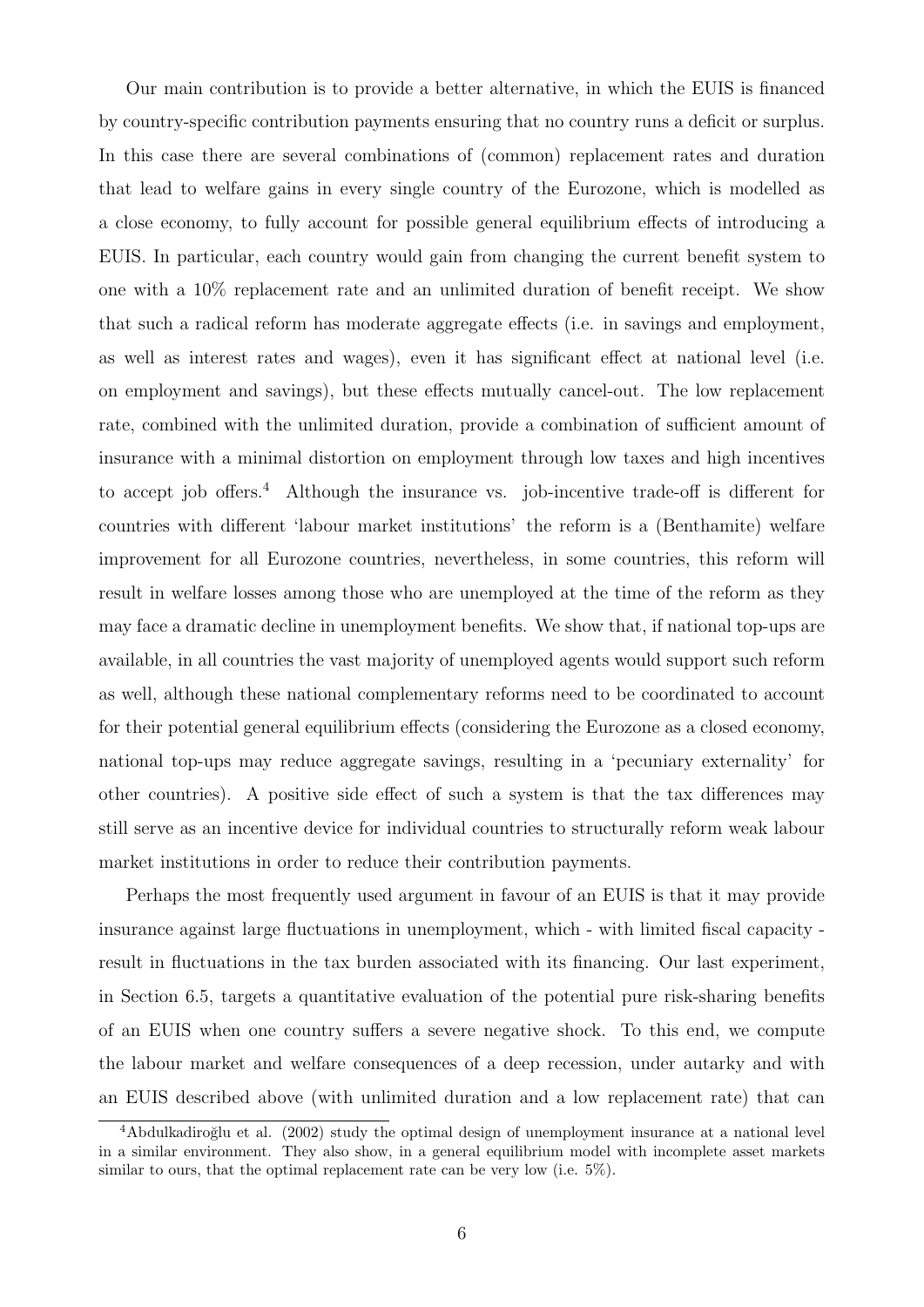Our main contribution is to provide a better alternative, in which the EUIS is financed by country-specific contribution payments ensuring that no country runs a deficit or surplus. In this case there are several combinations of (common) replacement rates and duration that lead to welfare gains in every single country of the Eurozone, which is modelled as a close economy, to fully account for possible general equilibrium effects of introducing a EUIS. In particular, each country would gain from changing the current benefit system to one with a 10% replacement rate and an unlimited duration of benefit receipt. We show that such a radical reform has moderate aggregate effects (i.e. in savings and employment, as well as interest rates and wages), even it has significant effect at national level (i.e. on employment and savings), but these effects mutually cancel-out. The low replacement rate, combined with the unlimited duration, provide a combination of sufficient amount of insurance with a minimal distortion on employment through low taxes and high incentives to accept job offers.<sup>[4](#page-0-0)</sup> Although the insurance vs. job-incentive trade-off is different for countries with different 'labour market institutions' the reform is a (Benthamite) welfare improvement for all Eurozone countries, nevertheless, in some countries, this reform will result in welfare losses among those who are unemployed at the time of the reform as they may face a dramatic decline in unemployment benefits. We show that, if national top-ups are available, in all countries the vast majority of unemployed agents would support such reform as well, although these national complementary reforms need to be coordinated to account for their potential general equilibrium effects (considering the Eurozone as a closed economy, national top-ups may reduce aggregate savings, resulting in a 'pecuniary externality' for other countries). A positive side effect of such a system is that the tax differences may still serve as an incentive device for individual countries to structurally reform weak labour market institutions in order to reduce their contribution payments.

Perhaps the most frequently used argument in favour of an EUIS is that it may provide insurance against large fluctuations in unemployment, which - with limited fiscal capacity result in fluctuations in the tax burden associated with its financing. Our last experiment, in Section [6.5,](#page-37-0) targets a quantitative evaluation of the potential pure risk-sharing benefits of an EUIS when one country suffers a severe negative shock. To this end, we compute the labour market and welfare consequences of a deep recession, under autarky and with an EUIS described above (with unlimited duration and a low replacement rate) that can

 $4A$ bdulkadiroğlu et al. (2002) study the optimal design of unemployment insurance at a national level in a similar environment. They also show, in a general equilibrium model with incomplete asset markets similar to ours, that the optimal replacement rate can be very low (i.e.  $5\%$ ).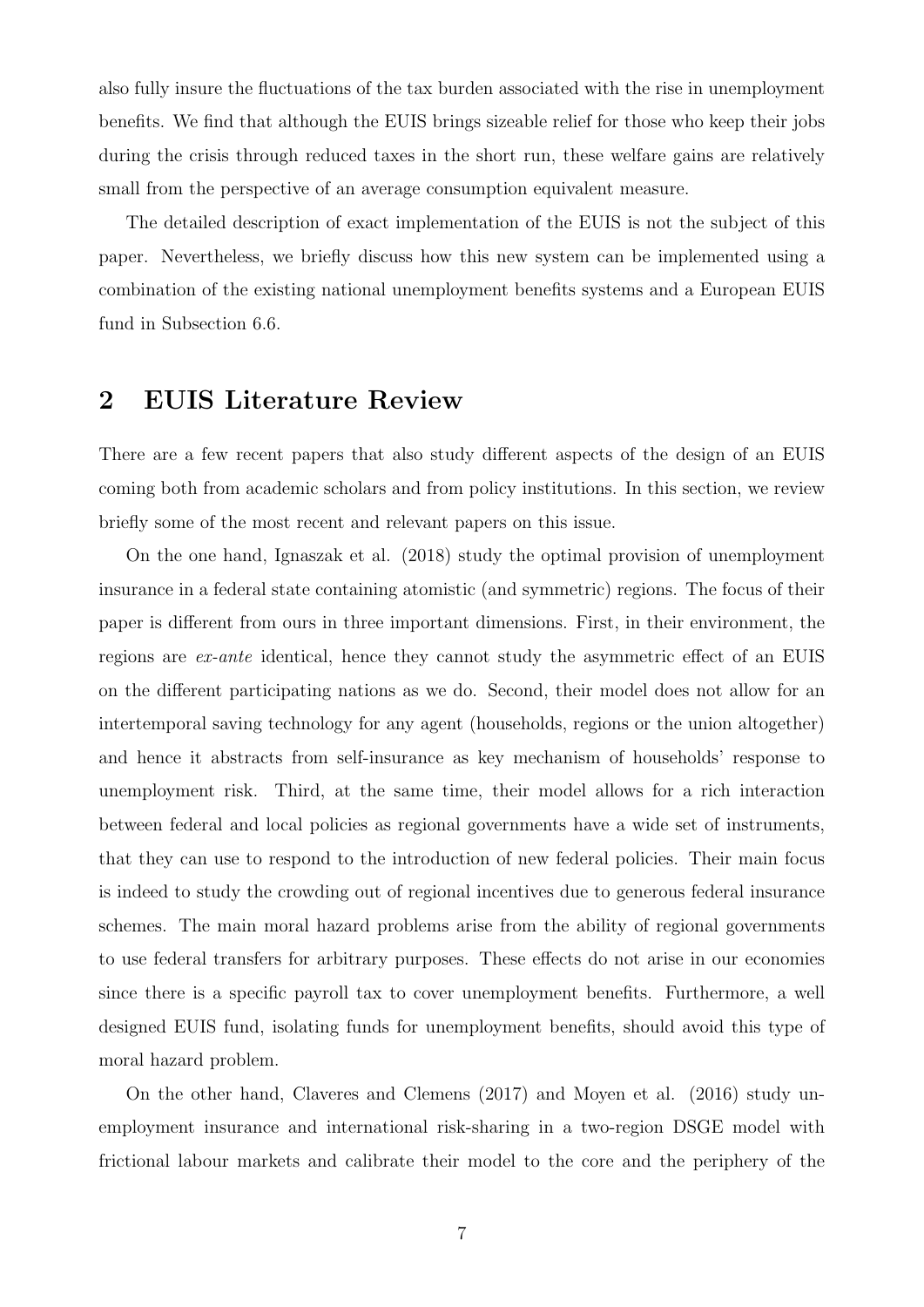also fully insure the fluctuations of the tax burden associated with the rise in unemployment benefits. We find that although the EUIS brings sizeable relief for those who keep their jobs during the crisis through reduced taxes in the short run, these welfare gains are relatively small from the perspective of an average consumption equivalent measure.

The detailed description of exact implementation of the EUIS is not the subject of this paper. Nevertheless, we briefly discuss how this new system can be implemented using a combination of the existing national unemployment benefits systems and a European EUIS fund in Subsection [6.6.](#page-43-0)

### <span id="page-6-0"></span>2 EUIS Literature Review

There are a few recent papers that also study different aspects of the design of an EUIS coming both from academic scholars and from policy institutions. In this section, we review briefly some of the most recent and relevant papers on this issue.

On the one hand, [Ignaszak et al. \(2018\)](#page-48-5) study the optimal provision of unemployment insurance in a federal state containing atomistic (and symmetric) regions. The focus of their paper is different from ours in three important dimensions. First, in their environment, the regions are ex-ante identical, hence they cannot study the asymmetric effect of an EUIS on the different participating nations as we do. Second, their model does not allow for an intertemporal saving technology for any agent (households, regions or the union altogether) and hence it abstracts from self-insurance as key mechanism of households' response to unemployment risk. Third, at the same time, their model allows for a rich interaction between federal and local policies as regional governments have a wide set of instruments, that they can use to respond to the introduction of new federal policies. Their main focus is indeed to study the crowding out of regional incentives due to generous federal insurance schemes. The main moral hazard problems arise from the ability of regional governments to use federal transfers for arbitrary purposes. These effects do not arise in our economies since there is a specific payroll tax to cover unemployment benefits. Furthermore, a well designed EUIS fund, isolating funds for unemployment benefits, should avoid this type of moral hazard problem.

On the other hand, [Claveres and Clemens \(2017\)](#page-47-2) and [Moyen et al. \(2016\)](#page-48-6) study unemployment insurance and international risk-sharing in a two-region DSGE model with frictional labour markets and calibrate their model to the core and the periphery of the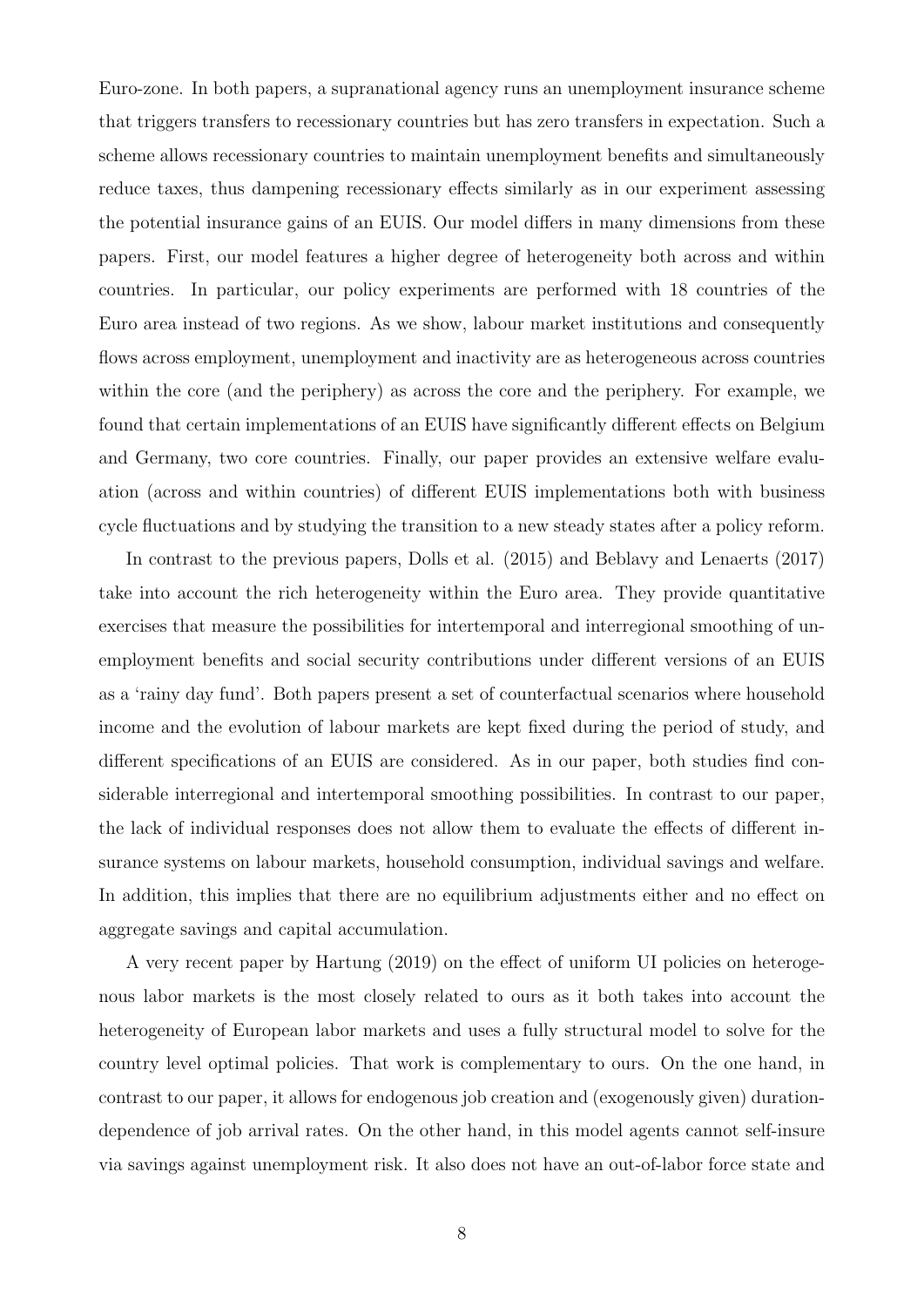Euro-zone. In both papers, a supranational agency runs an unemployment insurance scheme that triggers transfers to recessionary countries but has zero transfers in expectation. Such a scheme allows recessionary countries to maintain unemployment benefits and simultaneously reduce taxes, thus dampening recessionary effects similarly as in our experiment assessing the potential insurance gains of an EUIS. Our model differs in many dimensions from these papers. First, our model features a higher degree of heterogeneity both across and within countries. In particular, our policy experiments are performed with 18 countries of the Euro area instead of two regions. As we show, labour market institutions and consequently flows across employment, unemployment and inactivity are as heterogeneous across countries within the core (and the periphery) as across the core and the periphery. For example, we found that certain implementations of an EUIS have significantly different effects on Belgium and Germany, two core countries. Finally, our paper provides an extensive welfare evaluation (across and within countries) of different EUIS implementations both with business cycle fluctuations and by studying the transition to a new steady states after a policy reform.

In contrast to the previous papers, [Dolls et al. \(2015\)](#page-47-3) and [Beblavy and Lenaerts \(2017\)](#page-47-4) take into account the rich heterogeneity within the Euro area. They provide quantitative exercises that measure the possibilities for intertemporal and interregional smoothing of unemployment benefits and social security contributions under different versions of an EUIS as a 'rainy day fund'. Both papers present a set of counterfactual scenarios where household income and the evolution of labour markets are kept fixed during the period of study, and different specifications of an EUIS are considered. As in our paper, both studies find considerable interregional and intertemporal smoothing possibilities. In contrast to our paper, the lack of individual responses does not allow them to evaluate the effects of different insurance systems on labour markets, household consumption, individual savings and welfare. In addition, this implies that there are no equilibrium adjustments either and no effect on aggregate savings and capital accumulation.

A very recent paper by [Hartung \(2019\)](#page-48-7) on the effect of uniform UI policies on heterogenous labor markets is the most closely related to ours as it both takes into account the heterogeneity of European labor markets and uses a fully structural model to solve for the country level optimal policies. That work is complementary to ours. On the one hand, in contrast to our paper, it allows for endogenous job creation and (exogenously given) durationdependence of job arrival rates. On the other hand, in this model agents cannot self-insure via savings against unemployment risk. It also does not have an out-of-labor force state and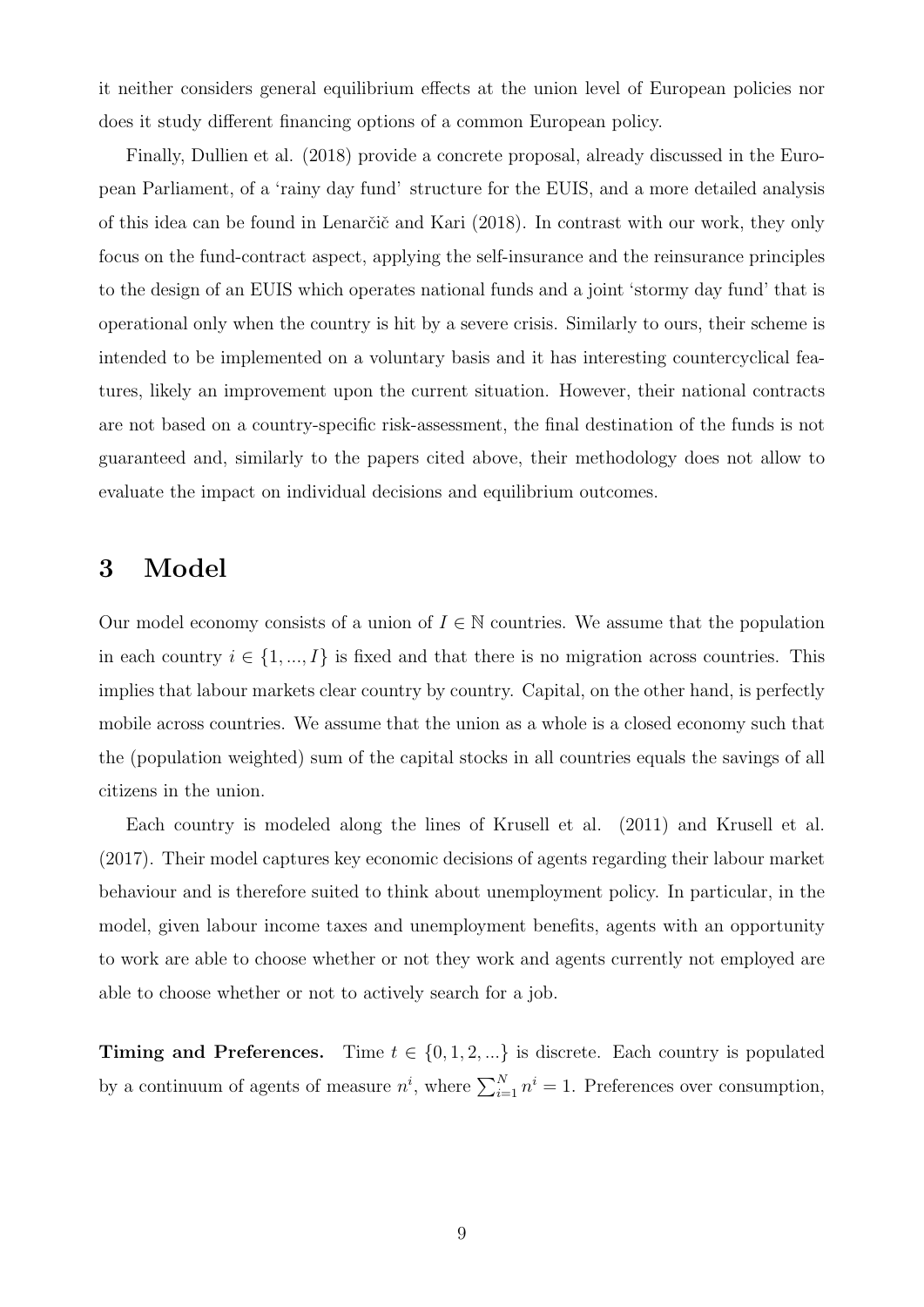it neither considers general equilibrium effects at the union level of European policies nor does it study different financing options of a common European policy.

Finally, [Dullien et al. \(2018\)](#page-47-5) provide a concrete proposal, already discussed in the European Parliament, of a 'rainy day fund' structure for the EUIS, and a more detailed analysis of this idea can be found in Lenarčič and Kari (2018). In contrast with our work, they only focus on the fund-contract aspect, applying the self-insurance and the reinsurance principles to the design of an EUIS which operates national funds and a joint 'stormy day fund' that is operational only when the country is hit by a severe crisis. Similarly to ours, their scheme is intended to be implemented on a voluntary basis and it has interesting countercyclical features, likely an improvement upon the current situation. However, their national contracts are not based on a country-specific risk-assessment, the final destination of the funds is not guaranteed and, similarly to the papers cited above, their methodology does not allow to evaluate the impact on individual decisions and equilibrium outcomes.

### <span id="page-8-0"></span>3 Model

Our model economy consists of a union of  $I \in \mathbb{N}$  countries. We assume that the population in each country  $i \in \{1, ..., I\}$  is fixed and that there is no migration across countries. This implies that labour markets clear country by country. Capital, on the other hand, is perfectly mobile across countries. We assume that the union as a whole is a closed economy such that the (population weighted) sum of the capital stocks in all countries equals the savings of all citizens in the union.

Each country is modeled along the lines of [Krusell et al. \(2011\)](#page-48-2) and [Krusell et al.](#page-48-3) [\(2017\)](#page-48-3). Their model captures key economic decisions of agents regarding their labour market behaviour and is therefore suited to think about unemployment policy. In particular, in the model, given labour income taxes and unemployment benefits, agents with an opportunity to work are able to choose whether or not they work and agents currently not employed are able to choose whether or not to actively search for a job.

**Timing and Preferences.** Time  $t \in \{0, 1, 2, ...\}$  is discrete. Each country is populated by a continuum of agents of measure  $n^i$ , where  $\sum_{i=1}^{N} n^i = 1$ . Preferences over consumption,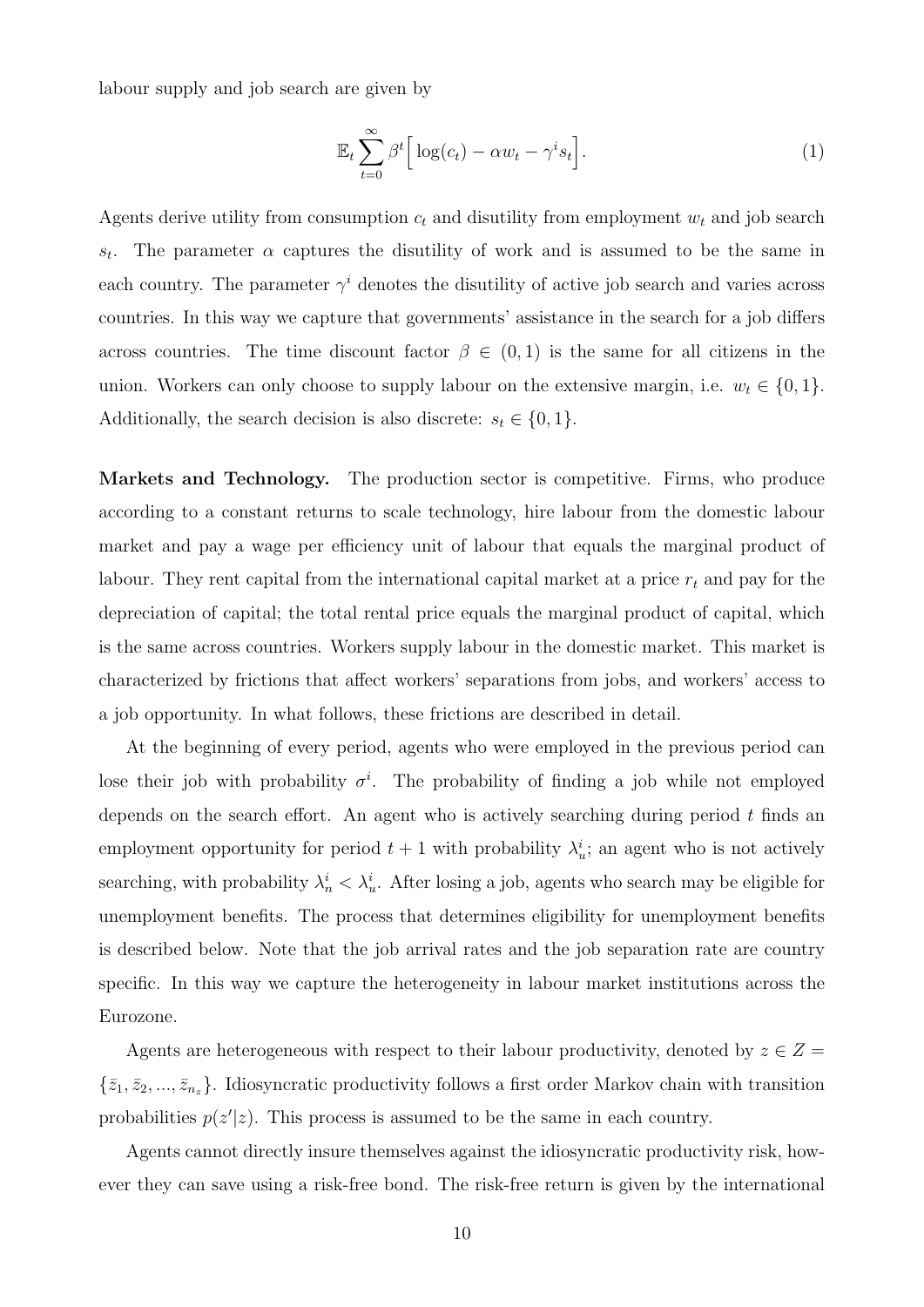labour supply and job search are given by

$$
\mathbb{E}_t \sum_{t=0}^{\infty} \beta^t \Big[ \log(c_t) - \alpha w_t - \gamma^i s_t \Big]. \tag{1}
$$

Agents derive utility from consumption  $c_t$  and disutility from employment  $w_t$  and job search  $S_t$ . The parameter  $\alpha$  captures the disutility of work and is assumed to be the same in each country. The parameter  $\gamma^{i}$  denotes the disutility of active job search and varies across countries. In this way we capture that governments' assistance in the search for a job differs across countries. The time discount factor  $\beta \in (0,1)$  is the same for all citizens in the union. Workers can only choose to supply labour on the extensive margin, i.e.  $w_t \in \{0, 1\}$ . Additionally, the search decision is also discrete:  $s_t \in \{0, 1\}$ .

Markets and Technology. The production sector is competitive. Firms, who produce according to a constant returns to scale technology, hire labour from the domestic labour market and pay a wage per efficiency unit of labour that equals the marginal product of labour. They rent capital from the international capital market at a price  $r_t$  and pay for the depreciation of capital; the total rental price equals the marginal product of capital, which is the same across countries. Workers supply labour in the domestic market. This market is characterized by frictions that affect workers' separations from jobs, and workers' access to a job opportunity. In what follows, these frictions are described in detail.

At the beginning of every period, agents who were employed in the previous period can lose their job with probability  $\sigma^i$ . The probability of finding a job while not employed depends on the search effort. An agent who is actively searching during period  $t$  finds an employment opportunity for period  $t+1$  with probability  $\lambda_u^i$ ; an agent who is not actively searching, with probability  $\lambda_n^i < \lambda_u^i$ . After losing a job, agents who search may be eligible for unemployment benefits. The process that determines eligibility for unemployment benefits is described below. Note that the job arrival rates and the job separation rate are country specific. In this way we capture the heterogeneity in labour market institutions across the Eurozone.

Agents are heterogeneous with respect to their labour productivity, denoted by  $z \in Z =$  $\{\bar{z}_1, \bar{z}_2, ..., \bar{z}_{n_z}\}.$  Idiosyncratic productivity follows a first order Markov chain with transition probabilities  $p(z'|z)$ . This process is assumed to be the same in each country.

Agents cannot directly insure themselves against the idiosyncratic productivity risk, however they can save using a risk-free bond. The risk-free return is given by the international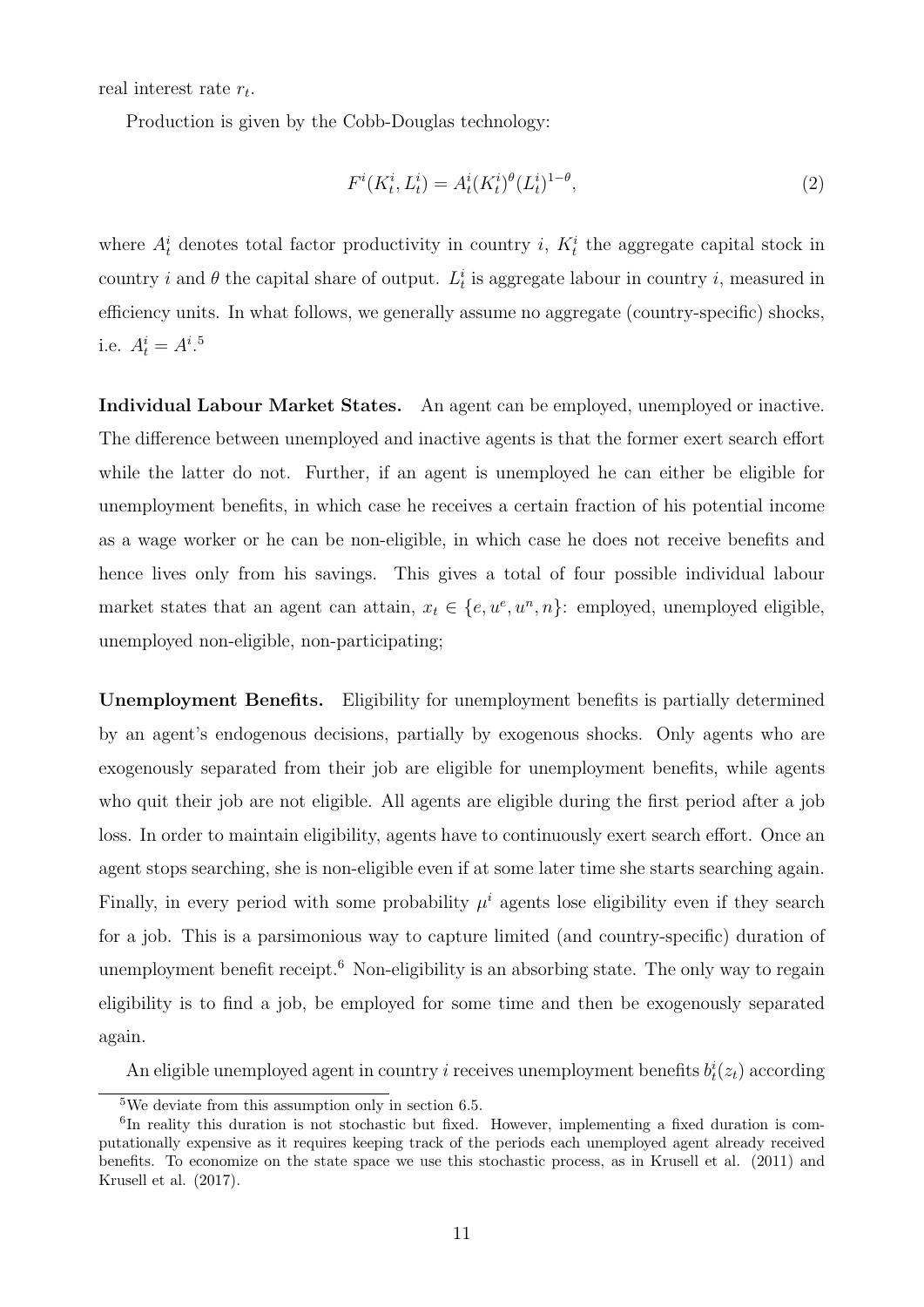real interest rate  $r_t$ .

Production is given by the Cobb-Douglas technology:

$$
F^{i}(K_t^{i}, L_t^{i}) = A_t^{i}(K_t^{i})^{\theta}(L_t^{i})^{1-\theta},
$$
\n(2)

where  $A_t^i$  denotes total factor productivity in country *i*,  $K_t^i$  the aggregate capital stock in country *i* and  $\theta$  the capital share of output.  $L_t^i$  is aggregate labour in country *i*, measured in efficiency units. In what follows, we generally assume no aggregate (country-specific) shocks, i.e.  $A_t^i = A_t^{i.5}$  $A_t^i = A_t^{i.5}$  $A_t^i = A_t^{i.5}$ 

Individual Labour Market States. An agent can be employed, unemployed or inactive. The difference between unemployed and inactive agents is that the former exert search effort while the latter do not. Further, if an agent is unemployed he can either be eligible for unemployment benefits, in which case he receives a certain fraction of his potential income as a wage worker or he can be non-eligible, in which case he does not receive benefits and hence lives only from his savings. This gives a total of four possible individual labour market states that an agent can attain,  $x_t \in \{e, u^e, u^n, n\}$ : employed, unemployed eligible, unemployed non-eligible, non-participating;

Unemployment Benefits. Eligibility for unemployment benefits is partially determined by an agent's endogenous decisions, partially by exogenous shocks. Only agents who are exogenously separated from their job are eligible for unemployment benefits, while agents who quit their job are not eligible. All agents are eligible during the first period after a job loss. In order to maintain eligibility, agents have to continuously exert search effort. Once an agent stops searching, she is non-eligible even if at some later time she starts searching again. Finally, in every period with some probability  $\mu^{i}$  agents lose eligibility even if they search for a job. This is a parsimonious way to capture limited (and country-specific) duration of unemployment benefit receipt.<sup>[6](#page-0-0)</sup> Non-eligibility is an absorbing state. The only way to regain eligibility is to find a job, be employed for some time and then be exogenously separated again.

An eligible unemployed agent in country *i* receives unemployment benefits  $b_t^i(z_t)$  according

 $5$ We deviate from this assumption only in section [6.5.](#page-37-0)

<sup>&</sup>lt;sup>6</sup>In reality this duration is not stochastic but fixed. However, implementing a fixed duration is computationally expensive as it requires keeping track of the periods each unemployed agent already received benefits. To economize on the state space we use this stochastic process, as in [Krusell et al. \(2011\)](#page-48-2) and [Krusell et al. \(2017\)](#page-48-3).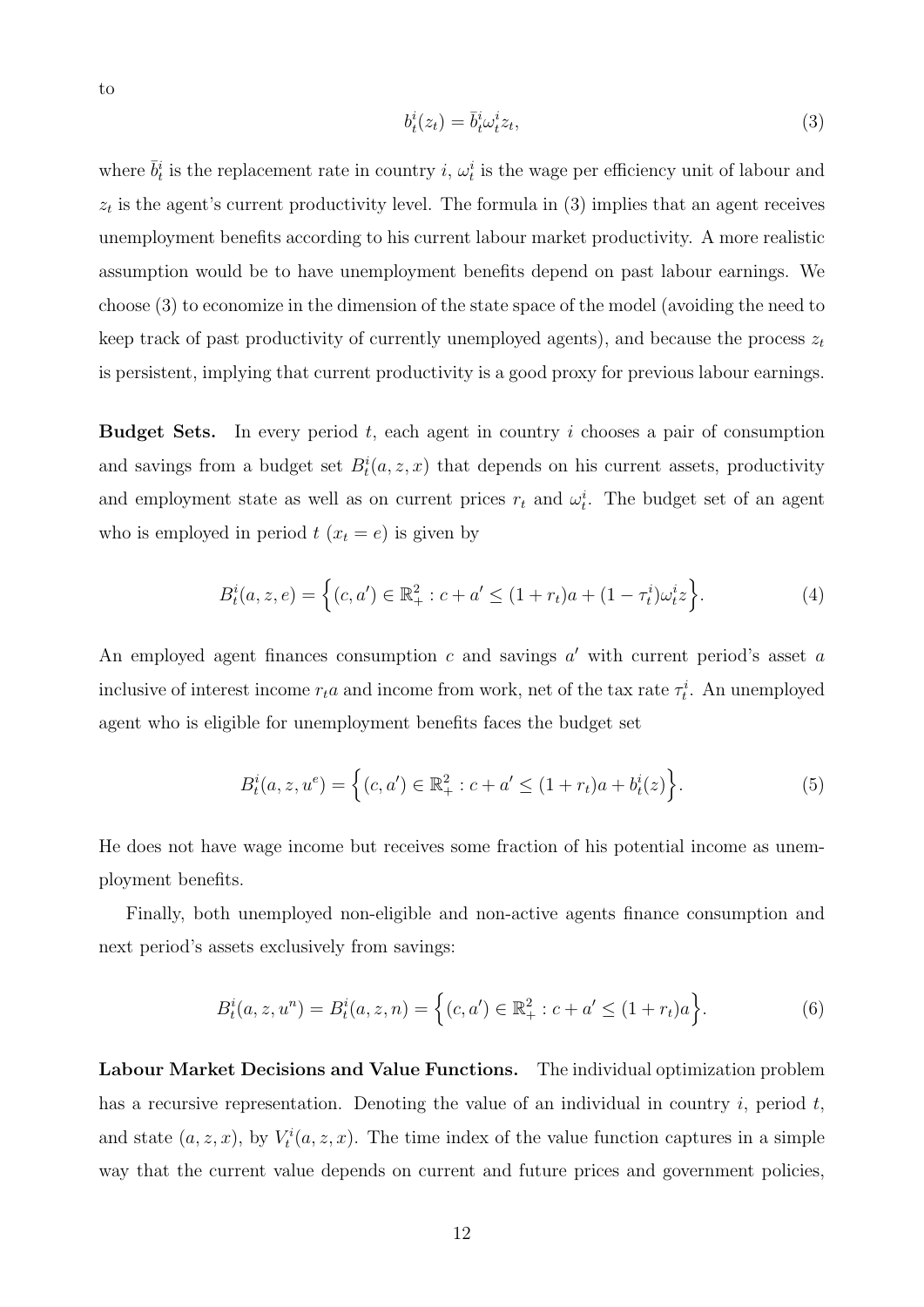<span id="page-11-0"></span>
$$
b_t^i(z_t) = \bar{b}_t^i \omega_t^i z_t,\tag{3}
$$

where  $\bar{b}_t^i$  is the replacement rate in country i,  $\omega_t^i$  is the wage per efficiency unit of labour and  $z_t$  is the agent's current productivity level. The formula in [\(3\)](#page-11-0) implies that an agent receives unemployment benefits according to his current labour market productivity. A more realistic assumption would be to have unemployment benefits depend on past labour earnings. We choose [\(3\)](#page-11-0) to economize in the dimension of the state space of the model (avoiding the need to keep track of past productivity of currently unemployed agents), and because the process  $z_t$ is persistent, implying that current productivity is a good proxy for previous labour earnings.

**Budget Sets.** In every period  $t$ , each agent in country  $i$  chooses a pair of consumption and savings from a budget set  $B_t^i(a, z, x)$  that depends on his current assets, productivity and employment state as well as on current prices  $r_t$  and  $\omega_t^i$ . The budget set of an agent who is employed in period  $t$   $(x_t = e)$  is given by

$$
B_t^i(a, z, e) = \left\{ (c, a') \in \mathbb{R}_+^2 : c + a' \le (1 + r_t)a + (1 - \tau_t^i)\omega_t^i z \right\}.
$$
 (4)

An employed agent finances consumption  $c$  and savings  $a'$  with current period's asset  $a$ inclusive of interest income  $r_t a$  and income from work, net of the tax rate  $\tau_t^i$ . An unemployed agent who is eligible for unemployment benefits faces the budget set

$$
B_t^i(a, z, u^e) = \left\{ (c, a') \in \mathbb{R}_+^2 : c + a' \le (1 + r_t)a + b_t^i(z) \right\}.
$$
 (5)

He does not have wage income but receives some fraction of his potential income as unemployment benefits.

Finally, both unemployed non-eligible and non-active agents finance consumption and next period's assets exclusively from savings:

$$
B_t^i(a, z, u^n) = B_t^i(a, z, n) = \left\{ (c, a') \in \mathbb{R}_+^2 : c + a' \le (1 + r_t)a \right\}.
$$
 (6)

Labour Market Decisions and Value Functions. The individual optimization problem has a recursive representation. Denoting the value of an individual in country  $i$ , period  $t$ , and state  $(a, z, x)$ , by  $V_t^i(a, z, x)$ . The time index of the value function captures in a simple way that the current value depends on current and future prices and government policies,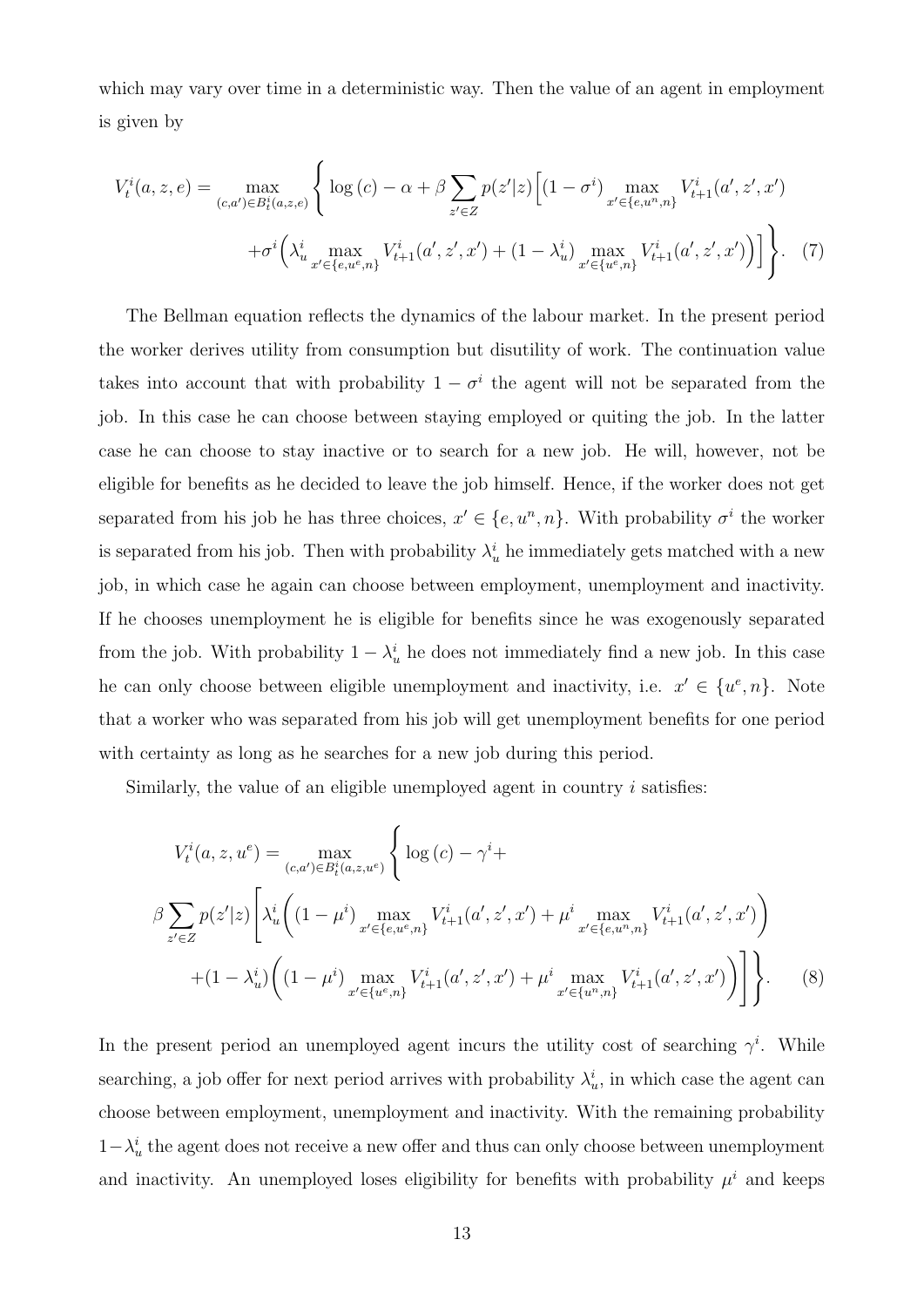which may vary over time in a deterministic way. Then the value of an agent in employment is given by

<span id="page-12-0"></span>
$$
V_t^i(a, z, e) = \max_{(c, a') \in B_t^i(a, z, e)} \left\{ \log(c) - \alpha + \beta \sum_{z' \in Z} p(z'|z) \left[ (1 - \sigma^i) \max_{x' \in \{e, u^n, n\}} V_{t+1}^i(a', z', x') \right] + \sigma^i \left( \lambda_{u}^i \max_{x' \in \{e, u^e, n\}} V_{t+1}^i(a', z', x') + (1 - \lambda_{u}^i) \max_{x' \in \{u^e, n\}} V_{t+1}^i(a', z', x') \right) \right\}.
$$
 (7)

The Bellman equation reflects the dynamics of the labour market. In the present period the worker derives utility from consumption but disutility of work. The continuation value takes into account that with probability  $1 - \sigma^i$  the agent will not be separated from the job. In this case he can choose between staying employed or quiting the job. In the latter case he can choose to stay inactive or to search for a new job. He will, however, not be eligible for benefits as he decided to leave the job himself. Hence, if the worker does not get separated from his job he has three choices,  $x' \in \{e, u^n, n\}$ . With probability  $\sigma^i$  the worker is separated from his job. Then with probability  $\lambda_u^i$  he immediately gets matched with a new job, in which case he again can choose between employment, unemployment and inactivity. If he chooses unemployment he is eligible for benefits since he was exogenously separated from the job. With probability  $1 - \lambda_u^i$  he does not immediately find a new job. In this case he can only choose between eligible unemployment and inactivity, i.e.  $x' \in \{u^e, n\}$ . Note that a worker who was separated from his job will get unemployment benefits for one period with certainty as long as he searches for a new job during this period.

Similarly, the value of an eligible unemployed agent in country  $i$  satisfies:

<span id="page-12-1"></span>
$$
V_t^i(a, z, u^e) = \max_{(c, a') \in B_t^i(a, z, u^e)} \left\{ \log(c) - \gamma^i + \beta \sum_{z' \in Z} p(z'|z) \left[ \lambda_u^i \left( (1 - \mu^i) \max_{x' \in \{e, u^e, n\}} V_{t+1}^i(a', z', x') + \mu^i \max_{x' \in \{e, u^n, n\}} V_{t+1}^i(a', z', x') \right) \right] + (1 - \lambda_u^i) \left( (1 - \mu^i) \max_{x' \in \{u^e, n\}} V_{t+1}^i(a', z', x') + \mu^i \max_{x' \in \{u^n, n\}} V_{t+1}^i(a', z', x') \right) \right\}.
$$
 (8)

In the present period an unemployed agent incurs the utility cost of searching  $\gamma^i$ . While searching, a job offer for next period arrives with probability  $\lambda_u^i$ , in which case the agent can choose between employment, unemployment and inactivity. With the remaining probability  $1-\lambda_u^i$  the agent does not receive a new offer and thus can only choose between unemployment and inactivity. An unemployed loses eligibility for benefits with probability  $\mu^{i}$  and keeps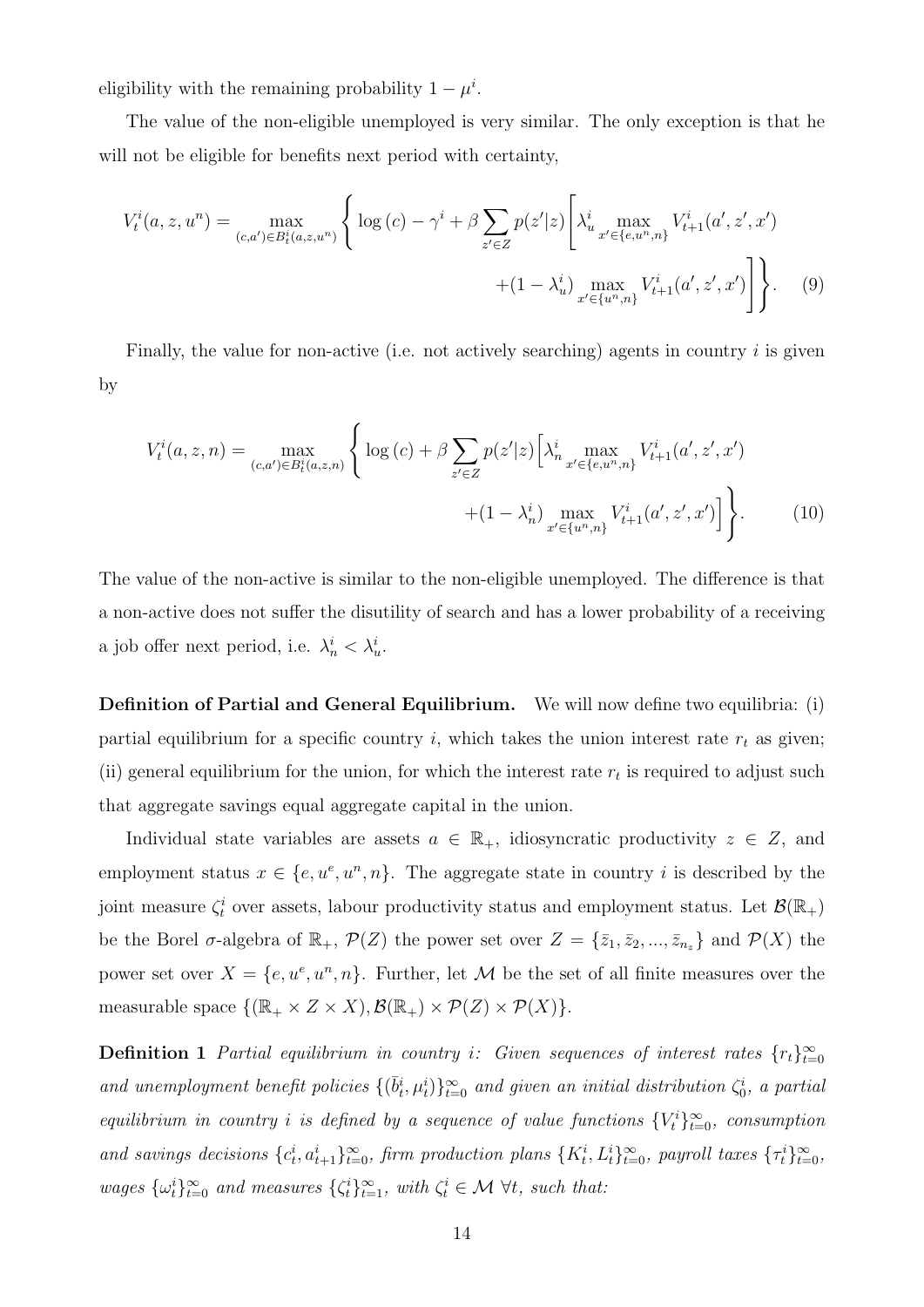eligibility with the remaining probability  $1 - \mu^i$ .

The value of the non-eligible unemployed is very similar. The only exception is that he will not be eligible for benefits next period with certainty,

<span id="page-13-0"></span>
$$
V_t^i(a, z, u^n) = \max_{(c, a') \in B_t^i(a, z, u^n)} \left\{ \log(c) - \gamma^i + \beta \sum_{z' \in Z} p(z'|z) \left[ \lambda_{u}^i \max_{x' \in \{e, u^n, n\}} V_{t+1}^i(a', z', x') \right] + (1 - \lambda_u^i) \max_{x' \in \{u^n, n\}} V_{t+1}^i(a', z', x') \right] \right\}.
$$
 (9)

Finally, the value for non-active (i.e. not actively searching) agents in country  $i$  is given by

<span id="page-13-1"></span>
$$
V_t^i(a, z, n) = \max_{(c, a') \in B_t^i(a, z, n)} \left\{ \log(c) + \beta \sum_{z' \in Z} p(z'|z) \left[ \lambda_n^i \max_{x' \in \{e, u^n, n\}} V_{t+1}^i(a', z', x') \right] + (1 - \lambda_n^i) \max_{x' \in \{u^n, n\}} V_{t+1}^i(a', z', x') \right] \right\}.
$$
 (10)

The value of the non-active is similar to the non-eligible unemployed. The difference is that a non-active does not suffer the disutility of search and has a lower probability of a receiving a job offer next period, i.e.  $\lambda_n^i < \lambda_n^i$ .

Definition of Partial and General Equilibrium. We will now define two equilibria: (i) partial equilibrium for a specific country i, which takes the union interest rate  $r_t$  as given; (ii) general equilibrium for the union, for which the interest rate  $r_t$  is required to adjust such that aggregate savings equal aggregate capital in the union.

Individual state variables are assets  $a \in \mathbb{R}_+$ , idiosyncratic productivity  $z \in \mathbb{Z}$ , and employment status  $x \in \{e, u^e, u^n, n\}$ . The aggregate state in country i is described by the joint measure  $\zeta_t^i$  over assets, labour productivity status and employment status. Let  $\mathcal{B}(\mathbb{R}_+)$ be the Borel  $\sigma$ -algebra of  $\mathbb{R}_+$ ,  $\mathcal{P}(Z)$  the power set over  $Z = \{\bar{z}_1, \bar{z}_2, ..., \bar{z}_{n_z}\}\$ and  $\mathcal{P}(X)$  the power set over  $X = \{e, u^e, u^n, n\}$ . Further, let M be the set of all finite measures over the measurable space  $\{(\mathbb{R}_+ \times Z \times X), \mathcal{B}(\mathbb{R}_+) \times \mathcal{P}(Z) \times \mathcal{P}(X)\}.$ 

<span id="page-13-2"></span>**Definition 1** Partial equilibrium in country i: Given sequences of interest rates  $\{r_t\}_{t=0}^{\infty}$ and unemployment benefit policies  $\{(\bar{b}_t^i, \mu_t^i)\}_{t=0}^{\infty}$  and given an initial distribution  $\zeta_0^i$ , a partial equilibrium in country *i* is defined by a sequence of value functions  $\{V_t^i\}_{t=0}^{\infty}$ , consumption and savings decisions  $\{c_t^i, a_{t+1}^i\}_{t=0}^{\infty}$ , firm production plans  $\{K_t^i, L_t^i\}_{t=0}^{\infty}$ , payroll taxes  $\{\tau_t^i\}_{t=0}^{\infty}$ , wages  $\{\omega_t^i\}_{t=0}^{\infty}$  and measures  $\{\zeta_t^i\}_{t=1}^{\infty}$ , with  $\zeta_t^i \in \mathcal{M}$   $\forall t$ , such that: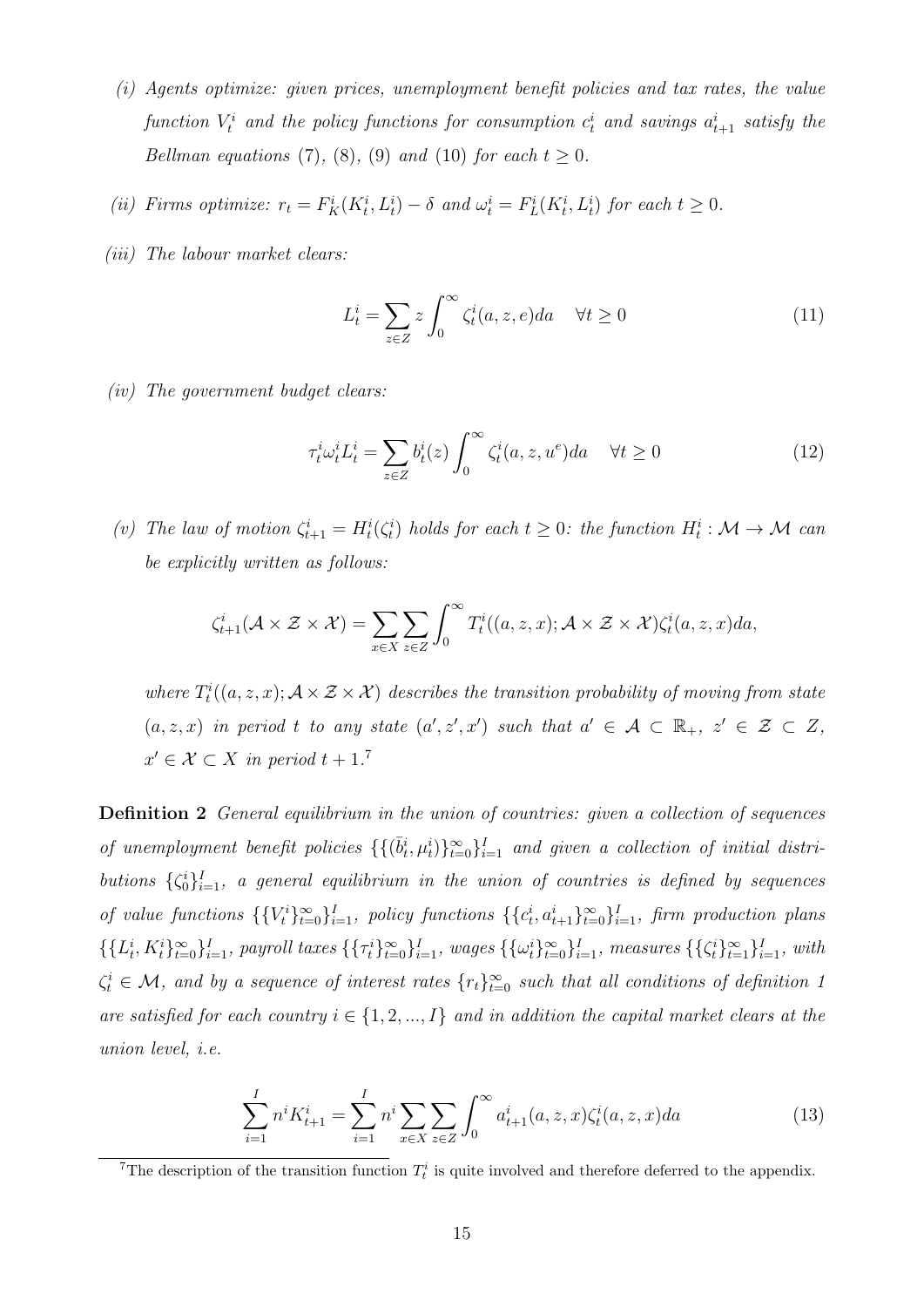- (i) Agents optimize: given prices, unemployment benefit policies and tax rates, the value function  $V_t^i$  and the policy functions for consumption  $c_t^i$  and savings  $a_{t+1}^i$  satisfy the Bellman equations [\(7\)](#page-12-0), [\(8\)](#page-12-1), [\(9\)](#page-13-0) and [\(10\)](#page-13-1) for each  $t \geq 0$ .
- (ii) Firms optimize:  $r_t = F_K^i(K_t^i, L_t^i) \delta$  and  $\omega_t^i = F_L^i(K_t^i, L_t^i)$  for each  $t \geq 0$ .
- (*iii*) The labour market clears:

<span id="page-14-0"></span>
$$
L_t^i = \sum_{z \in Z} z \int_0^\infty \zeta_t^i(a, z, e) da \quad \forall t \ge 0
$$
 (11)

(iv) The government budget clears:

$$
\tau_t^i \omega_t^i L_t^i = \sum_{z \in Z} b_t^i(z) \int_0^\infty \zeta_t^i(a, z, u^e) da \quad \forall t \ge 0 \tag{12}
$$

(v) The law of motion  $\zeta_{t+1}^i = H_t^i(\zeta_t^i)$  holds for each  $t \geq 0$ : the function  $H_t^i : \mathcal{M} \to \mathcal{M}$  can be explicitly written as follows:

$$
\zeta_{t+1}^i(\mathcal{A}\times\mathcal{Z}\times\mathcal{X})=\sum_{x\in X}\sum_{z\in Z}\int_0^\infty T_t^i((a,z,x);\mathcal{A}\times\mathcal{Z}\times\mathcal{X})\zeta_t^i(a,z,x)da,
$$

where  $T_t^i((a, z, x); \mathcal{A} \times \mathcal{Z} \times \mathcal{X})$  describes the transition probability of moving from state  $(a, z, x)$  in period t to any state  $(a', z', x')$  such that  $a' \in \mathcal{A} \subset \mathbb{R}_+$ ,  $z' \in \mathcal{Z} \subset Z$ ,  $x' \in \mathcal{X} \subset X$  in period  $t + 1$ .<sup>[7](#page-0-0)</sup>

<span id="page-14-1"></span>**Definition 2** General equilibrium in the union of countries: given a collection of sequences of unemployment benefit policies  $\{\{\bar{b}_t^i, \mu_t^i\}_{t=0}^{\infty}\}_{i=1}^I$  and given a collection of initial distributions  $\{\zeta_0^i\}_{i=1}^I$ , a general equilibrium in the union of countries is defined by sequences of value functions  $\{\{V_t^i\}_{t=0}^{\infty}\}_{i=1}^I$ , policy functions  $\{\{c_t^i, a_{t+1}^i\}_{t=0}^{\infty}\}_{i=1}^I$ , firm production plans  $\{\{L_t^i, K_t^i\}_{t=0}^{\infty}\}_{i=1}^I$ , payroll taxes  $\{\{\tau_t^i\}_{t=0}^{\infty}\}_{i=1}^I$ , wages  $\{\{\omega_t^i\}_{t=0}^{\infty}\}_{i=1}^I$ , measures  $\{\{\zeta_t^i\}_{t=1}^{\infty}\}_{i=1}^I$ , with  $\zeta_t^i \in \mathcal{M}$ , and by a sequence of interest rates  $\{r_t\}_{t=0}^{\infty}$  such that all conditions of definition [1](#page-13-2) are satisfied for each country  $i \in \{1, 2, ..., I\}$  and in addition the capital market clears at the union level, i.e.

$$
\sum_{i=1}^{I} n^i K_{t+1}^i = \sum_{i=1}^{I} n^i \sum_{x \in X} \sum_{z \in Z} \int_0^{\infty} a_{t+1}^i(a, z, x) \zeta_t^i(a, z, x) da \tag{13}
$$

<sup>&</sup>lt;sup>7</sup>The description of the transition function  $T_t^i$  is quite involved and therefore deferred to the appendix.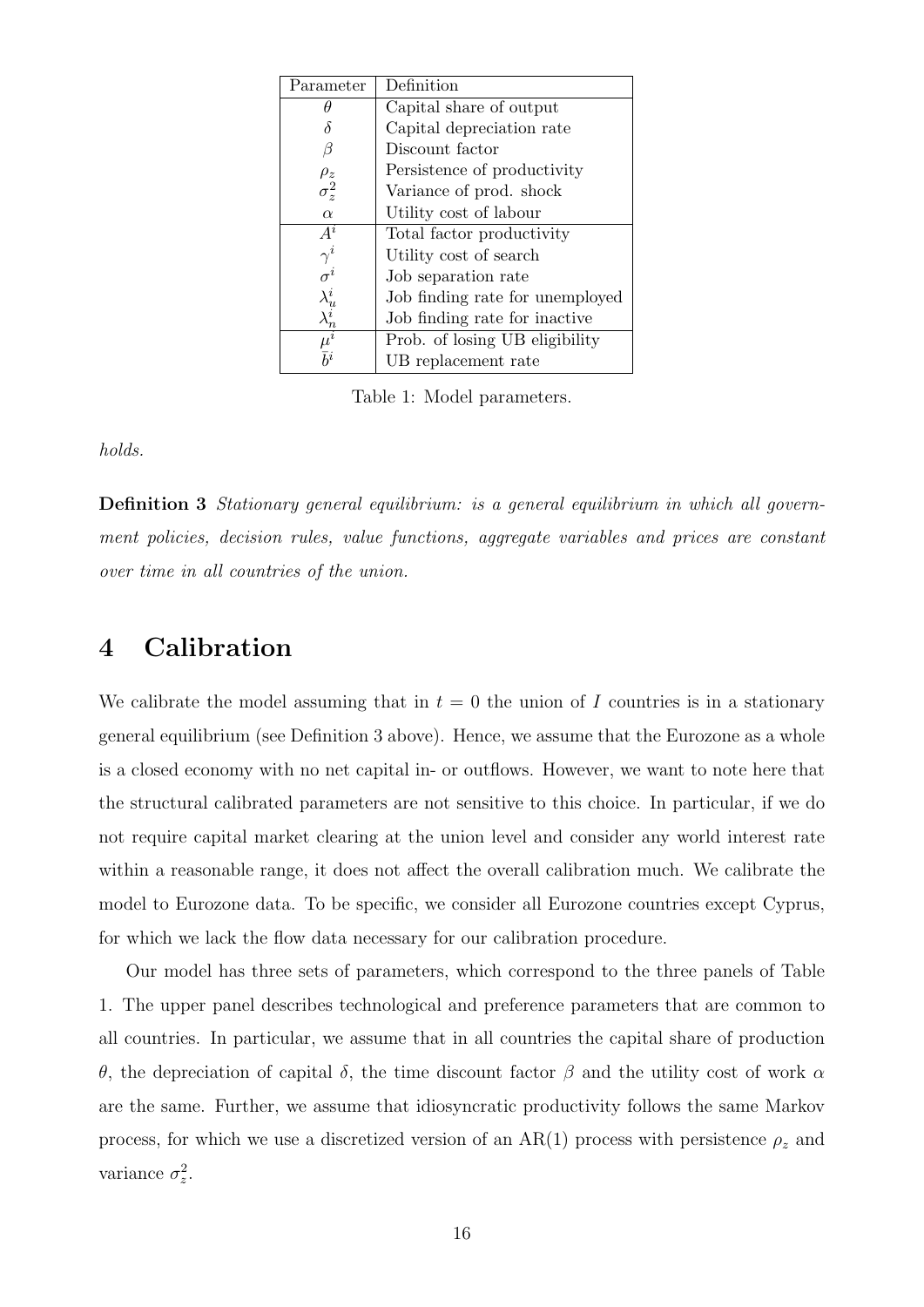| Parameter                                 | Definition                      |
|-------------------------------------------|---------------------------------|
| Η                                         | Capital share of output         |
|                                           | Capital depreciation rate       |
| β                                         | Discount factor                 |
| $\rho_z$                                  | Persistence of productivity     |
| $\sigma_z^2$                              | Variance of prod. shock         |
| $\alpha$                                  | Utility cost of labour          |
| $A^i$                                     | Total factor productivity       |
| $\gamma^i$                                | Utility cost of search          |
| $\sigma^i$                                | Job separation rate             |
|                                           | Job finding rate for unemployed |
| $\frac{\lambda_{u}^{i}}{\lambda_{n}^{i}}$ | Job finding rate for inactive   |
| $\overline{\mu^i}$                        | Prob. of losing UB eligibility  |
| $\bar{b}^i$                               | UB replacement rate             |

<span id="page-15-2"></span>Table 1: Model parameters.

holds.

<span id="page-15-1"></span>**Definition 3** Stationary general equilibrium: is a general equilibrium in which all government policies, decision rules, value functions, aggregate variables and prices are constant over time in all countries of the union.

### <span id="page-15-0"></span>4 Calibration

We calibrate the model assuming that in  $t = 0$  the union of I countries is in a stationary general equilibrium (see Definition [3](#page-15-1) above). Hence, we assume that the Eurozone as a whole is a closed economy with no net capital in- or outflows. However, we want to note here that the structural calibrated parameters are not sensitive to this choice. In particular, if we do not require capital market clearing at the union level and consider any world interest rate within a reasonable range, it does not affect the overall calibration much. We calibrate the model to Eurozone data. To be specific, we consider all Eurozone countries except Cyprus, for which we lack the flow data necessary for our calibration procedure.

Our model has three sets of parameters, which correspond to the three panels of Table [1.](#page-15-2) The upper panel describes technological and preference parameters that are common to all countries. In particular, we assume that in all countries the capital share of production θ, the depreciation of capital δ, the time discount factor β and the utility cost of work α are the same. Further, we assume that idiosyncratic productivity follows the same Markov process, for which we use a discretized version of an AR(1) process with persistence  $\rho_z$  and variance  $\sigma_z^2$ .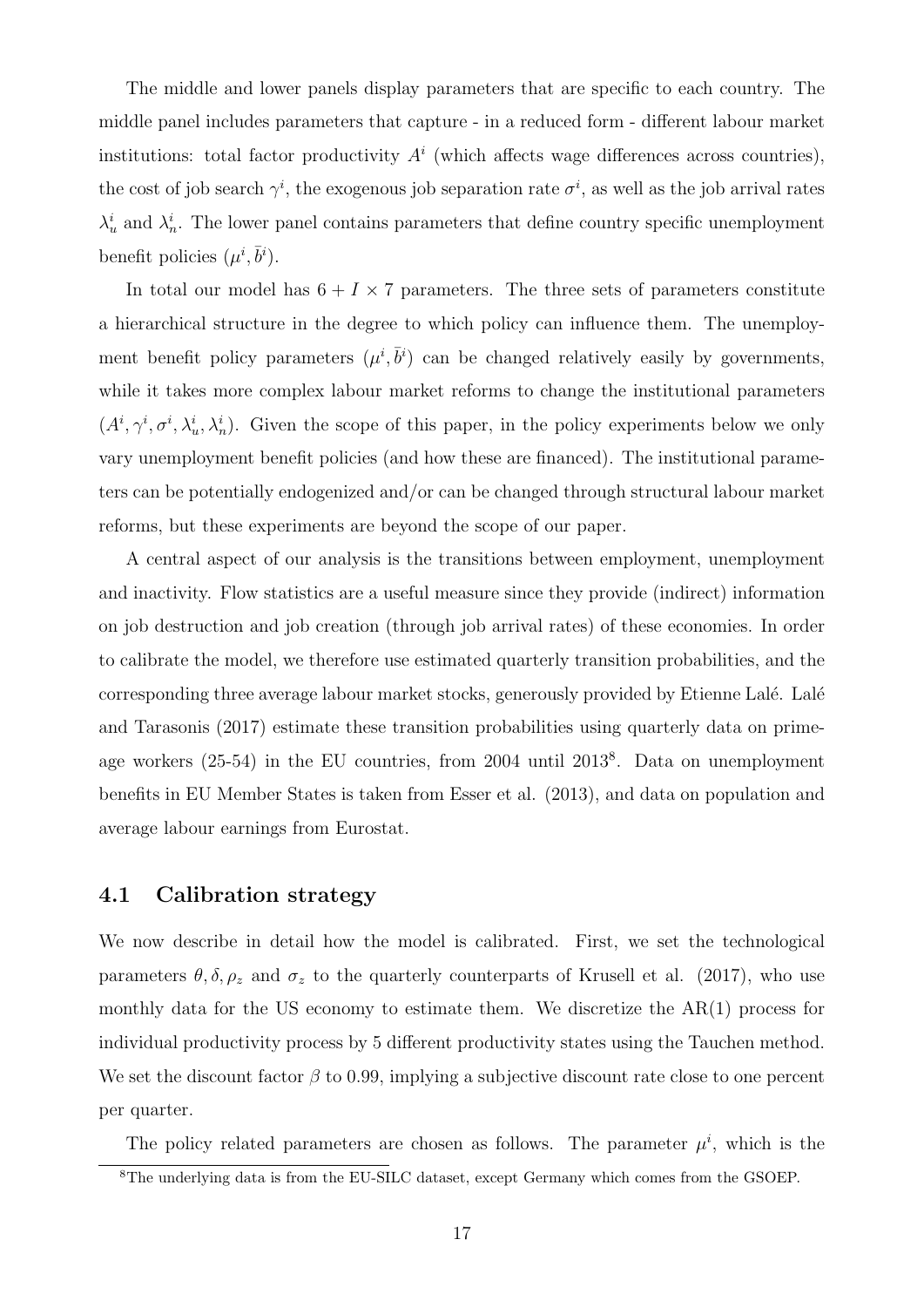The middle and lower panels display parameters that are specific to each country. The middle panel includes parameters that capture - in a reduced form - different labour market institutions: total factor productivity  $A^i$  (which affects wage differences across countries), the cost of job search  $\gamma^i$ , the exogenous job separation rate  $\sigma^i$ , as well as the job arrival rates  $\lambda_u^i$  and  $\lambda_n^i$ . The lower panel contains parameters that define country specific unemployment benefit policies  $(\mu^i, \bar{b}^i)$ .

In total our model has  $6 + I \times 7$  parameters. The three sets of parameters constitute a hierarchical structure in the degree to which policy can influence them. The unemployment benefit policy parameters  $(\mu^i, \bar{b}^i)$  can be changed relatively easily by governments, while it takes more complex labour market reforms to change the institutional parameters  $(A^i, \gamma^i, \sigma^i, \lambda^i_u, \lambda^i_u)$ . Given the scope of this paper, in the policy experiments below we only vary unemployment benefit policies (and how these are financed). The institutional parameters can be potentially endogenized and/or can be changed through structural labour market reforms, but these experiments are beyond the scope of our paper.

A central aspect of our analysis is the transitions between employment, unemployment and inactivity. Flow statistics are a useful measure since they provide (indirect) information on job destruction and job creation (through job arrival rates) of these economies. In order to calibrate the model, we therefore use estimated quarterly transition probabilities, and the corresponding three average labour market stocks, generously provided by Etienne Lalé. Lalé [and Tarasonis \(2017\)](#page-48-9) estimate these transition probabilities using quarterly data on primeage workers (25-54) in the EU countries, from 2004 until 2013[8](#page-0-0) . Data on unemployment benefits in EU Member States is taken from [Esser et al. \(2013\)](#page-48-10), and data on population and average labour earnings from Eurostat.

#### 4.1 Calibration strategy

We now describe in detail how the model is calibrated. First, we set the technological parameters  $\theta$ ,  $\delta$ ,  $\rho_z$  and  $\sigma_z$  to the quarterly counterparts of [Krusell et al. \(2017\)](#page-48-3), who use monthly data for the US economy to estimate them. We discretize the AR(1) process for individual productivity process by 5 different productivity states using the Tauchen method. We set the discount factor  $\beta$  to 0.99, implying a subjective discount rate close to one percent per quarter.

The policy related parameters are chosen as follows. The parameter  $\mu^{i}$ , which is the

<sup>8</sup>The underlying data is from the EU-SILC dataset, except Germany which comes from the GSOEP.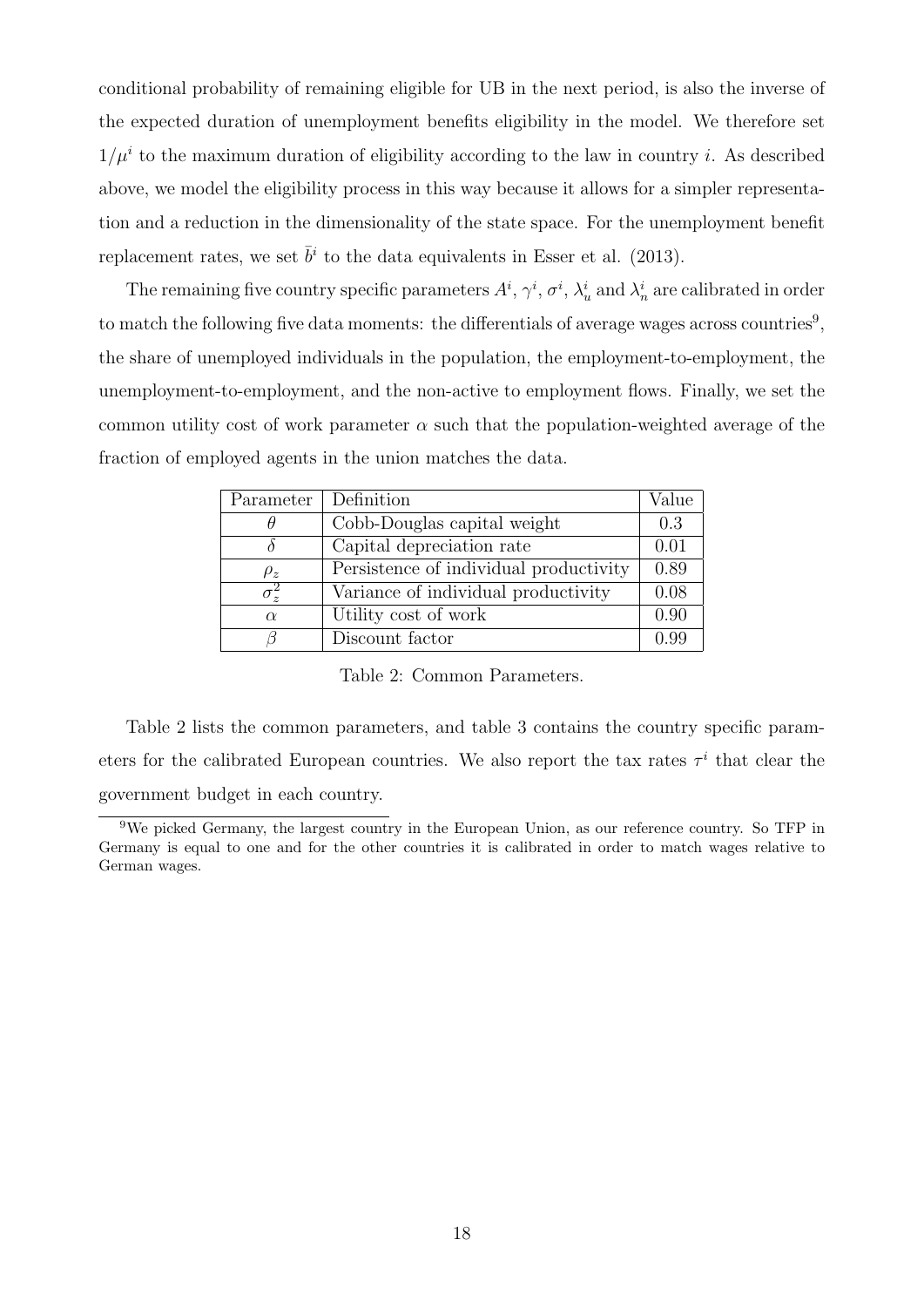conditional probability of remaining eligible for UB in the next period, is also the inverse of the expected duration of unemployment benefits eligibility in the model. We therefore set  $1/\mu^i$  to the maximum duration of eligibility according to the law in country i. As described above, we model the eligibility process in this way because it allows for a simpler representation and a reduction in the dimensionality of the state space. For the unemployment benefit replacement rates, we set  $\bar{b}^i$  to the data equivalents in [Esser et al. \(2013\)](#page-48-10).

The remaining five country specific parameters  $A^i$ ,  $\gamma^i$ ,  $\sigma^i$ ,  $\lambda^i_u$  and  $\lambda^i_n$  are calibrated in order to match the following five data moments: the differentials of average wages across countries<sup>[9](#page-0-0)</sup>, the share of unemployed individuals in the population, the employment-to-employment, the unemployment-to-employment, and the non-active to employment flows. Finally, we set the common utility cost of work parameter  $\alpha$  such that the population-weighted average of the fraction of employed agents in the union matches the data.

| Parameter               | Definition                             | Value |
|-------------------------|----------------------------------------|-------|
|                         | Cobb-Douglas capital weight            | 0.3   |
|                         | Capital depreciation rate              | 0.01  |
| $\rho_z$                | Persistence of individual productivity | 0.89  |
| $\overline{\sigma_z^2}$ | Variance of individual productivity    | 0.08  |
| $\alpha$                | Utility cost of work                   | 0.90  |
|                         | Discount factor                        | O 99  |

<span id="page-17-0"></span>Table 2: Common Parameters.

Table [2](#page-17-0) lists the common parameters, and table [3](#page-18-0) contains the country specific parameters for the calibrated European countries. We also report the tax rates  $\tau^i$  that clear the government budget in each country.

<sup>&</sup>lt;sup>9</sup>We picked Germany, the largest country in the European Union, as our reference country. So TFP in Germany is equal to one and for the other countries it is calibrated in order to match wages relative to German wages.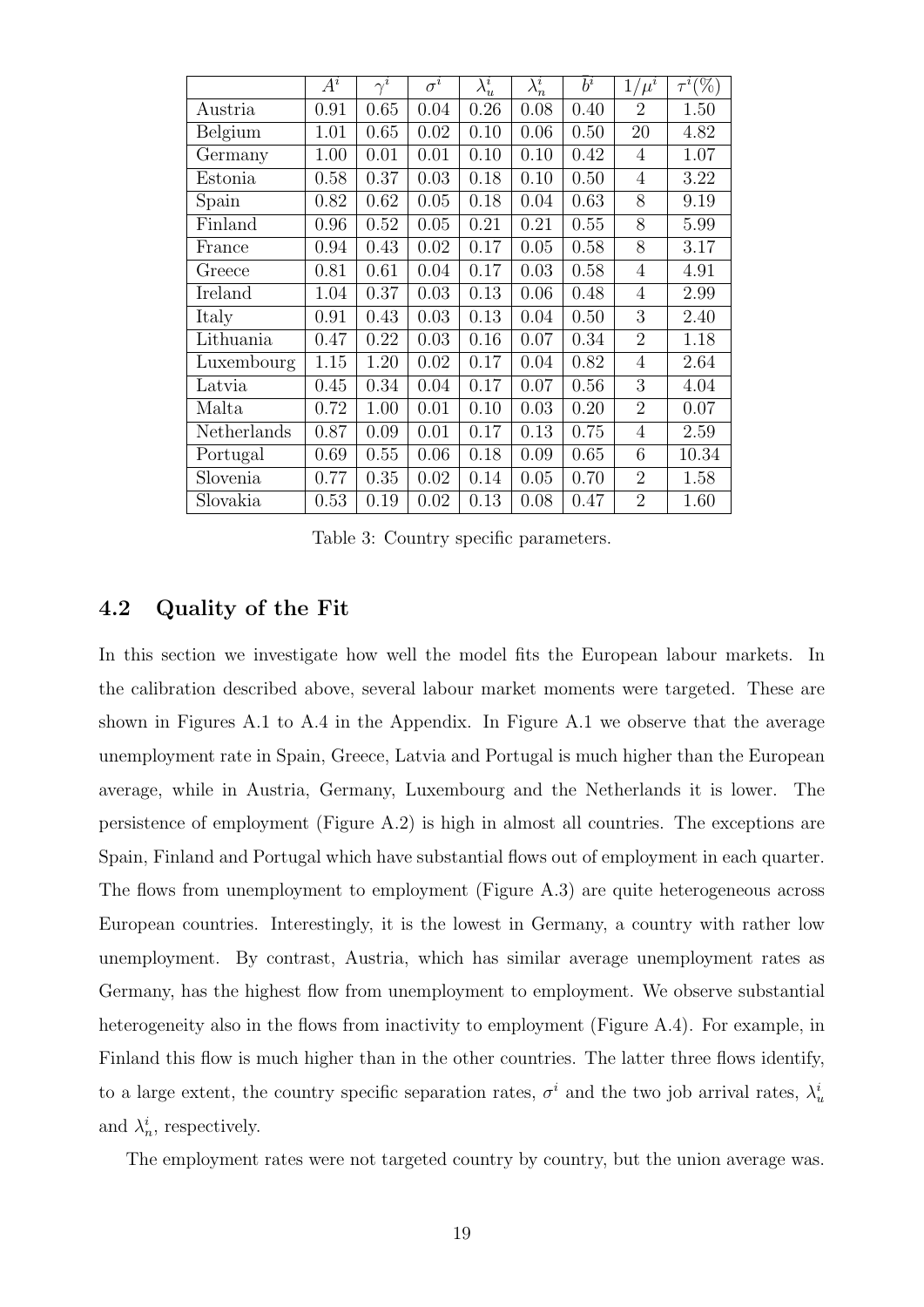|             | $A^i$ | $\bar{\gamma^i}$ | $\sigma^i$ | $\lambda_u^i$ | $\lambda_n^i$ | $\bar{b}^i$ | $1/\mu^i$      | $\tau^i(\%)$ |
|-------------|-------|------------------|------------|---------------|---------------|-------------|----------------|--------------|
| Austria     | 0.91  | 0.65             | 0.04       | 0.26          | 0.08          | 0.40        | $\overline{2}$ | 1.50         |
| Belgium     | 1.01  | 0.65             | 0.02       | 0.10          | 0.06          | 0.50        | 20             | 4.82         |
| Germany     | 1.00  | 0.01             | 0.01       | 0.10          | 0.10          | 0.42        | 4              | 1.07         |
| Estonia     | 0.58  | 0.37             | 0.03       | 0.18          | 0.10          | 0.50        | $\overline{4}$ | 3.22         |
| Spain       | 0.82  | 0.62             | 0.05       | 0.18          | 0.04          | 0.63        | 8              | 9.19         |
| Finland     | 0.96  | 0.52             | 0.05       | 0.21          | 0.21          | 0.55        | 8              | 5.99         |
| France      | 0.94  | 0.43             | 0.02       | 0.17          | 0.05          | 0.58        | 8              | 3.17         |
| Greece      | 0.81  | 0.61             | 0.04       | 0.17          | 0.03          | 0.58        | $\overline{4}$ | 4.91         |
| Ireland     | 1.04  | 0.37             | 0.03       | 0.13          | 0.06          | 0.48        | 4              | 2.99         |
| Italy       | 0.91  | 0.43             | 0.03       | 0.13          | 0.04          | 0.50        | 3              | 2.40         |
| Lithuania   | 0.47  | 0.22             | 0.03       | 0.16          | 0.07          | 0.34        | $\overline{2}$ | 1.18         |
| Luxembourg  | 1.15  | 1.20             | 0.02       | 0.17          | 0.04          | 0.82        | 4              | 2.64         |
| Latvia      | 0.45  | 0.34             | 0.04       | 0.17          | 0.07          | 0.56        | 3              | 4.04         |
| Malta       | 0.72  | 1.00             | 0.01       | 0.10          | 0.03          | 0.20        | $\overline{2}$ | 0.07         |
| Netherlands | 0.87  | 0.09             | 0.01       | 0.17          | 0.13          | 0.75        | 4              | 2.59         |
| Portugal    | 0.69  | 0.55             | 0.06       | 0.18          | 0.09          | 0.65        | 6              | 10.34        |
| Slovenia    | 0.77  | 0.35             | 0.02       | 0.14          | 0.05          | 0.70        | $\overline{2}$ | 1.58         |
| Slovakia    | 0.53  | 0.19             | 0.02       | 0.13          | 0.08          | 0.47        | $\overline{2}$ | 1.60         |

<span id="page-18-0"></span>Table 3: Country specific parameters.

#### 4.2 Quality of the Fit

In this section we investigate how well the model fits the European labour markets. In the calibration described above, several labour market moments were targeted. These are shown in Figures [A.1](#page-2-0) to [A.4](#page-21-1) in the Appendix. In Figure [A.1](#page-2-0) we observe that the average unemployment rate in Spain, Greece, Latvia and Portugal is much higher than the European average, while in Austria, Germany, Luxembourg and the Netherlands it is lower. The persistence of employment (Figure [A.2\)](#page-19-0) is high in almost all countries. The exceptions are Spain, Finland and Portugal which have substantial flows out of employment in each quarter. The flows from unemployment to employment (Figure [A.3\)](#page-20-0) are quite heterogeneous across European countries. Interestingly, it is the lowest in Germany, a country with rather low unemployment. By contrast, Austria, which has similar average unemployment rates as Germany, has the highest flow from unemployment to employment. We observe substantial heterogeneity also in the flows from inactivity to employment (Figure [A.4\)](#page-21-1). For example, in Finland this flow is much higher than in the other countries. The latter three flows identify, to a large extent, the country specific separation rates,  $\sigma^i$  and the two job arrival rates,  $\lambda^i_u$ and  $\lambda_n^i$ , respectively.

The employment rates were not targeted country by country, but the union average was.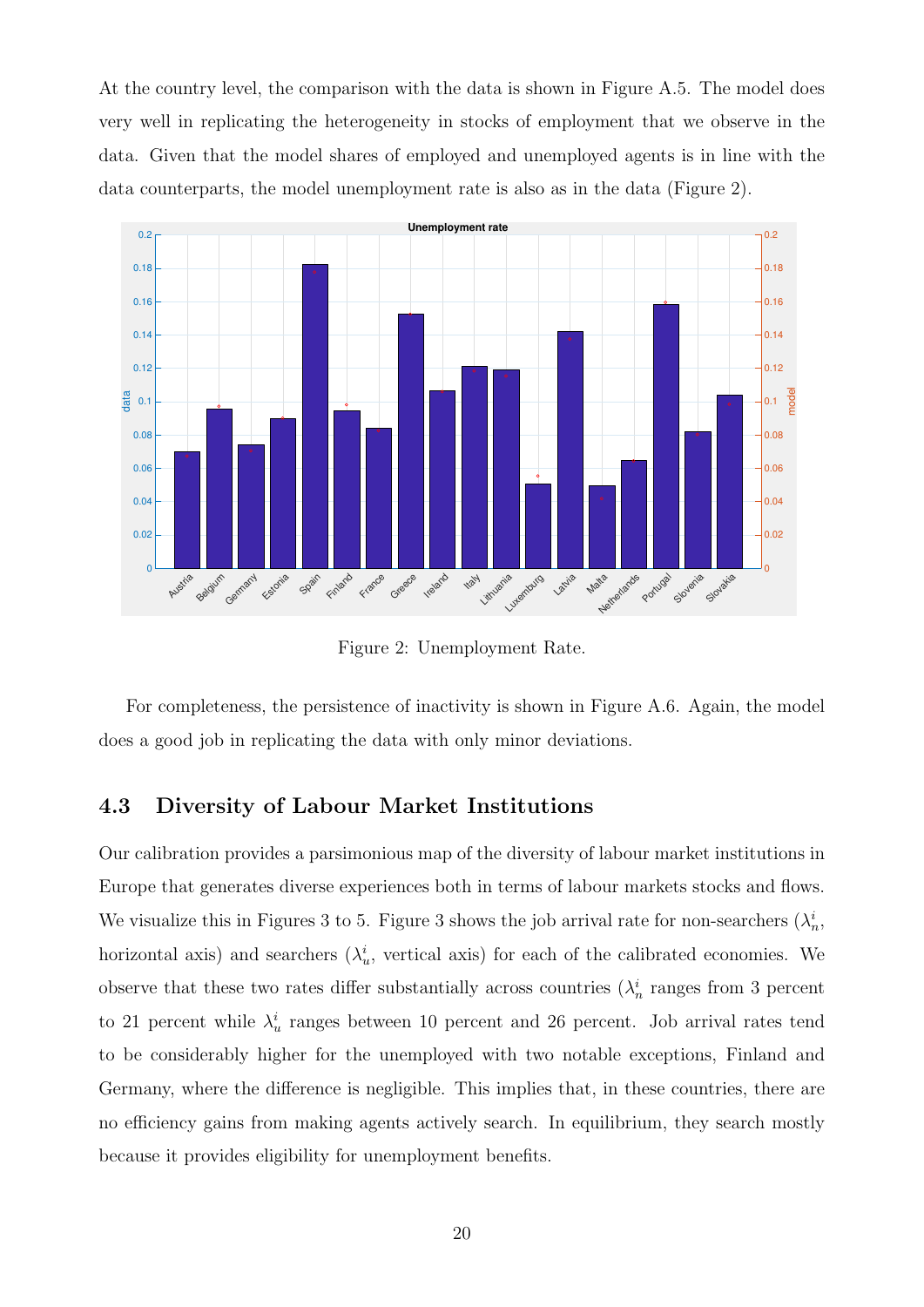At the country level, the comparison with the data is shown in Figure [A.5.](#page-22-0) The model does very well in replicating the heterogeneity in stocks of employment that we observe in the data. Given that the model shares of employed and unemployed agents is in line with the data counterparts, the model unemployment rate is also as in the data (Figure [2\)](#page-19-0).



<span id="page-19-0"></span>Figure 2: Unemployment Rate.

For completeness, the persistence of inactivity is shown in Figure [A.6.](#page-30-0) Again, the model does a good job in replicating the data with only minor deviations.

#### 4.3 Diversity of Labour Market Institutions

Our calibration provides a parsimonious map of the diversity of labour market institutions in Europe that generates diverse experiences both in terms of labour markets stocks and flows. We visualize this in Figures [3](#page-20-0) to [5.](#page-22-0) Figure 3 shows the job arrival rate for non-searchers  $(\lambda_n^i, \lambda_n^j)$ horizontal axis) and searchers  $(\lambda_u^i,$  vertical axis) for each of the calibrated economies. We observe that these two rates differ substantially across countries  $(\lambda_n^i)$  ranges from 3 percent to 21 percent while  $\lambda_u^i$  ranges between 10 percent and 26 percent. Job arrival rates tend to be considerably higher for the unemployed with two notable exceptions, Finland and Germany, where the difference is negligible. This implies that, in these countries, there are no efficiency gains from making agents actively search. In equilibrium, they search mostly because it provides eligibility for unemployment benefits.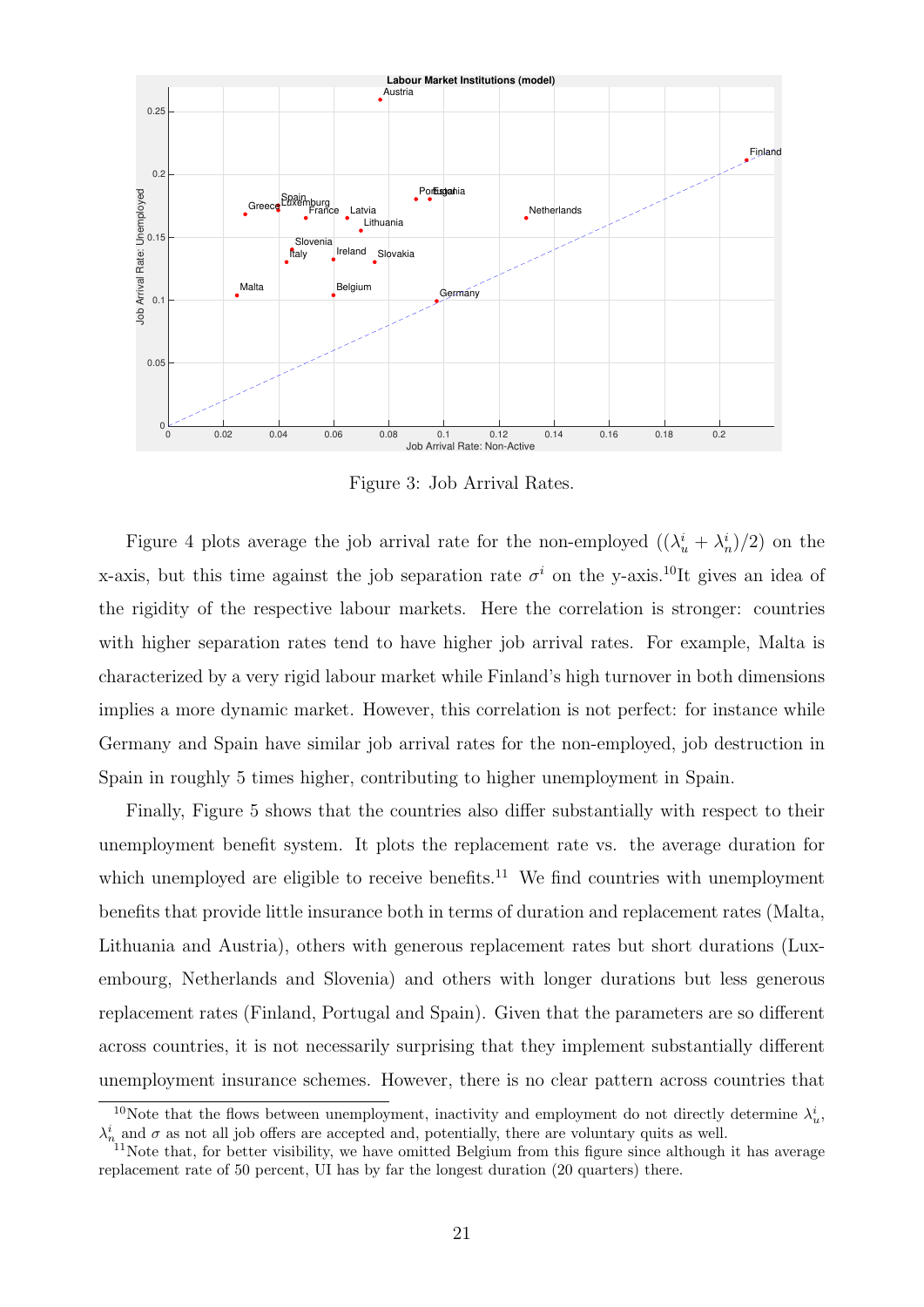

<span id="page-20-0"></span>Figure 3: Job Arrival Rates.

Figure [4](#page-21-1) plots average the job arrival rate for the non-employed  $((\lambda_u^i + \lambda_n^i)/2)$  on the x-axis, but this time against the job separation rate  $\sigma^i$  on the y-axis.<sup>[10](#page-0-0)</sup>It gives an idea of the rigidity of the respective labour markets. Here the correlation is stronger: countries with higher separation rates tend to have higher job arrival rates. For example, Malta is characterized by a very rigid labour market while Finland's high turnover in both dimensions implies a more dynamic market. However, this correlation is not perfect: for instance while Germany and Spain have similar job arrival rates for the non-employed, job destruction in Spain in roughly 5 times higher, contributing to higher unemployment in Spain.

Finally, Figure [5](#page-22-0) shows that the countries also differ substantially with respect to their unemployment benefit system. It plots the replacement rate vs. the average duration for which unemployed are eligible to receive benefits.<sup>[11](#page-0-0)</sup> We find countries with unemployment benefits that provide little insurance both in terms of duration and replacement rates (Malta, Lithuania and Austria), others with generous replacement rates but short durations (Luxembourg, Netherlands and Slovenia) and others with longer durations but less generous replacement rates (Finland, Portugal and Spain). Given that the parameters are so different across countries, it is not necessarily surprising that they implement substantially different unemployment insurance schemes. However, there is no clear pattern across countries that

<sup>&</sup>lt;sup>10</sup>Note that the flows between unemployment, inactivity and employment do not directly determine  $\lambda_u^i$ ,  $\lambda_n^i$  and  $\sigma$  as not all job offers are accepted and, potentially, there are voluntary quits as well.

<sup>&</sup>lt;sup>11</sup>Note that, for better visibility, we have omitted Belgium from this figure since although it has average replacement rate of 50 percent, UI has by far the longest duration (20 quarters) there.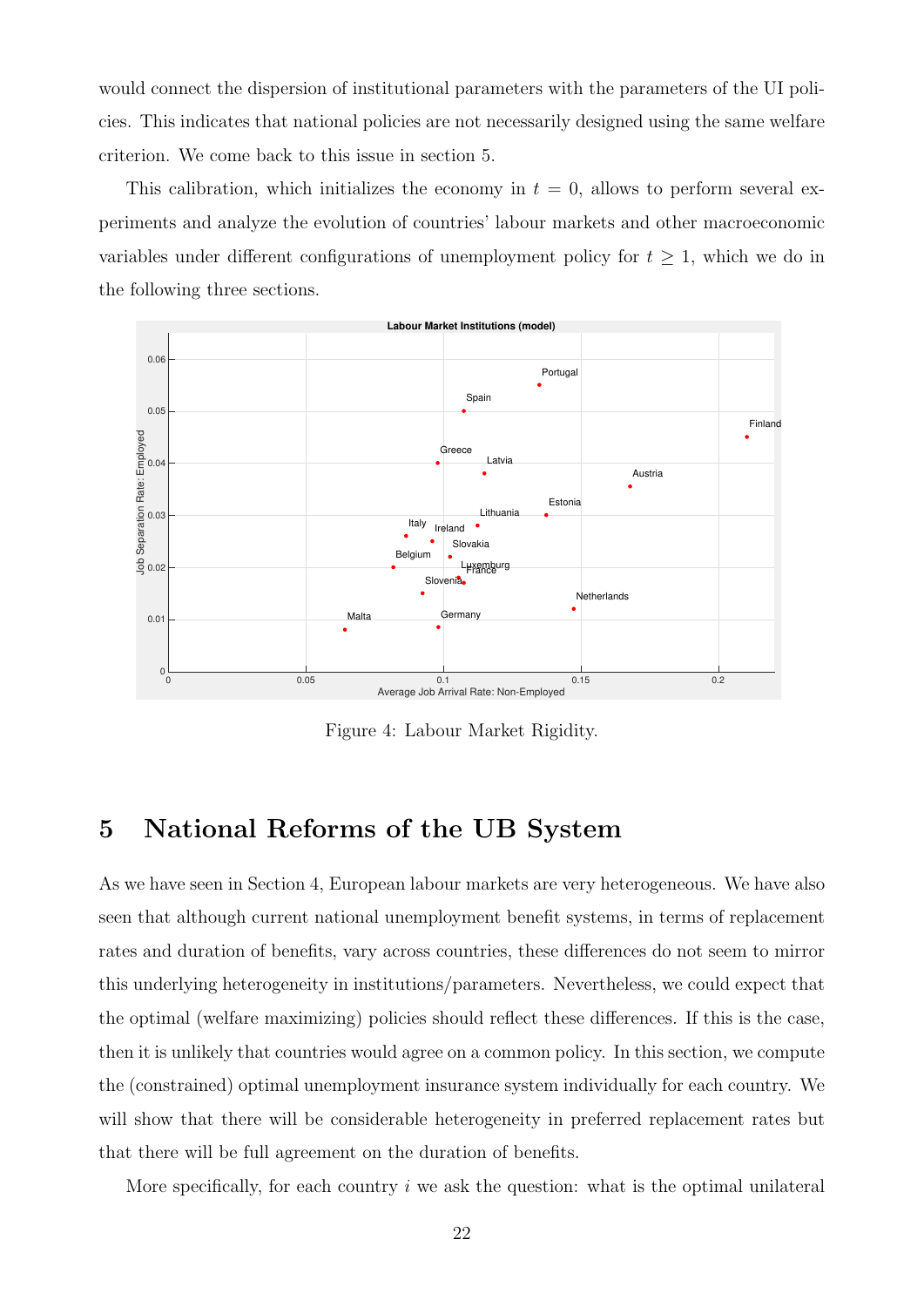would connect the dispersion of institutional parameters with the parameters of the UI policies. This indicates that national policies are not necessarily designed using the same welfare criterion. We come back to this issue in section [5.](#page-25-0)

This calibration, which initializes the economy in  $t = 0$ , allows to perform several experiments and analyze the evolution of countries' labour markets and other macroeconomic variables under different configurations of unemployment policy for  $t \geq 1$ , which we do in the following three sections.



<span id="page-21-1"></span>Figure 4: Labour Market Rigidity.

### <span id="page-21-0"></span>5 National Reforms of the UB System

As we have seen in Section [4,](#page-15-0) European labour markets are very heterogeneous. We have also seen that although current national unemployment benefit systems, in terms of replacement rates and duration of benefits, vary across countries, these differences do not seem to mirror this underlying heterogeneity in institutions/parameters. Nevertheless, we could expect that the optimal (welfare maximizing) policies should reflect these differences. If this is the case, then it is unlikely that countries would agree on a common policy. In this section, we compute the (constrained) optimal unemployment insurance system individually for each country. We will show that there will be considerable heterogeneity in preferred replacement rates but that there will be full agreement on the duration of benefits.

More specifically, for each country  $i$  we ask the question: what is the optimal unilateral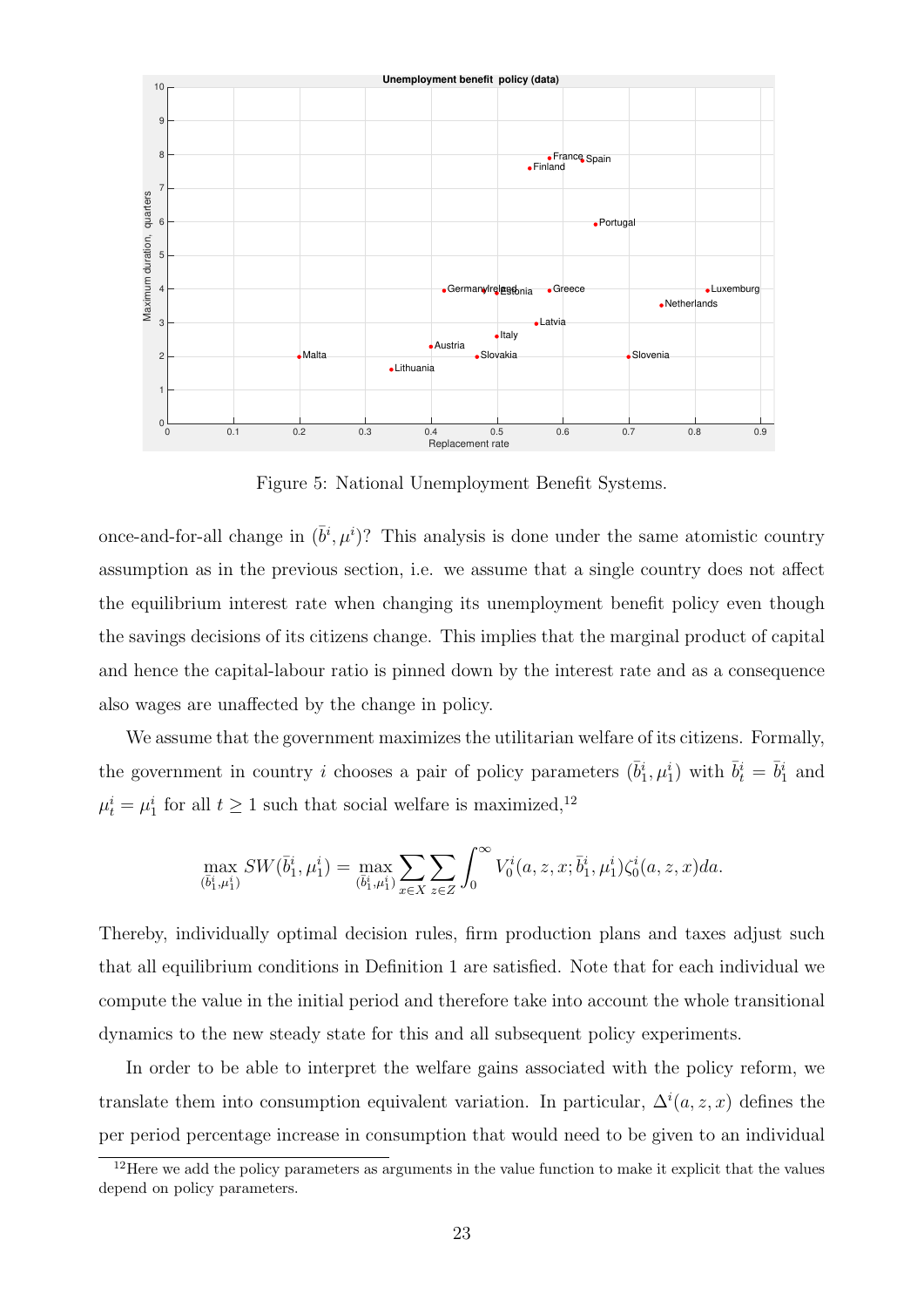

<span id="page-22-0"></span>Figure 5: National Unemployment Benefit Systems.

once-and-for-all change in  $(\bar{b}^i, \mu^i)$ ? This analysis is done under the same atomistic country assumption as in the previous section, i.e. we assume that a single country does not affect the equilibrium interest rate when changing its unemployment benefit policy even though the savings decisions of its citizens change. This implies that the marginal product of capital and hence the capital-labour ratio is pinned down by the interest rate and as a consequence also wages are unaffected by the change in policy.

We assume that the government maximizes the utilitarian welfare of its citizens. Formally, the government in country *i* chooses a pair of policy parameters  $(\bar{b}_1^i, \mu_1^i)$  with  $\bar{b}_t^i = \bar{b}_1^i$  and  $\mu_t^i = \mu_1^i$  for all  $t \ge 1$  such that social welfare is maximized,<sup>[12](#page-0-0)</sup>

$$
\max_{(\bar{b}_1^i, \mu_1^i)} SW(\bar{b}_1^i, \mu_1^i) = \max_{(\bar{b}_1^i, \mu_1^i)} \sum_{x \in X} \sum_{z \in Z} \int_0^\infty V_0^i(a, z, x; \bar{b}_1^i, \mu_1^i) \zeta_0^i(a, z, x) da.
$$

Thereby, individually optimal decision rules, firm production plans and taxes adjust such that all equilibrium conditions in Definition [1](#page-13-2) are satisfied. Note that for each individual we compute the value in the initial period and therefore take into account the whole transitional dynamics to the new steady state for this and all subsequent policy experiments.

In order to be able to interpret the welfare gains associated with the policy reform, we translate them into consumption equivalent variation. In particular,  $\Delta^i(a, z, x)$  defines the per period percentage increase in consumption that would need to be given to an individual

<sup>&</sup>lt;sup>12</sup>Here we add the policy parameters as arguments in the value function to make it explicit that the values depend on policy parameters.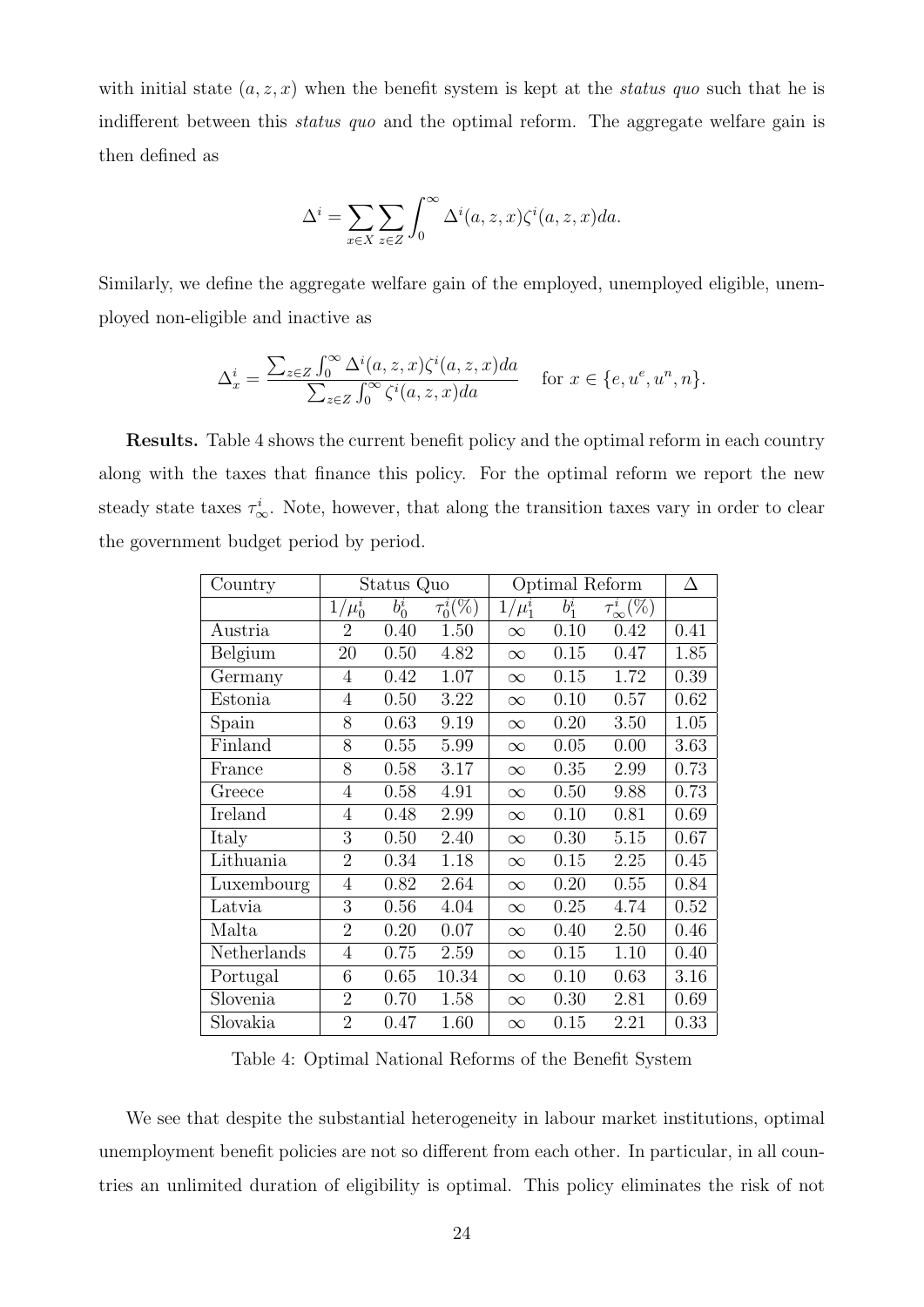with initial state  $(a, z, x)$  when the benefit system is kept at the status quo such that he is indifferent between this *status quo* and the optimal reform. The aggregate welfare gain is then defined as

$$
\Delta^{i} = \sum_{x \in X} \sum_{z \in Z} \int_{0}^{\infty} \Delta^{i}(a, z, x) \zeta^{i}(a, z, x) da.
$$

Similarly, we define the aggregate welfare gain of the employed, unemployed eligible, unemployed non-eligible and inactive as

$$
\Delta_x^i = \frac{\sum_{z \in Z} \int_0^\infty \Delta^i(a, z, x) \zeta^i(a, z, x) da}{\sum_{z \in Z} \int_0^\infty \zeta^i(a, z, x) da} \quad \text{for } x \in \{e, u^e, u^n, n\}.
$$

Results. Table [4](#page-23-0) shows the current benefit policy and the optimal reform in each country along with the taxes that finance this policy. For the optimal reform we report the new steady state taxes  $\tau_{\infty}^{i}$ . Note, however, that along the transition taxes vary in order to clear the government budget period by period.

| Country     |                | Status Quo         |                                     | Optimal Reform |         |                     | Δ    |
|-------------|----------------|--------------------|-------------------------------------|----------------|---------|---------------------|------|
|             | $1/\mu_0^i$    | $\overline{b}_0^i$ | $\tau_0^i(\overline{\mathbb{V}_0})$ | $1/\mu_1^i$    | $b_1^i$ | $\tau^i_\infty(\%)$ |      |
| Austria     | $\overline{2}$ | 0.40               | 1.50                                | $\infty$       | 0.10    | 0.42                | 0.41 |
| Belgium     | 20             | 0.50               | 4.82                                | $\infty$       | 0.15    | 0.47                | 1.85 |
| Germany     | 4              | 0.42               | 1.07                                | $\infty$       | 0.15    | 1.72                | 0.39 |
| Estonia     | 4              | 0.50               | 3.22                                | $\infty$       | 0.10    | 0.57                | 0.62 |
| Spain       | 8              | 0.63               | 9.19                                | $\infty$       | 0.20    | 3.50                | 1.05 |
| Finland     | 8              | 0.55               | 5.99                                | $\infty$       | 0.05    | 0.00                | 3.63 |
| France      | 8              | 0.58               | 3.17                                | $\infty$       | 0.35    | 2.99                | 0.73 |
| Greece      | 4              | 0.58               | 4.91                                | $\infty$       | 0.50    | 9.88                | 0.73 |
| Ireland     | 4              | 0.48               | 2.99                                | $\infty$       | 0.10    | 0.81                | 0.69 |
| Italy       | 3              | 0.50               | 2.40                                | $\infty$       | 0.30    | 5.15                | 0.67 |
| Lithuania   | $\overline{2}$ | 0.34               | 1.18                                | $\infty$       | 0.15    | 2.25                | 0.45 |
| Luxembourg  | $\overline{4}$ | 0.82               | 2.64                                | $\infty$       | 0.20    | 0.55                | 0.84 |
| Latvia      | 3              | 0.56               | 4.04                                | $\infty$       | 0.25    | 4.74                | 0.52 |
| Malta       | $\overline{2}$ | 0.20               | 0.07                                | $\infty$       | 0.40    | 2.50                | 0.46 |
| Netherlands | $\overline{4}$ | 0.75               | 2.59                                | $\infty$       | 0.15    | 1.10                | 0.40 |
| Portugal    | 6              | 0.65               | 10.34                               | $\infty$       | 0.10    | 0.63                | 3.16 |
| Slovenia    | $\overline{2}$ | 0.70               | 1.58                                | $\infty$       | 0.30    | 2.81                | 0.69 |
| Slovakia    | $\overline{2}$ | 0.47               | 1.60                                | $\infty$       | 0.15    | 2.21                | 0.33 |

<span id="page-23-0"></span>Table 4: Optimal National Reforms of the Benefit System

We see that despite the substantial heterogeneity in labour market institutions, optimal unemployment benefit policies are not so different from each other. In particular, in all countries an unlimited duration of eligibility is optimal. This policy eliminates the risk of not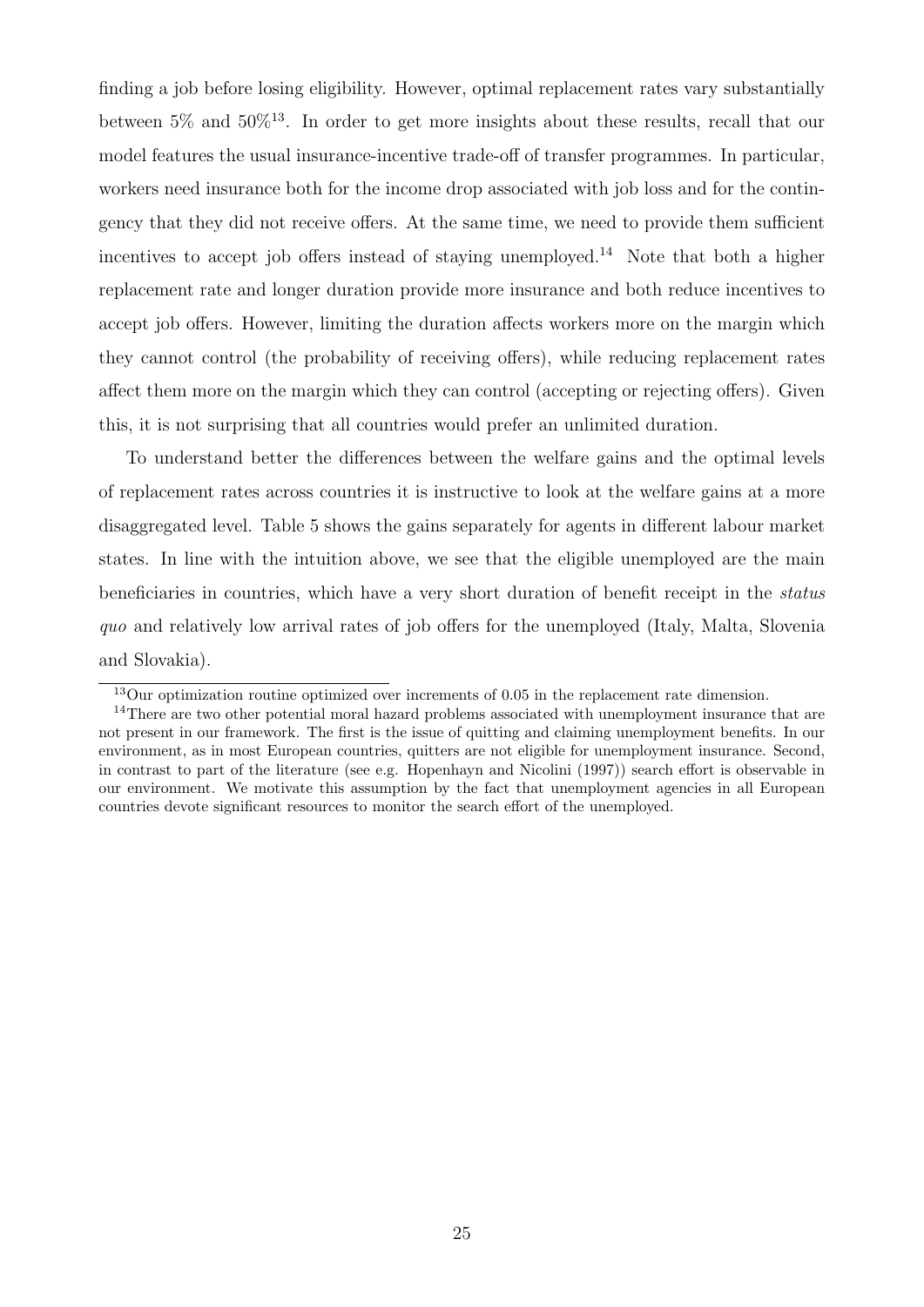finding a job before losing eligibility. However, optimal replacement rates vary substantially between  $5\%$  and  $50\%$ <sup>[13](#page-0-0)</sup>. In order to get more insights about these results, recall that our model features the usual insurance-incentive trade-off of transfer programmes. In particular, workers need insurance both for the income drop associated with job loss and for the contingency that they did not receive offers. At the same time, we need to provide them sufficient incentives to accept job offers instead of staying unemployed.<sup>[14](#page-0-0)</sup> Note that both a higher replacement rate and longer duration provide more insurance and both reduce incentives to accept job offers. However, limiting the duration affects workers more on the margin which they cannot control (the probability of receiving offers), while reducing replacement rates affect them more on the margin which they can control (accepting or rejecting offers). Given this, it is not surprising that all countries would prefer an unlimited duration.

To understand better the differences between the welfare gains and the optimal levels of replacement rates across countries it is instructive to look at the welfare gains at a more disaggregated level. Table [5](#page-25-0) shows the gains separately for agents in different labour market states. In line with the intuition above, we see that the eligible unemployed are the main beneficiaries in countries, which have a very short duration of benefit receipt in the status quo and relatively low arrival rates of job offers for the unemployed (Italy, Malta, Slovenia and Slovakia).

<sup>&</sup>lt;sup>13</sup>Our optimization routine optimized over increments of 0.05 in the replacement rate dimension.

<sup>&</sup>lt;sup>14</sup>There are two other potential moral hazard problems associated with unemployment insurance that are not present in our framework. The first is the issue of quitting and claiming unemployment benefits. In our environment, as in most European countries, quitters are not eligible for unemployment insurance. Second, in contrast to part of the literature (see e.g. [Hopenhayn and Nicolini \(1997\)](#page-48-11)) search effort is observable in our environment. We motivate this assumption by the fact that unemployment agencies in all European countries devote significant resources to monitor the search effort of the unemployed.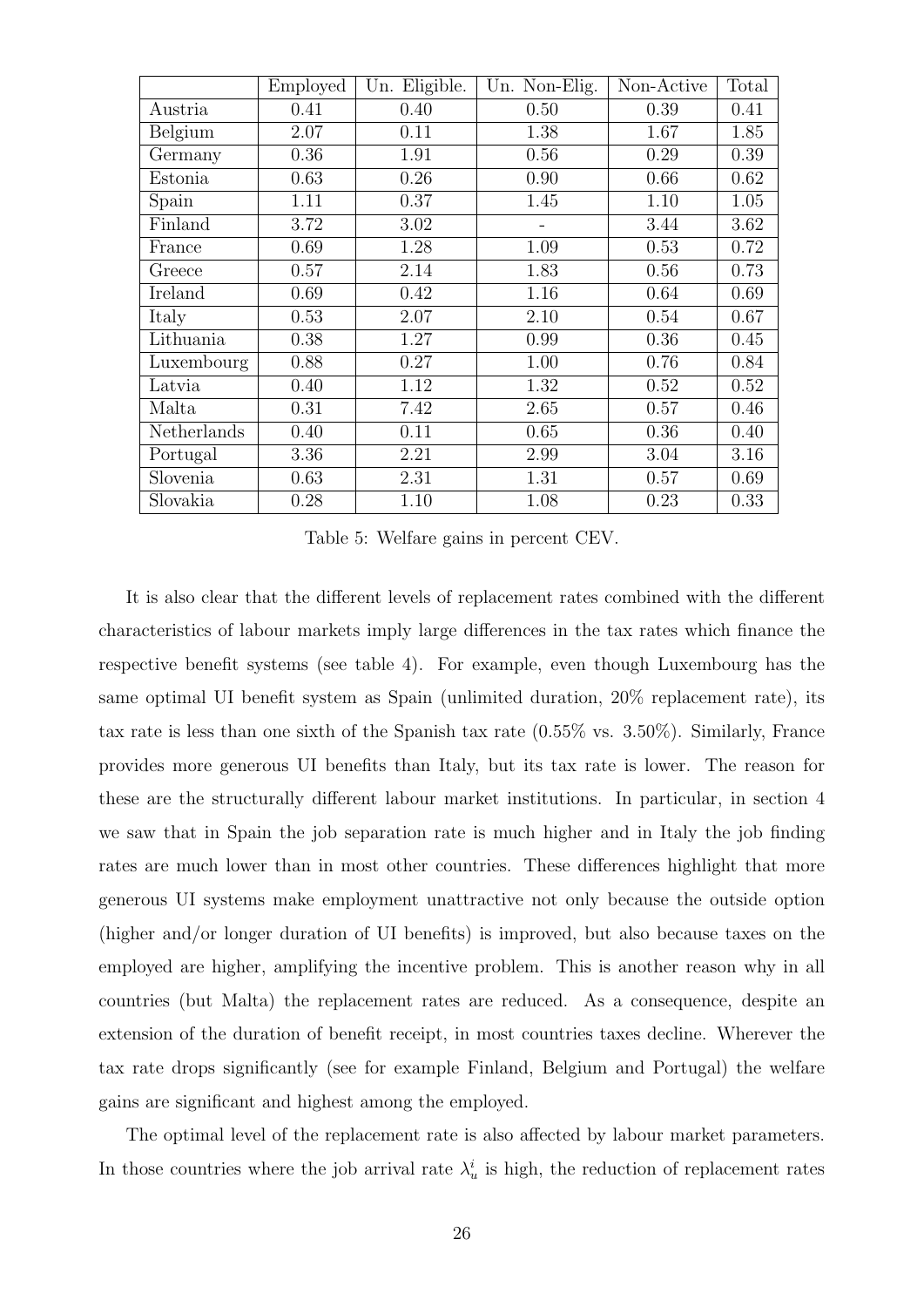|             | Employed | Un. Eligible. | Un. Non-Elig. | Non-Active | Total |
|-------------|----------|---------------|---------------|------------|-------|
| Austria     | 0.41     | 0.40          | 0.50          | 0.39       | 0.41  |
| Belgium     | 2.07     | 0.11          | 1.38          | 1.67       | 1.85  |
| Germany     | 0.36     | 1.91          | 0.56          | 0.29       | 0.39  |
| Estonia     | 0.63     | 0.26          | 0.90          | 0.66       | 0.62  |
| Spain       | 1.11     | 0.37          | 1.45          | 1.10       | 1.05  |
| Finland     | 3.72     | 3.02          |               | 3.44       | 3.62  |
| France      | 0.69     | 1.28          | 1.09          | 0.53       | 0.72  |
| Greece      | 0.57     | 2.14          | 1.83          | 0.56       | 0.73  |
| Ireland     | 0.69     | 0.42          | 1.16          | 0.64       | 0.69  |
| Italy       | 0.53     | 2.07          | 2.10          | 0.54       | 0.67  |
| Lithuania   | 0.38     | 1.27          | 0.99          | 0.36       | 0.45  |
| Luxembourg  | 0.88     | 0.27          | 1.00          | 0.76       | 0.84  |
| Latvia      | 0.40     | 1.12          | 1.32          | 0.52       | 0.52  |
| Malta       | 0.31     | 7.42          | 2.65          | 0.57       | 0.46  |
| Netherlands | 0.40     | 0.11          | 0.65          | 0.36       | 0.40  |
| Portugal    | 3.36     | 2.21          | 2.99          | 3.04       | 3.16  |
| Slovenia    | 0.63     | 2.31          | 1.31          | 0.57       | 0.69  |
| Slovakia    | 0.28     | 1.10          | 1.08          | 0.23       | 0.33  |

<span id="page-25-0"></span>Table 5: Welfare gains in percent CEV.

It is also clear that the different levels of replacement rates combined with the different characteristics of labour markets imply large differences in the tax rates which finance the respective benefit systems (see table [4\)](#page-23-0). For example, even though Luxembourg has the same optimal UI benefit system as Spain (unlimited duration, 20% replacement rate), its tax rate is less than one sixth of the Spanish tax rate (0.55% vs. 3.50%). Similarly, France provides more generous UI benefits than Italy, but its tax rate is lower. The reason for these are the structurally different labour market institutions. In particular, in section [4](#page-15-0) we saw that in Spain the job separation rate is much higher and in Italy the job finding rates are much lower than in most other countries. These differences highlight that more generous UI systems make employment unattractive not only because the outside option (higher and/or longer duration of UI benefits) is improved, but also because taxes on the employed are higher, amplifying the incentive problem. This is another reason why in all countries (but Malta) the replacement rates are reduced. As a consequence, despite an extension of the duration of benefit receipt, in most countries taxes decline. Wherever the tax rate drops significantly (see for example Finland, Belgium and Portugal) the welfare gains are significant and highest among the employed.

The optimal level of the replacement rate is also affected by labour market parameters. In those countries where the job arrival rate  $\lambda_u^i$  is high, the reduction of replacement rates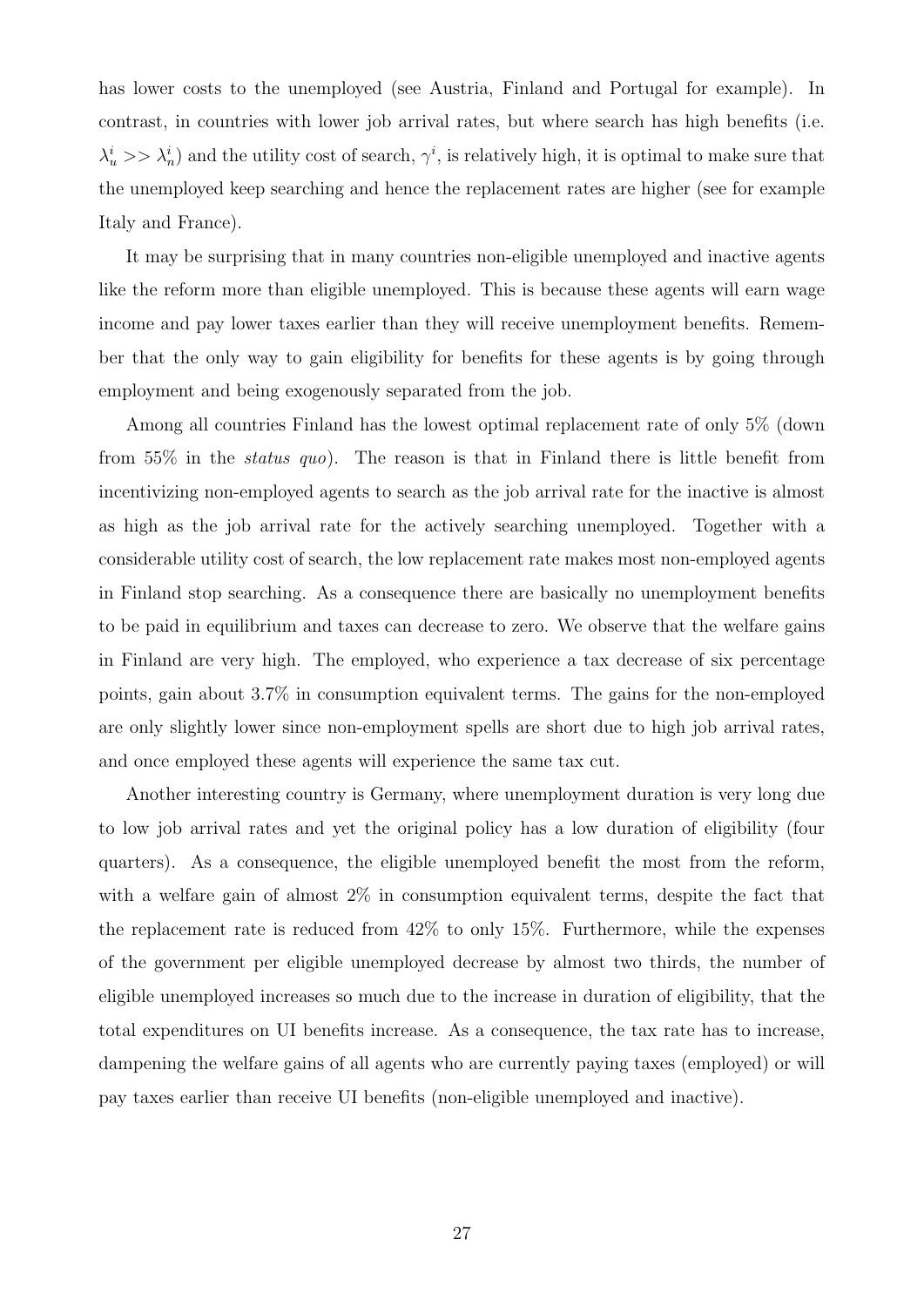has lower costs to the unemployed (see Austria, Finland and Portugal for example). In contrast, in countries with lower job arrival rates, but where search has high benefits (i.e.  $\lambda_u^i >> \lambda_n^i$  and the utility cost of search,  $\gamma_i^i$ , is relatively high, it is optimal to make sure that the unemployed keep searching and hence the replacement rates are higher (see for example Italy and France).

It may be surprising that in many countries non-eligible unemployed and inactive agents like the reform more than eligible unemployed. This is because these agents will earn wage income and pay lower taxes earlier than they will receive unemployment benefits. Remember that the only way to gain eligibility for benefits for these agents is by going through employment and being exogenously separated from the job.

Among all countries Finland has the lowest optimal replacement rate of only 5% (down from 55% in the status quo). The reason is that in Finland there is little benefit from incentivizing non-employed agents to search as the job arrival rate for the inactive is almost as high as the job arrival rate for the actively searching unemployed. Together with a considerable utility cost of search, the low replacement rate makes most non-employed agents in Finland stop searching. As a consequence there are basically no unemployment benefits to be paid in equilibrium and taxes can decrease to zero. We observe that the welfare gains in Finland are very high. The employed, who experience a tax decrease of six percentage points, gain about 3.7% in consumption equivalent terms. The gains for the non-employed are only slightly lower since non-employment spells are short due to high job arrival rates, and once employed these agents will experience the same tax cut.

Another interesting country is Germany, where unemployment duration is very long due to low job arrival rates and yet the original policy has a low duration of eligibility (four quarters). As a consequence, the eligible unemployed benefit the most from the reform, with a welfare gain of almost  $2\%$  in consumption equivalent terms, despite the fact that the replacement rate is reduced from 42% to only 15%. Furthermore, while the expenses of the government per eligible unemployed decrease by almost two thirds, the number of eligible unemployed increases so much due to the increase in duration of eligibility, that the total expenditures on UI benefits increase. As a consequence, the tax rate has to increase, dampening the welfare gains of all agents who are currently paying taxes (employed) or will pay taxes earlier than receive UI benefits (non-eligible unemployed and inactive).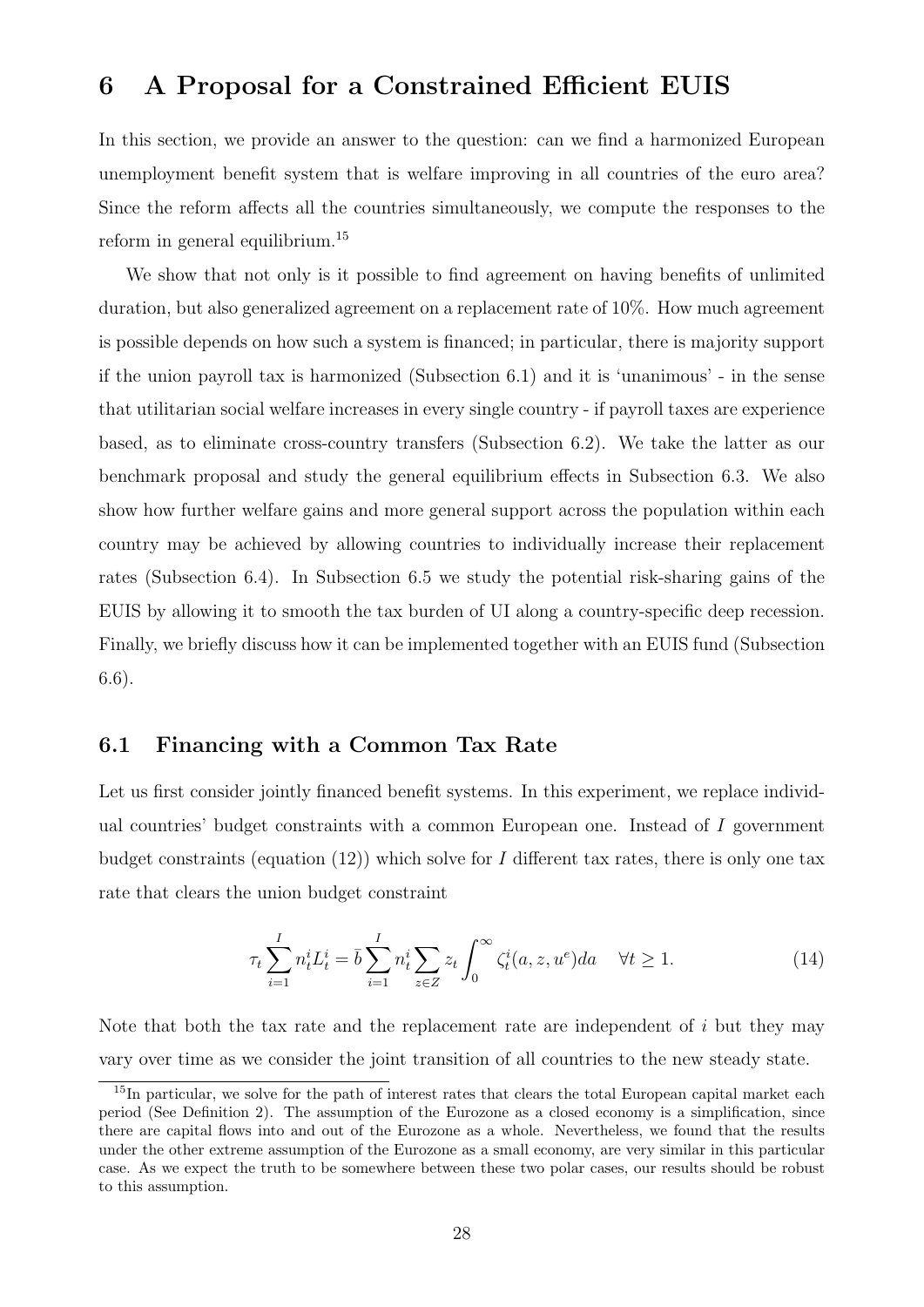### <span id="page-27-0"></span>6 A Proposal for a Constrained Efficient EUIS

In this section, we provide an answer to the question: can we find a harmonized European unemployment benefit system that is welfare improving in all countries of the euro area? Since the reform affects all the countries simultaneously, we compute the responses to the reform in general equilibrium.[15](#page-0-0)

We show that not only is it possible to find agreement on having benefits of unlimited duration, but also generalized agreement on a replacement rate of 10%. How much agreement is possible depends on how such a system is financed; in particular, there is majority support if the union payroll tax is harmonized (Subsection [6.1\)](#page-27-1) and it is 'unanimous' - in the sense that utilitarian social welfare increases in every single country - if payroll taxes are experience based, as to eliminate cross-country transfers (Subsection [6.2\)](#page-29-0). We take the latter as our benchmark proposal and study the general equilibrium effects in Subsection [6.3.](#page-33-0) We also show how further welfare gains and more general support across the population within each country may be achieved by allowing countries to individually increase their replacement rates (Subsection [6.4\)](#page-35-0). In Subsection [6.5](#page-37-0) we study the potential risk-sharing gains of the EUIS by allowing it to smooth the tax burden of UI along a country-specific deep recession. Finally, we briefly discuss how it can be implemented together with an EUIS fund (Subsection [6.6\)](#page-43-0).

#### <span id="page-27-1"></span>6.1 Financing with a Common Tax Rate

Let us first consider jointly financed benefit systems. In this experiment, we replace individual countries' budget constraints with a common European one. Instead of I government budget constraints (equation  $(12)$ ) which solve for I different tax rates, there is only one tax rate that clears the union budget constraint

<span id="page-27-2"></span>
$$
\tau_t \sum_{i=1}^I n_t^i L_t^i = \bar{b} \sum_{i=1}^I n_t^i \sum_{z \in Z} z_t \int_0^\infty \zeta_t^i(a, z, u^e) da \quad \forall t \ge 1.
$$
 (14)

Note that both the tax rate and the replacement rate are independent of  $i$  but they may vary over time as we consider the joint transition of all countries to the new steady state.

<sup>&</sup>lt;sup>15</sup>In particular, we solve for the path of interest rates that clears the total European capital market each period (See Definition [2\)](#page-14-1). The assumption of the Eurozone as a closed economy is a simplification, since there are capital flows into and out of the Eurozone as a whole. Nevertheless, we found that the results under the other extreme assumption of the Eurozone as a small economy, are very similar in this particular case. As we expect the truth to be somewhere between these two polar cases, our results should be robust to this assumption.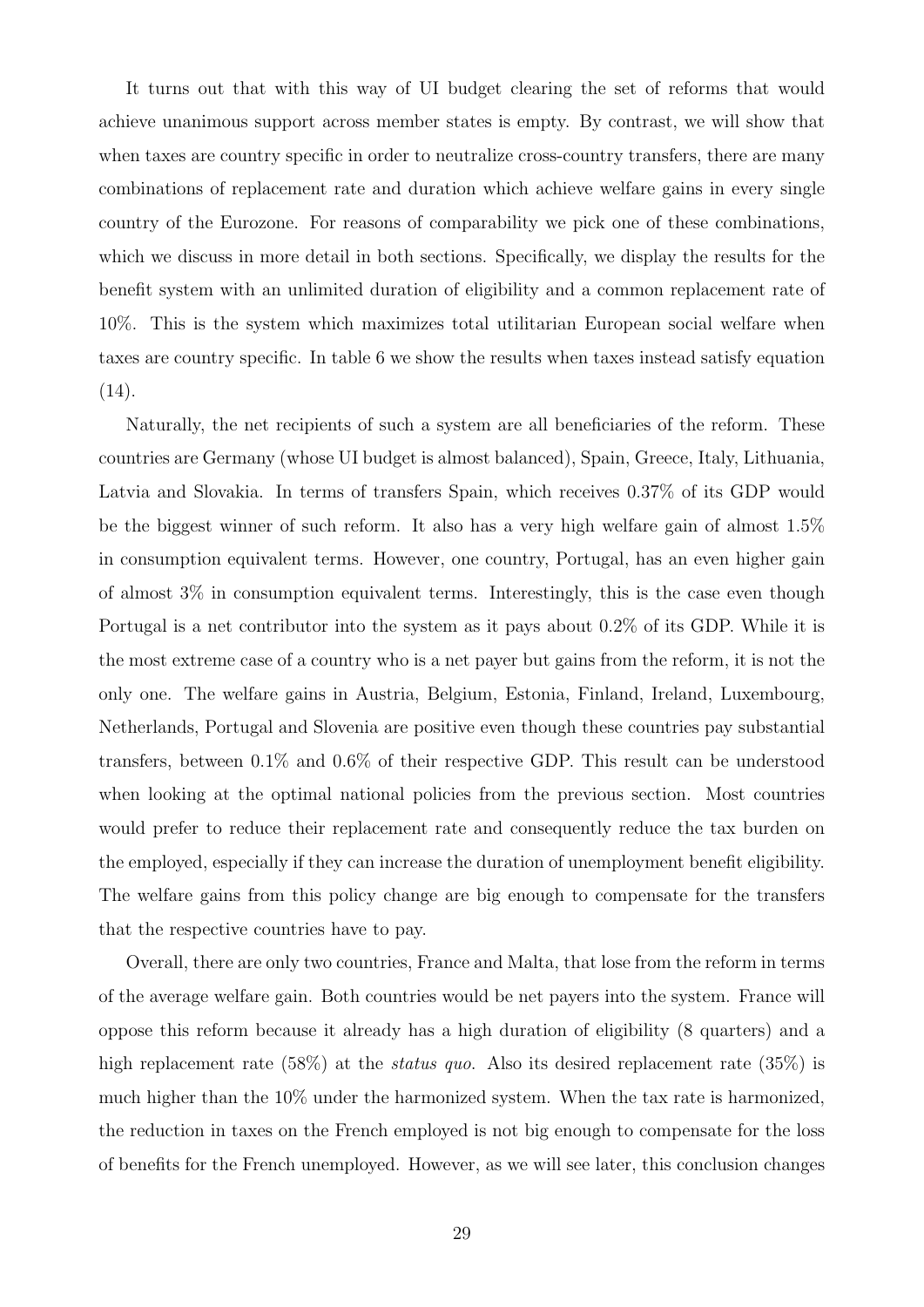It turns out that with this way of UI budget clearing the set of reforms that would achieve unanimous support across member states is empty. By contrast, we will show that when taxes are country specific in order to neutralize cross-country transfers, there are many combinations of replacement rate and duration which achieve welfare gains in every single country of the Eurozone. For reasons of comparability we pick one of these combinations, which we discuss in more detail in both sections. Specifically, we display the results for the benefit system with an unlimited duration of eligibility and a common replacement rate of 10%. This is the system which maximizes total utilitarian European social welfare when taxes are country specific. In table [6](#page-29-1) we show the results when taxes instead satisfy equation [\(14\)](#page-27-2).

Naturally, the net recipients of such a system are all beneficiaries of the reform. These countries are Germany (whose UI budget is almost balanced), Spain, Greece, Italy, Lithuania, Latvia and Slovakia. In terms of transfers Spain, which receives 0.37% of its GDP would be the biggest winner of such reform. It also has a very high welfare gain of almost 1.5% in consumption equivalent terms. However, one country, Portugal, has an even higher gain of almost 3% in consumption equivalent terms. Interestingly, this is the case even though Portugal is a net contributor into the system as it pays about 0.2% of its GDP. While it is the most extreme case of a country who is a net payer but gains from the reform, it is not the only one. The welfare gains in Austria, Belgium, Estonia, Finland, Ireland, Luxembourg, Netherlands, Portugal and Slovenia are positive even though these countries pay substantial transfers, between 0.1% and 0.6% of their respective GDP. This result can be understood when looking at the optimal national policies from the previous section. Most countries would prefer to reduce their replacement rate and consequently reduce the tax burden on the employed, especially if they can increase the duration of unemployment benefit eligibility. The welfare gains from this policy change are big enough to compensate for the transfers that the respective countries have to pay.

Overall, there are only two countries, France and Malta, that lose from the reform in terms of the average welfare gain. Both countries would be net payers into the system. France will oppose this reform because it already has a high duration of eligibility (8 quarters) and a high replacement rate (58%) at the *status quo*. Also its desired replacement rate (35%) is much higher than the 10% under the harmonized system. When the tax rate is harmonized, the reduction in taxes on the French employed is not big enough to compensate for the loss of benefits for the French unemployed. However, as we will see later, this conclusion changes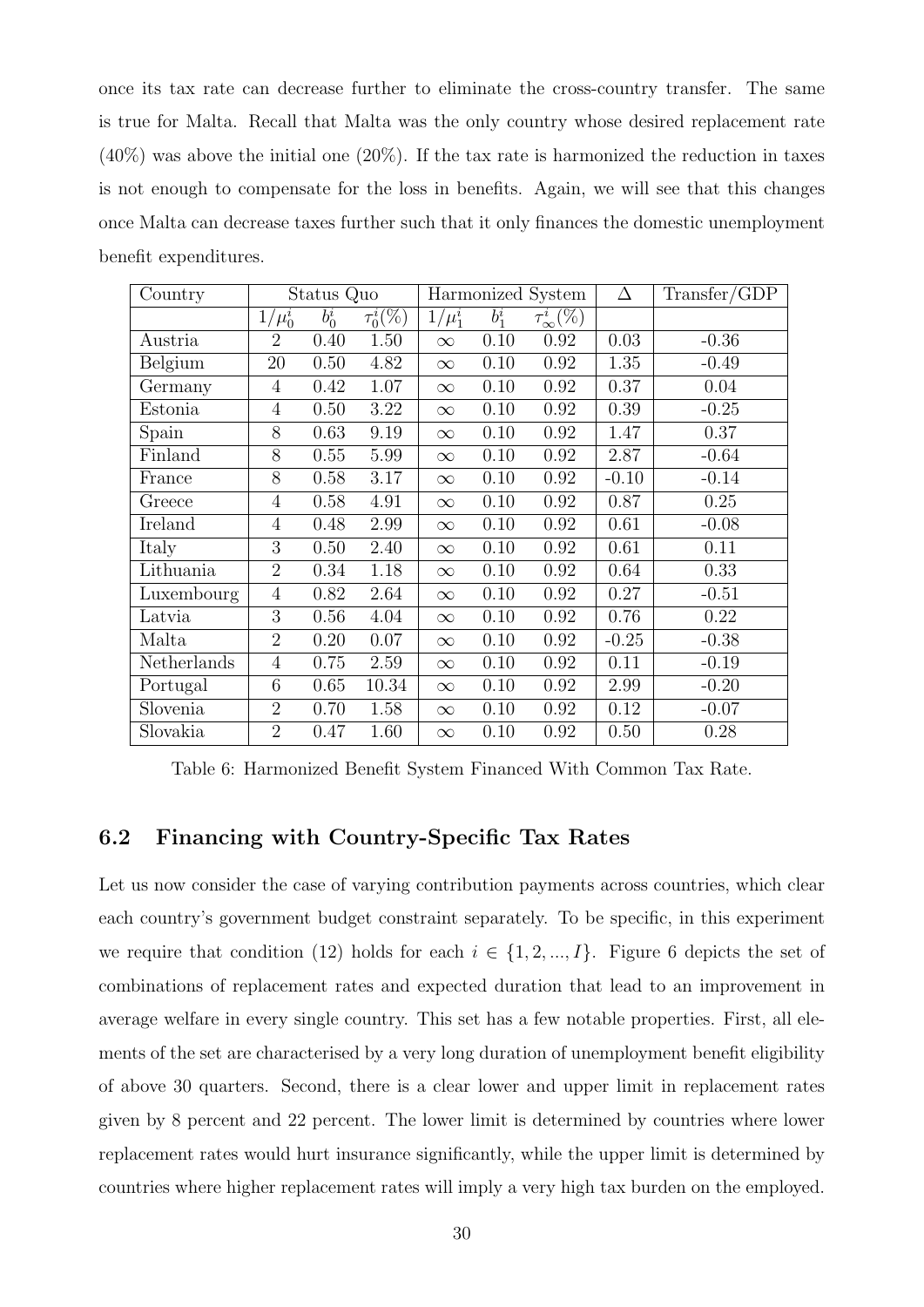once its tax rate can decrease further to eliminate the cross-country transfer. The same is true for Malta. Recall that Malta was the only country whose desired replacement rate  $(40\%)$  was above the initial one  $(20\%)$ . If the tax rate is harmonized the reduction in taxes is not enough to compensate for the loss in benefits. Again, we will see that this changes once Malta can decrease taxes further such that it only finances the domestic unemployment benefit expenditures.

| Country     |                | Status Quo |                           |             |         | Harmonized System   | Δ       | Transfer/GDP |
|-------------|----------------|------------|---------------------------|-------------|---------|---------------------|---------|--------------|
|             | $1/\mu_0^i$    | $b_0^i$    | $\tau_0^i(\overline{\%})$ | $1/\mu_1^i$ | $b_1^i$ | $\tau^i_\infty(\%)$ |         |              |
| Austria     | $\overline{2}$ | 0.40       | 1.50                      | $\infty$    | 0.10    | 0.92                | 0.03    | $-0.36$      |
| Belgium     | 20             | 0.50       | 4.82                      | $\infty$    | 0.10    | 0.92                | 1.35    | $-0.49$      |
| Germany     | 4              | 0.42       | 1.07                      | $\infty$    | 0.10    | 0.92                | 0.37    | 0.04         |
| Estonia     | $\overline{4}$ | 0.50       | 3.22                      | $\infty$    | 0.10    | 0.92                | 0.39    | $-0.25$      |
| Spain       | 8              | 0.63       | 9.19                      | $\infty$    | 0.10    | 0.92                | 1.47    | 0.37         |
| Finland     | 8              | 0.55       | 5.99                      | $\infty$    | 0.10    | 0.92                | 2.87    | $-0.64$      |
| France      | 8              | 0.58       | 3.17                      | $\infty$    | 0.10    | 0.92                | $-0.10$ | $-0.14$      |
| Greece      | $\overline{4}$ | 0.58       | 4.91                      | $\infty$    | 0.10    | 0.92                | 0.87    | 0.25         |
| Ireland     | 4              | 0.48       | 2.99                      | $\infty$    | 0.10    | 0.92                | 0.61    | $-0.08$      |
| Italy       | 3              | 0.50       | 2.40                      | $\infty$    | 0.10    | 0.92                | 0.61    | 0.11         |
| Lithuania   | $\overline{2}$ | 0.34       | 1.18                      | $\infty$    | 0.10    | 0.92                | 0.64    | 0.33         |
| Luxembourg  | $\overline{4}$ | 0.82       | 2.64                      | $\infty$    | 0.10    | 0.92                | 0.27    | $-0.51$      |
| Latvia      | 3              | 0.56       | 4.04                      | $\infty$    | 0.10    | 0.92                | 0.76    | 0.22         |
| Malta       | $\overline{2}$ | 0.20       | 0.07                      | $\infty$    | 0.10    | 0.92                | $-0.25$ | $-0.38$      |
| Netherlands | $\overline{4}$ | 0.75       | 2.59                      | $\infty$    | 0.10    | 0.92                | 0.11    | $-0.19$      |
| Portugal    | 6              | 0.65       | 10.34                     | $\infty$    | 0.10    | 0.92                | 2.99    | $-0.20$      |
| Slovenia    | $\overline{2}$ | 0.70       | 1.58                      | $\infty$    | 0.10    | 0.92                | 0.12    | $-0.07$      |
| Slovakia    | $\overline{2}$ | 0.47       | 1.60                      | $\infty$    | 0.10    | 0.92                | 0.50    | 0.28         |

<span id="page-29-1"></span>Table 6: Harmonized Benefit System Financed With Common Tax Rate.

#### <span id="page-29-0"></span>6.2 Financing with Country-Specific Tax Rates

Let us now consider the case of varying contribution payments across countries, which clear each country's government budget constraint separately. To be specific, in this experiment we require that condition [\(12\)](#page-14-0) holds for each  $i \in \{1, 2, ..., I\}$ . Figure [6](#page-30-0) depicts the set of combinations of replacement rates and expected duration that lead to an improvement in average welfare in every single country. This set has a few notable properties. First, all elements of the set are characterised by a very long duration of unemployment benefit eligibility of above 30 quarters. Second, there is a clear lower and upper limit in replacement rates given by 8 percent and 22 percent. The lower limit is determined by countries where lower replacement rates would hurt insurance significantly, while the upper limit is determined by countries where higher replacement rates will imply a very high tax burden on the employed.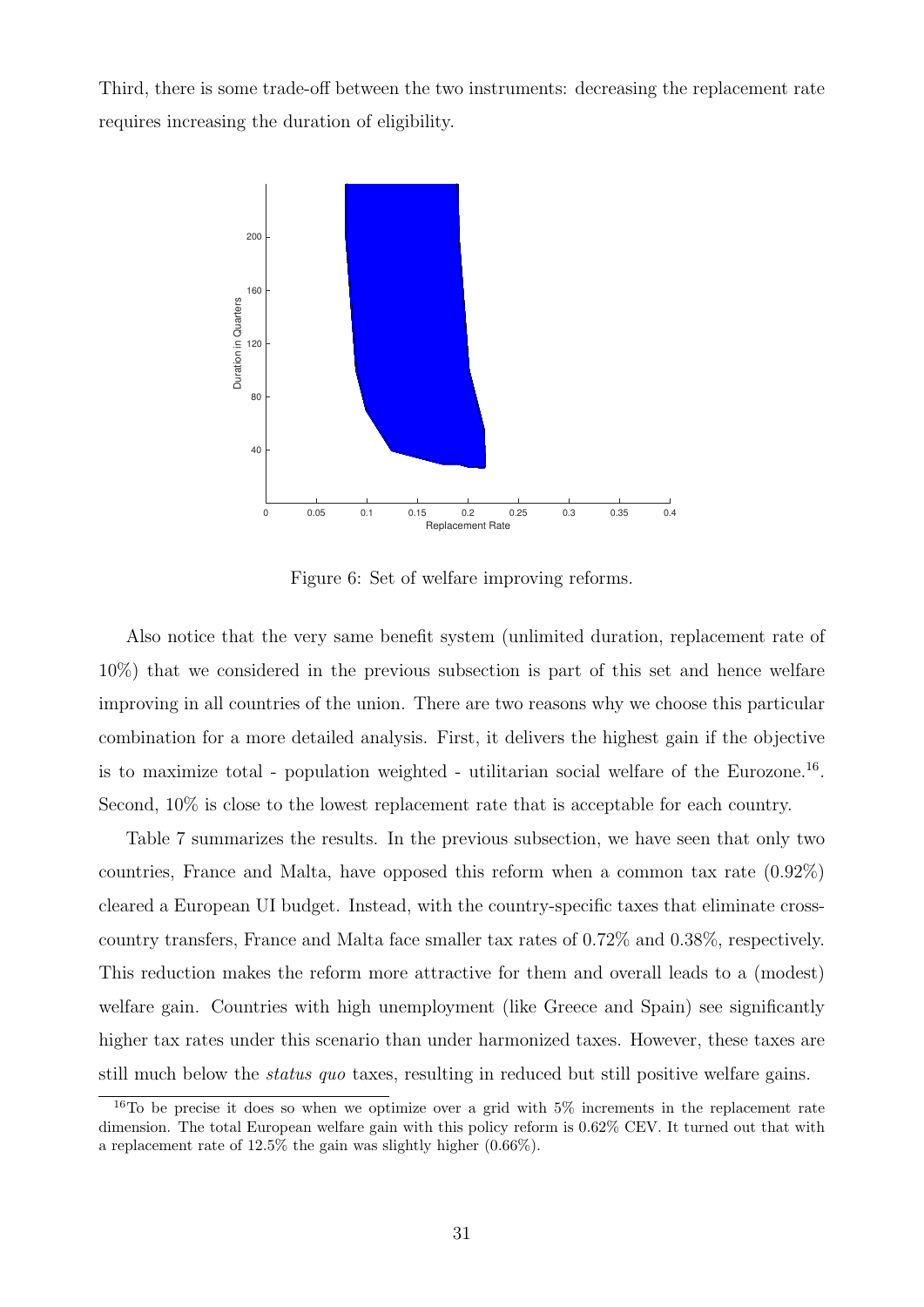Third, there is some trade-off between the two instruments: decreasing the replacement rate requires increasing the duration of eligibility.



<span id="page-30-0"></span>Figure 6: Set of welfare improving reforms.

Also notice that the very same benefit system (unlimited duration, replacement rate of 10%) that we considered in the previous subsection is part of this set and hence welfare improving in all countries of the union. There are two reasons why we choose this particular combination for a more detailed analysis. First, it delivers the highest gain if the objective is to maximize total - population weighted - utilitarian social welfare of the Eurozone.<sup>[16](#page-0-0)</sup>. Second, 10% is close to the lowest replacement rate that is acceptable for each country.

Table [7](#page-31-0) summarizes the results. In the previous subsection, we have seen that only two countries, France and Malta, have opposed this reform when a common tax rate (0.92%) cleared a European UI budget. Instead, with the country-specific taxes that eliminate crosscountry transfers, France and Malta face smaller tax rates of 0.72% and 0.38%, respectively. This reduction makes the reform more attractive for them and overall leads to a (modest) welfare gain. Countries with high unemployment (like Greece and Spain) see significantly higher tax rates under this scenario than under harmonized taxes. However, these taxes are still much below the *status quo* taxes, resulting in reduced but still positive welfare gains.

 $16T<sub>0</sub>$  be precise it does so when we optimize over a grid with  $5\%$  increments in the replacement rate dimension. The total European welfare gain with this policy reform is 0.62% CEV. It turned out that with a replacement rate of 12.5% the gain was slightly higher (0.66%).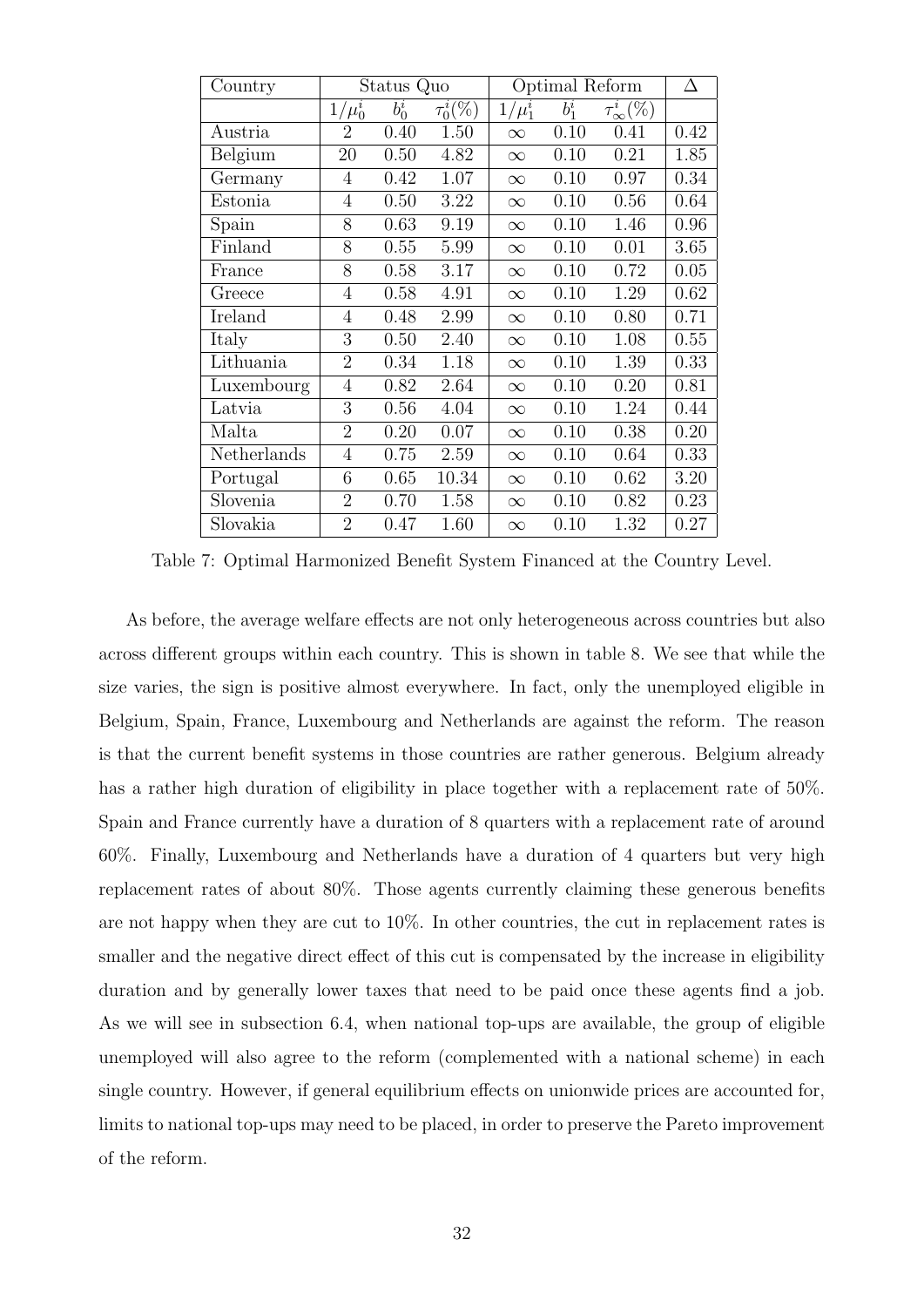<span id="page-31-0"></span>

| Country     |                | Status Quo         |                                    | Optimal Reform |         |                     | Δ    |
|-------------|----------------|--------------------|------------------------------------|----------------|---------|---------------------|------|
|             | $1/\mu_0^i$    | $\overline{b}_0^i$ | $\tau_0^i(\overline{\mathcal{K}})$ | $1/\mu_1^i$    | $b_1^i$ | $\tau^i_\infty(\%)$ |      |
| Austria     | $\overline{2}$ | 0.40               | 1.50                               | $\infty$       | 0.10    | 0.41                | 0.42 |
| Belgium     | 20             | 0.50               | 4.82                               | $\infty$       | 0.10    | 0.21                | 1.85 |
| Germany     | $\overline{4}$ | 0.42               | 1.07                               | $\infty$       | 0.10    | 0.97                | 0.34 |
| Estonia     | 4              | 0.50               | 3.22                               | $\infty$       | 0.10    | 0.56                | 0.64 |
| Spain       | 8              | 0.63               | 9.19                               | $\infty$       | 0.10    | 1.46                | 0.96 |
| Finland     | 8              | 0.55               | 5.99                               | $\infty$       | 0.10    | 0.01                | 3.65 |
| France      | 8              | 0.58               | 3.17                               | $\infty$       | 0.10    | 0.72                | 0.05 |
| Greece      | $\overline{4}$ | 0.58               | 4.91                               | $\infty$       | 0.10    | 1.29                | 0.62 |
| Ireland     | 4              | 0.48               | 2.99                               | $\infty$       | 0.10    | 0.80                | 0.71 |
| Italy       | 3              | 0.50               | 2.40                               | $\infty$       | 0.10    | 1.08                | 0.55 |
| Lithuania   | $\overline{2}$ | 0.34               | 1.18                               | $\infty$       | 0.10    | 1.39                | 0.33 |
| Luxembourg  | 4              | 0.82               | 2.64                               | $\infty$       | 0.10    | 0.20                | 0.81 |
| Latvia      | 3              | 0.56               | 4.04                               | $\infty$       | 0.10    | 1.24                | 0.44 |
| Malta       | $\overline{2}$ | 0.20               | 0.07                               | $\infty$       | 0.10    | 0.38                | 0.20 |
| Netherlands | $\overline{4}$ | 0.75               | 2.59                               | $\infty$       | 0.10    | 0.64                | 0.33 |
| Portugal    | 6              | 0.65               | 10.34                              | $\infty$       | 0.10    | 0.62                | 3.20 |
| Slovenia    | $\overline{2}$ | 0.70               | 1.58                               | $\infty$       | 0.10    | 0.82                | 0.23 |
| Slovakia    | $\overline{2}$ | 0.47               | 1.60                               | $\infty$       | 0.10    | 1.32                | 0.27 |

Table 7: Optimal Harmonized Benefit System Financed at the Country Level.

As before, the average welfare effects are not only heterogeneous across countries but also across different groups within each country. This is shown in table [8.](#page-32-0) We see that while the size varies, the sign is positive almost everywhere. In fact, only the unemployed eligible in Belgium, Spain, France, Luxembourg and Netherlands are against the reform. The reason is that the current benefit systems in those countries are rather generous. Belgium already has a rather high duration of eligibility in place together with a replacement rate of 50%. Spain and France currently have a duration of 8 quarters with a replacement rate of around 60%. Finally, Luxembourg and Netherlands have a duration of 4 quarters but very high replacement rates of about 80%. Those agents currently claiming these generous benefits are not happy when they are cut to  $10\%$ . In other countries, the cut in replacement rates is smaller and the negative direct effect of this cut is compensated by the increase in eligibility duration and by generally lower taxes that need to be paid once these agents find a job. As we will see in subsection [6.4,](#page-35-0) when national top-ups are available, the group of eligible unemployed will also agree to the reform (complemented with a national scheme) in each single country. However, if general equilibrium effects on unionwide prices are accounted for, limits to national top-ups may need to be placed, in order to preserve the Pareto improvement of the reform.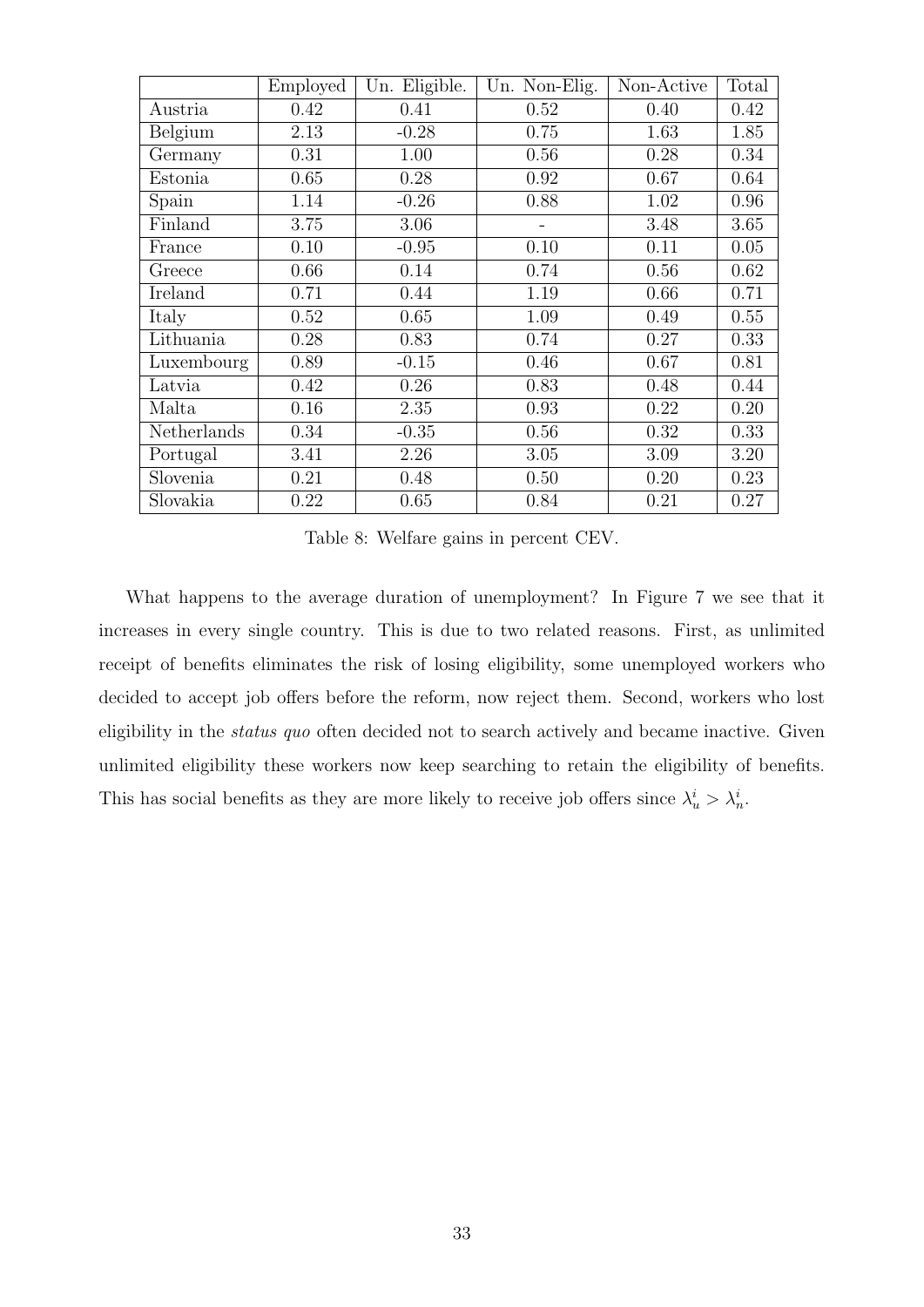|             | Employed | Un. Eligible. | Un. Non-Elig. | Non-Active | Total |
|-------------|----------|---------------|---------------|------------|-------|
| Austria     | 0.42     | 0.41          | 0.52          | 0.40       | 0.42  |
| Belgium     | 2.13     | $-0.28$       | 0.75          | 1.63       | 1.85  |
| Germany     | 0.31     | 1.00          | 0.56          | 0.28       | 0.34  |
| Estonia     | 0.65     | 0.28          | 0.92          | 0.67       | 0.64  |
| Spain       | 1.14     | $-0.26$       | 0.88          | 1.02       | 0.96  |
| Finland     | 3.75     | 3.06          |               | 3.48       | 3.65  |
| France      | 0.10     | $-0.95$       | 0.10          | 0.11       | 0.05  |
| Greece      | 0.66     | 0.14          | 0.74          | 0.56       | 0.62  |
| Ireland     | 0.71     | 0.44          | 1.19          | 0.66       | 0.71  |
| Italy       | 0.52     | 0.65          | 1.09          | 0.49       | 0.55  |
| Lithuania   | 0.28     | 0.83          | 0.74          | 0.27       | 0.33  |
| Luxembourg  | 0.89     | $-0.15$       | 0.46          | 0.67       | 0.81  |
| Latvia      | 0.42     | 0.26          | 0.83          | 0.48       | 0.44  |
| Malta       | 0.16     | 2.35          | 0.93          | 0.22       | 0.20  |
| Netherlands | 0.34     | $-0.35$       | 0.56          | 0.32       | 0.33  |
| Portugal    | 3.41     | 2.26          | 3.05          | 3.09       | 3.20  |
| Slovenia    | 0.21     | 0.48          | 0.50          | 0.20       | 0.23  |
| Slovakia    | 0.22     | 0.65          | 0.84          | 0.21       | 0.27  |

<span id="page-32-0"></span>Table 8: Welfare gains in percent CEV.

What happens to the average duration of unemployment? In Figure [7](#page-33-1) we see that it increases in every single country. This is due to two related reasons. First, as unlimited receipt of benefits eliminates the risk of losing eligibility, some unemployed workers who decided to accept job offers before the reform, now reject them. Second, workers who lost eligibility in the *status quo* often decided not to search actively and became inactive. Given unlimited eligibility these workers now keep searching to retain the eligibility of benefits. This has social benefits as they are more likely to receive job offers since  $\lambda_u^i > \lambda_n^i$ .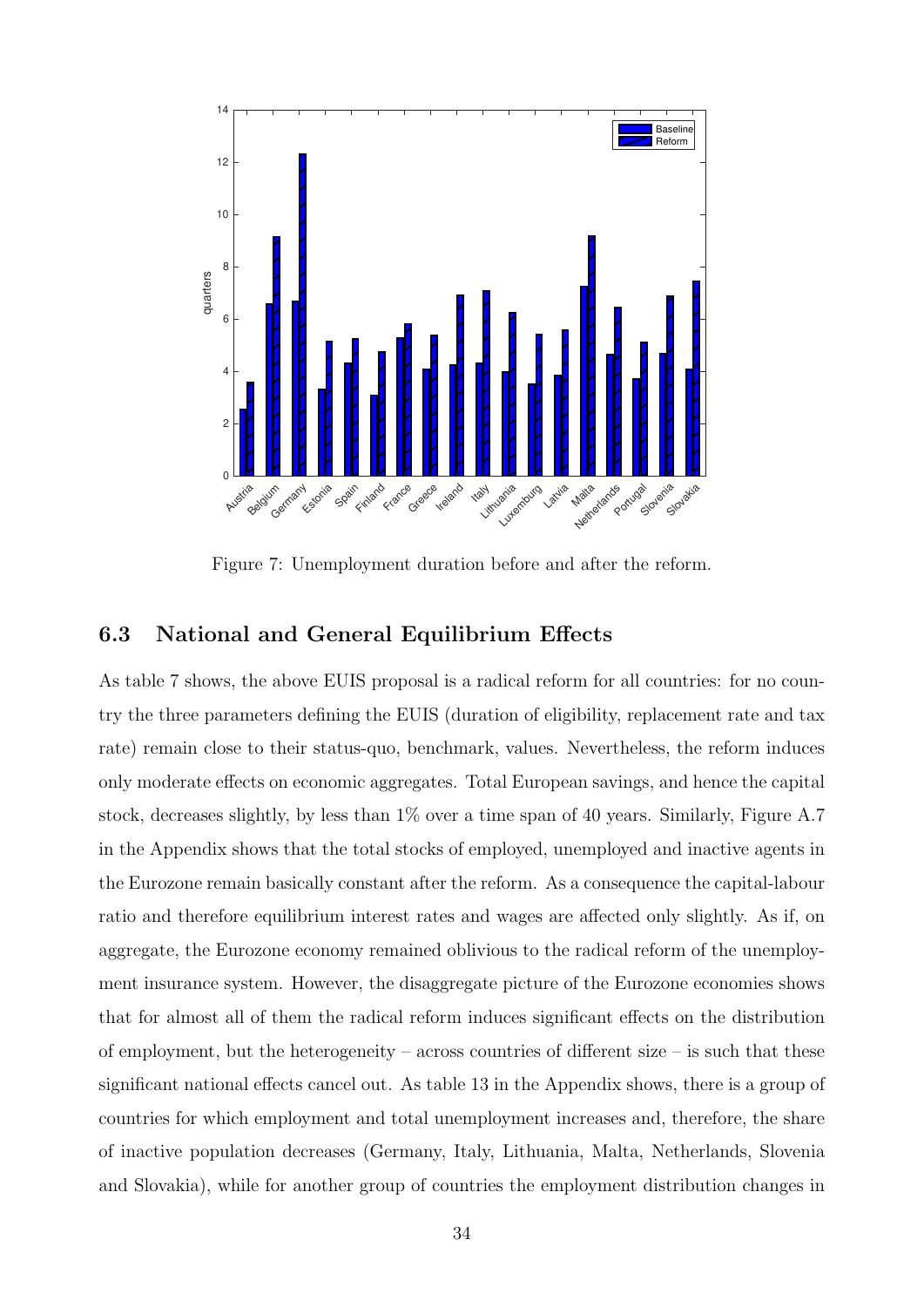

<span id="page-33-1"></span>Figure 7: Unemployment duration before and after the reform.

#### <span id="page-33-0"></span>6.3 National and General Equilibrium Effects

As table [7](#page-31-0) shows, the above EUIS proposal is a radical reform for all countries: for no country the three parameters defining the EUIS (duration of eligibility, replacement rate and tax rate) remain close to their status-quo, benchmark, values. Nevertheless, the reform induces only moderate effects on economic aggregates. Total European savings, and hence the capital stock, decreases slightly, by less than 1% over a time span of 40 years. Similarly, Figure [A.7](#page-33-1) in the Appendix shows that the total stocks of employed, unemployed and inactive agents in the Eurozone remain basically constant after the reform. As a consequence the capital-labour ratio and therefore equilibrium interest rates and wages are affected only slightly. As if, on aggregate, the Eurozone economy remained oblivious to the radical reform of the unemployment insurance system. However, the disaggregate picture of the Eurozone economies shows that for almost all of them the radical reform induces significant effects on the distribution of employment, but the heterogeneity – across countries of different size – is such that these significant national effects cancel out. As table [13](#page-56-0) in the Appendix shows, there is a group of countries for which employment and total unemployment increases and, therefore, the share of inactive population decreases (Germany, Italy, Lithuania, Malta, Netherlands, Slovenia and Slovakia), while for another group of countries the employment distribution changes in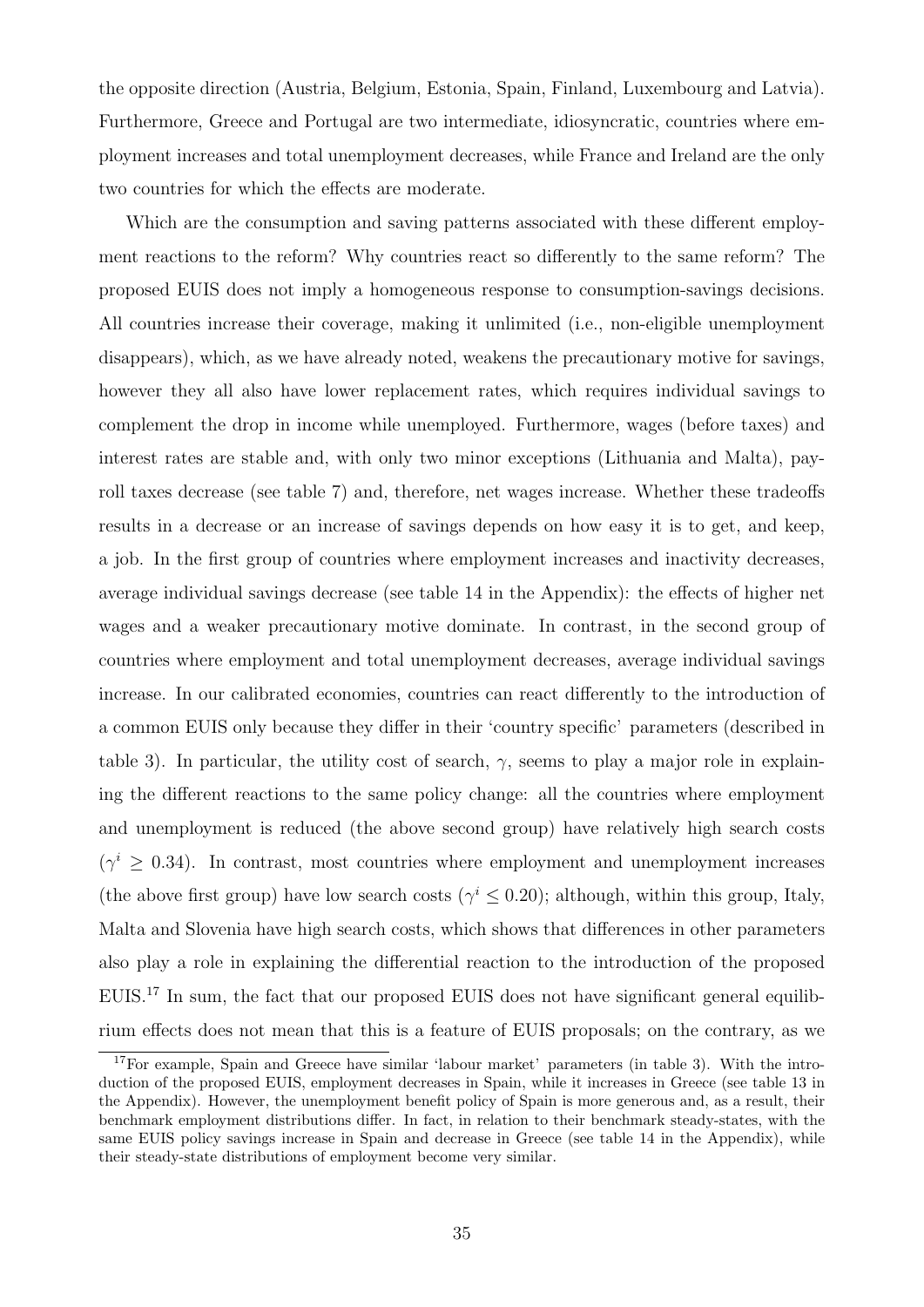the opposite direction (Austria, Belgium, Estonia, Spain, Finland, Luxembourg and Latvia). Furthermore, Greece and Portugal are two intermediate, idiosyncratic, countries where employment increases and total unemployment decreases, while France and Ireland are the only two countries for which the effects are moderate.

Which are the consumption and saving patterns associated with these different employment reactions to the reform? Why countries react so differently to the same reform? The proposed EUIS does not imply a homogeneous response to consumption-savings decisions. All countries increase their coverage, making it unlimited (i.e., non-eligible unemployment disappears), which, as we have already noted, weakens the precautionary motive for savings, however they all also have lower replacement rates, which requires individual savings to complement the drop in income while unemployed. Furthermore, wages (before taxes) and interest rates are stable and, with only two minor exceptions (Lithuania and Malta), payroll taxes decrease (see table [7\)](#page-31-0) and, therefore, net wages increase. Whether these tradeoffs results in a decrease or an increase of savings depends on how easy it is to get, and keep, a job. In the first group of countries where employment increases and inactivity decreases, average individual savings decrease (see table [14](#page-57-0) in the Appendix): the effects of higher net wages and a weaker precautionary motive dominate. In contrast, in the second group of countries where employment and total unemployment decreases, average individual savings increase. In our calibrated economies, countries can react differently to the introduction of a common EUIS only because they differ in their 'country specific' parameters (described in table [3\)](#page-18-0). In particular, the utility cost of search,  $\gamma$ , seems to play a major role in explaining the different reactions to the same policy change: all the countries where employment and unemployment is reduced (the above second group) have relatively high search costs  $(\gamma^i \geq 0.34)$ . In contrast, most countries where employment and unemployment increases (the above first group) have low search costs ( $\gamma^i \leq$  0.20); although, within this group, Italy, Malta and Slovenia have high search costs, which shows that differences in other parameters also play a role in explaining the differential reaction to the introduction of the proposed EUIS.[17](#page-0-0) In sum, the fact that our proposed EUIS does not have significant general equilibrium effects does not mean that this is a feature of EUIS proposals; on the contrary, as we

<sup>&</sup>lt;sup>17</sup>For example, Spain and Greece have similar 'labour market' parameters (in table [3\)](#page-18-0). With the introduction of the proposed EUIS, employment decreases in Spain, while it increases in Greece (see table [13](#page-56-0) in the Appendix). However, the unemployment benefit policy of Spain is more generous and, as a result, their benchmark employment distributions differ. In fact, in relation to their benchmark steady-states, with the same EUIS policy savings increase in Spain and decrease in Greece (see table [14](#page-57-0) in the Appendix), while their steady-state distributions of employment become very similar.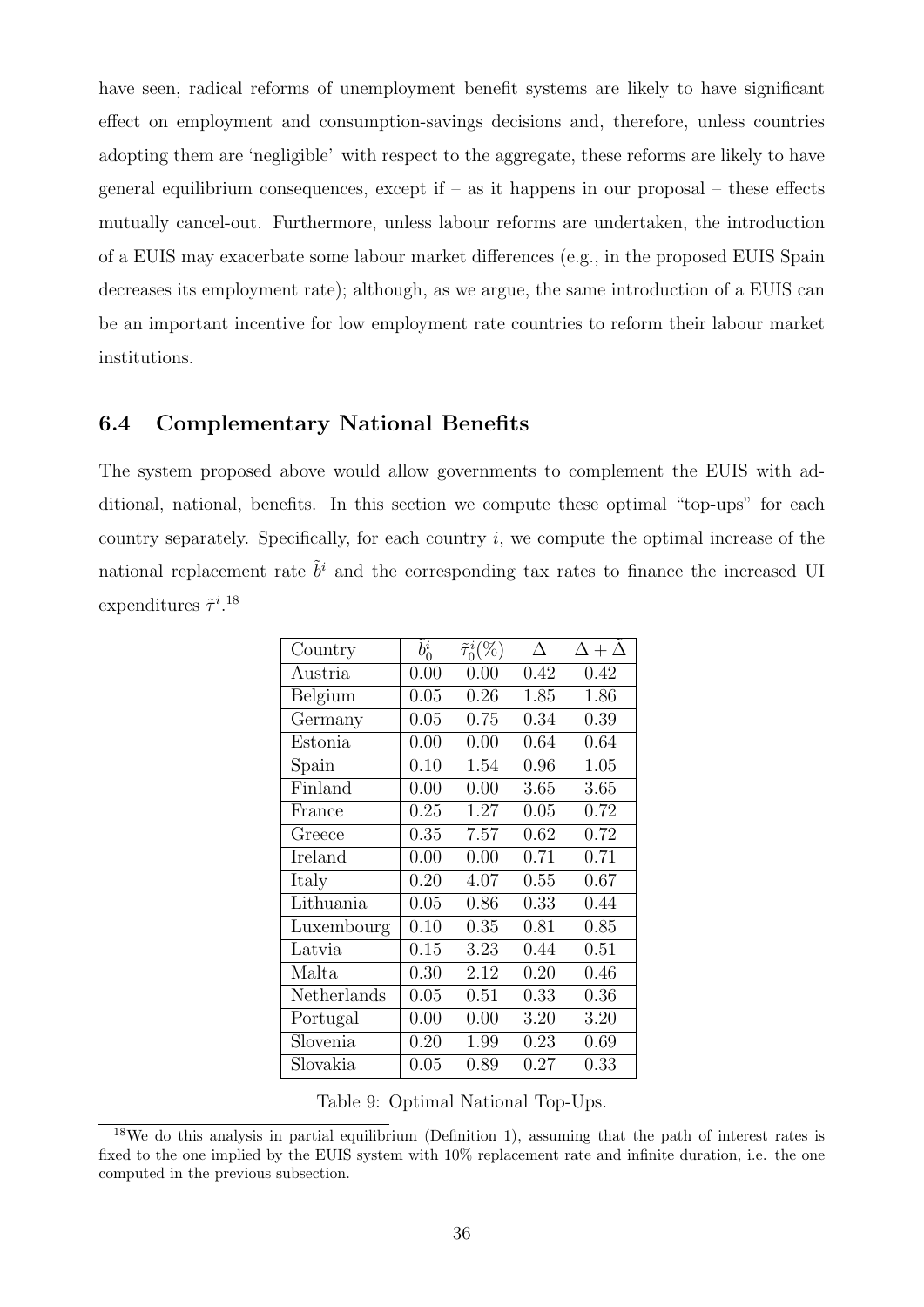have seen, radical reforms of unemployment benefit systems are likely to have significant effect on employment and consumption-savings decisions and, therefore, unless countries adopting them are 'negligible' with respect to the aggregate, these reforms are likely to have general equilibrium consequences, except if  $-$  as it happens in our proposal  $-$  these effects mutually cancel-out. Furthermore, unless labour reforms are undertaken, the introduction of a EUIS may exacerbate some labour market differences (e.g., in the proposed EUIS Spain decreases its employment rate); although, as we argue, the same introduction of a EUIS can be an important incentive for low employment rate countries to reform their labour market institutions.

#### <span id="page-35-0"></span>6.4 Complementary National Benefits

The system proposed above would allow governments to complement the EUIS with additional, national, benefits. In this section we compute these optimal "top-ups" for each country separately. Specifically, for each country  $i$ , we compute the optimal increase of the national replacement rate  $\tilde{b}^i$  and the corresponding tax rates to finance the increased UI expenditures  $\tilde{\tau}^{i.18}$  $\tilde{\tau}^{i.18}$  $\tilde{\tau}^{i.18}$ 

| Country     | $b_0^i$ | $\tilde{\tau}_0^i(\%)$ | Л    | $\Delta+\Delta$ |
|-------------|---------|------------------------|------|-----------------|
| Austria     | 0.00    | 0.00                   | 0.42 | 0.42            |
| Belgium     | 0.05    | 0.26                   | 1.85 | 1.86            |
| Germany     | 0.05    | 0.75                   | 0.34 | 0.39            |
| Estonia     | 0.00    | 0.00                   | 0.64 | 0.64            |
| Spain       | 0.10    | 1.54                   | 0.96 | 1.05            |
| Finland     | 0.00    | 0.00                   | 3.65 | 3.65            |
| France      | 0.25    | 1.27                   | 0.05 | 0.72            |
| Greece      | 0.35    | 7.57                   | 0.62 | 0.72            |
| Ireland     | 0.00    | 0.00                   | 0.71 | 0.71            |
| Italy       | 0.20    | 4.07                   | 0.55 | 0.67            |
| Lithuania   | 0.05    | 0.86                   | 0.33 | 0.44            |
| Luxembourg  | 0.10    | 0.35                   | 0.81 | 0.85            |
| Latvia      | 0.15    | 3.23                   | 0.44 | 0.51            |
| Malta       | 0.30    | 2.12                   | 0.20 | 0.46            |
| Netherlands | 0.05    | 0.51                   | 0.33 | 0.36            |
| Portugal    | 0.00    | 0.00                   | 3.20 | 3.20            |
| Slovenia    | 0.20    | 1.99                   | 0.23 | 0.69            |
| Slovakia    | 0.05    | 0.89                   | 0.27 | 0.33            |

<span id="page-35-1"></span>Table 9: Optimal National Top-Ups.

<sup>18</sup>We do this analysis in partial equilibrium (Definition [1\)](#page-13-2), assuming that the path of interest rates is fixed to the one implied by the EUIS system with 10% replacement rate and infinite duration, i.e. the one computed in the previous subsection.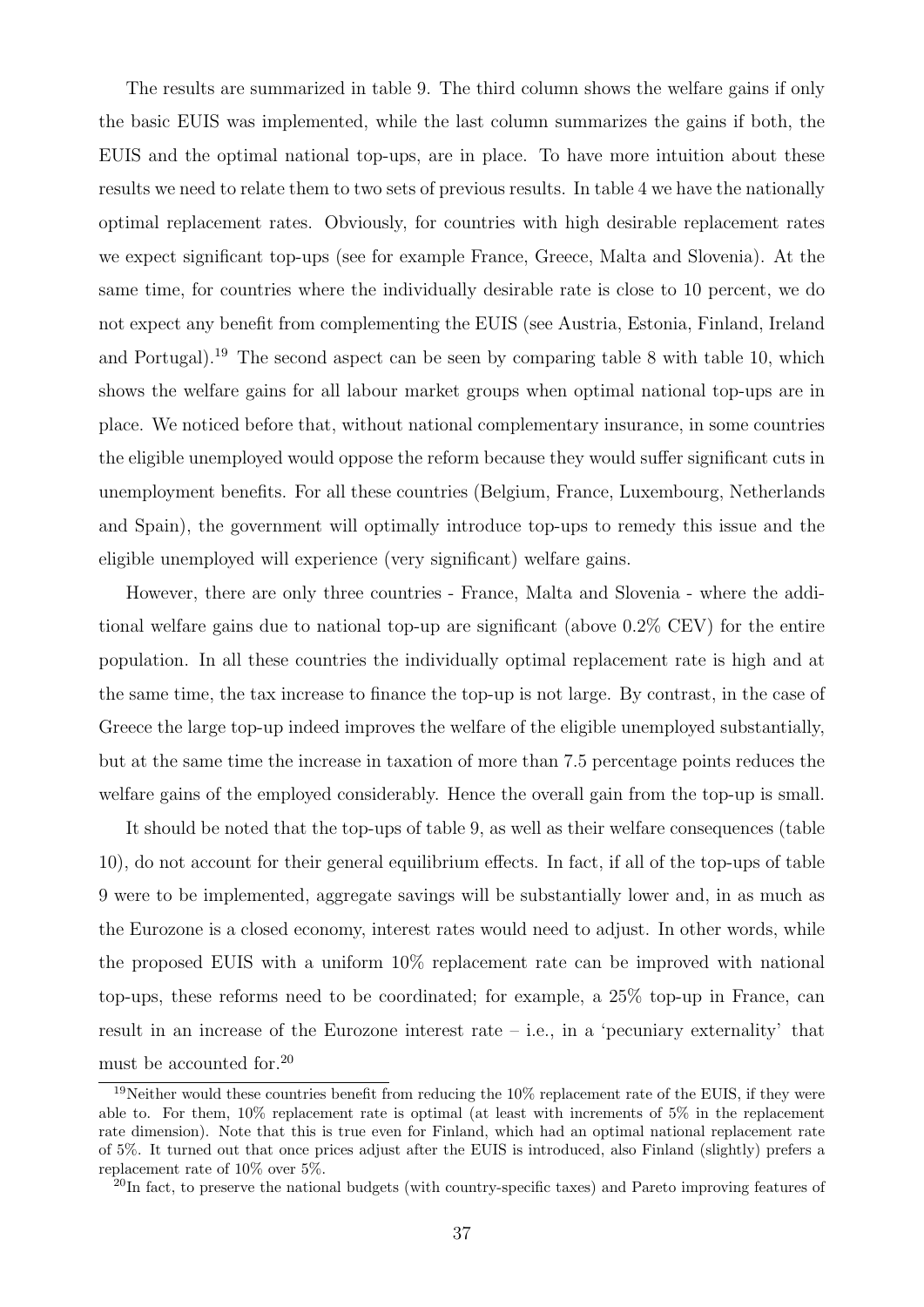The results are summarized in table [9.](#page-35-1) The third column shows the welfare gains if only the basic EUIS was implemented, while the last column summarizes the gains if both, the EUIS and the optimal national top-ups, are in place. To have more intuition about these results we need to relate them to two sets of previous results. In table [4](#page-23-0) we have the nationally optimal replacement rates. Obviously, for countries with high desirable replacement rates we expect significant top-ups (see for example France, Greece, Malta and Slovenia). At the same time, for countries where the individually desirable rate is close to 10 percent, we do not expect any benefit from complementing the EUIS (see Austria, Estonia, Finland, Ireland and Portugal).[19](#page-0-0) The second aspect can be seen by comparing table [8](#page-32-0) with table [10,](#page-37-1) which shows the welfare gains for all labour market groups when optimal national top-ups are in place. We noticed before that, without national complementary insurance, in some countries the eligible unemployed would oppose the reform because they would suffer significant cuts in unemployment benefits. For all these countries (Belgium, France, Luxembourg, Netherlands and Spain), the government will optimally introduce top-ups to remedy this issue and the eligible unemployed will experience (very significant) welfare gains.

However, there are only three countries - France, Malta and Slovenia - where the additional welfare gains due to national top-up are significant (above 0.2% CEV) for the entire population. In all these countries the individually optimal replacement rate is high and at the same time, the tax increase to finance the top-up is not large. By contrast, in the case of Greece the large top-up indeed improves the welfare of the eligible unemployed substantially, but at the same time the increase in taxation of more than 7.5 percentage points reduces the welfare gains of the employed considerably. Hence the overall gain from the top-up is small.

It should be noted that the top-ups of table [9,](#page-35-1) as well as their welfare consequences (table [10\)](#page-37-1), do not account for their general equilibrium effects. In fact, if all of the top-ups of table [9](#page-35-1) were to be implemented, aggregate savings will be substantially lower and, in as much as the Eurozone is a closed economy, interest rates would need to adjust. In other words, while the proposed EUIS with a uniform 10% replacement rate can be improved with national top-ups, these reforms need to be coordinated; for example, a 25% top-up in France, can result in an increase of the Eurozone interest rate – i.e., in a 'pecuniary externality' that must be accounted for.[20](#page-0-0)

<sup>&</sup>lt;sup>19</sup>Neither would these countries benefit from reducing the 10% replacement rate of the EUIS, if they were able to. For them, 10% replacement rate is optimal (at least with increments of 5% in the replacement rate dimension). Note that this is true even for Finland, which had an optimal national replacement rate of 5%. It turned out that once prices adjust after the EUIS is introduced, also Finland (slightly) prefers a replacement rate of 10% over 5%.

<sup>&</sup>lt;sup>20</sup>In fact, to preserve the national budgets (with country-specific taxes) and Pareto improving features of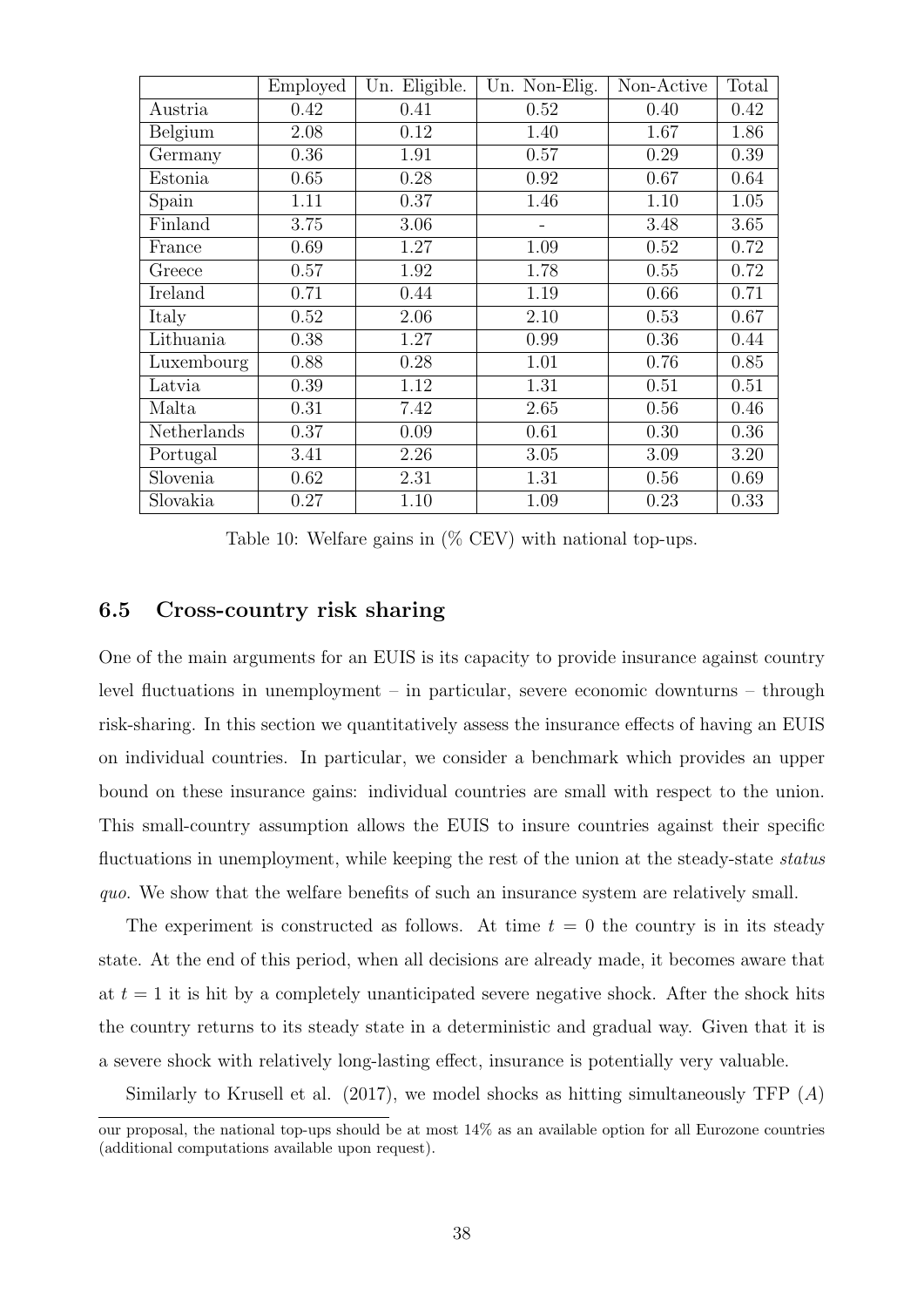|             | Employed | Un. Eligible. | Un. Non-Elig. | Non-Active | Total |
|-------------|----------|---------------|---------------|------------|-------|
| Austria     | 0.42     | 0.41          | 0.52          | 0.40       | 0.42  |
| Belgium     | 2.08     | 0.12          | 1.40          | 1.67       | 1.86  |
| Germany     | 0.36     | 1.91          | 0.57          | 0.29       | 0.39  |
| Estonia     | 0.65     | 0.28          | 0.92          | 0.67       | 0.64  |
| Spain       | 1.11     | 0.37          | 1.46          | 1.10       | 1.05  |
| Finland     | 3.75     | 3.06          |               | 3.48       | 3.65  |
| France      | 0.69     | 1.27          | 1.09          | 0.52       | 0.72  |
| Greece      | 0.57     | 1.92          | 1.78          | 0.55       | 0.72  |
| Ireland     | 0.71     | 0.44          | 1.19          | 0.66       | 0.71  |
| Italy       | 0.52     | 2.06          | 2.10          | 0.53       | 0.67  |
| Lithuania   | 0.38     | 1.27          | 0.99          | 0.36       | 0.44  |
| Luxembourg  | 0.88     | 0.28          | 1.01          | 0.76       | 0.85  |
| Latvia      | 0.39     | 1.12          | 1.31          | 0.51       | 0.51  |
| Malta       | 0.31     | 7.42          | 2.65          | 0.56       | 0.46  |
| Netherlands | 0.37     | 0.09          | 0.61          | 0.30       | 0.36  |
| Portugal    | 3.41     | 2.26          | 3.05          | 3.09       | 3.20  |
| Slovenia    | 0.62     | 2.31          | 1.31          | 0.56       | 0.69  |
| Slovakia    | 0.27     | 1.10          | 1.09          | 0.23       | 0.33  |

<span id="page-37-1"></span>Table 10: Welfare gains in  $(\%$  CEV) with national top-ups.

#### <span id="page-37-0"></span>6.5 Cross-country risk sharing

One of the main arguments for an EUIS is its capacity to provide insurance against country level fluctuations in unemployment – in particular, severe economic downturns – through risk-sharing. In this section we quantitatively assess the insurance effects of having an EUIS on individual countries. In particular, we consider a benchmark which provides an upper bound on these insurance gains: individual countries are small with respect to the union. This small-country assumption allows the EUIS to insure countries against their specific fluctuations in unemployment, while keeping the rest of the union at the steady-state *status* quo. We show that the welfare benefits of such an insurance system are relatively small.

The experiment is constructed as follows. At time  $t = 0$  the country is in its steady state. At the end of this period, when all decisions are already made, it becomes aware that at  $t = 1$  it is hit by a completely unanticipated severe negative shock. After the shock hits the country returns to its steady state in a deterministic and gradual way. Given that it is a severe shock with relatively long-lasting effect, insurance is potentially very valuable.

Similarly to Krusell et al.  $(2017)$ , we model shocks as hitting simultaneously TFP  $(A)$ 

our proposal, the national top-ups should be at most 14% as an available option for all Eurozone countries (additional computations available upon request).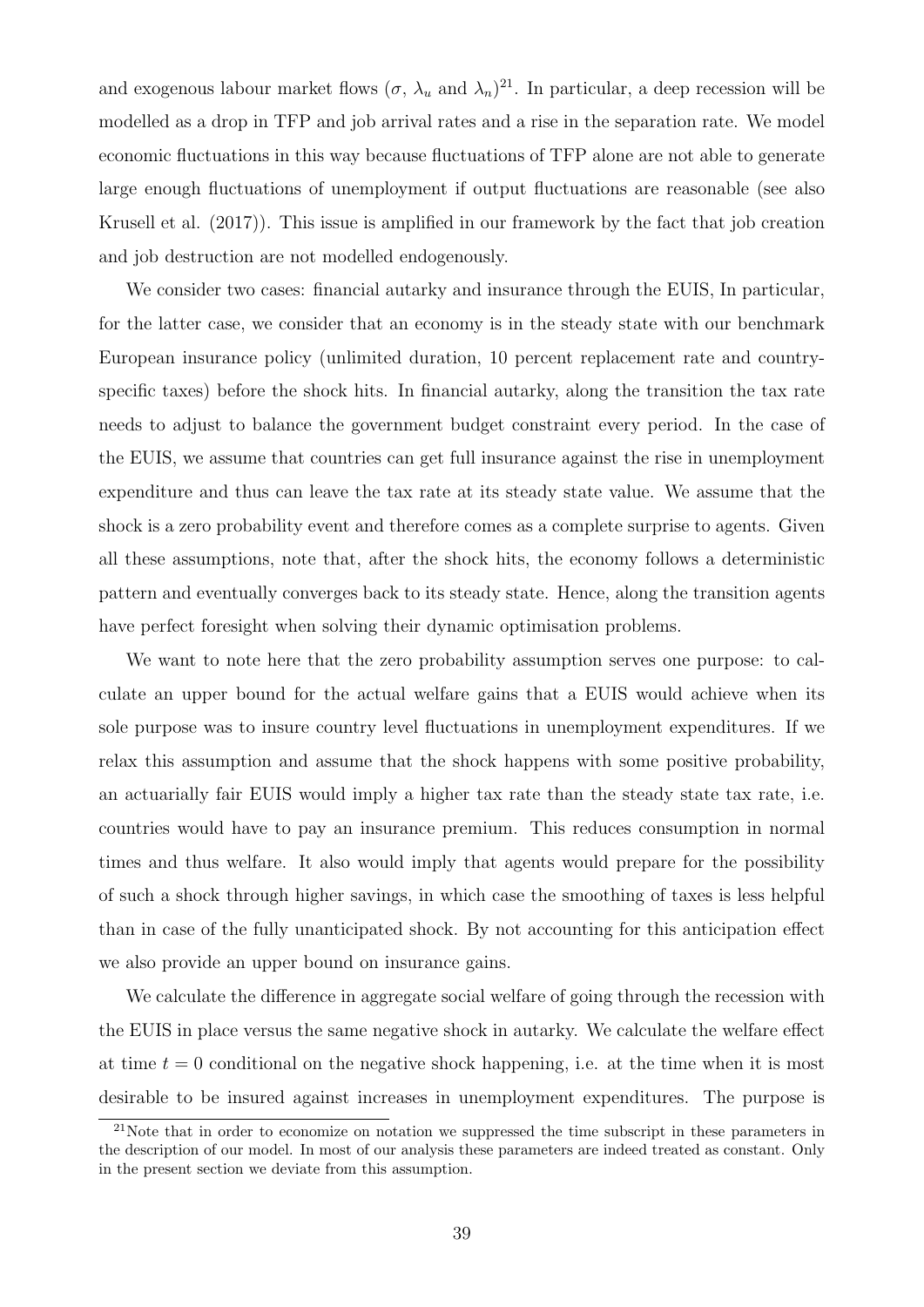and exogenous labour market flows  $(\sigma, \lambda_u$  and  $\lambda_n)^{21}$  $\lambda_n)^{21}$  $\lambda_n)^{21}$ . In particular, a deep recession will be modelled as a drop in TFP and job arrival rates and a rise in the separation rate. We model economic fluctuations in this way because fluctuations of TFP alone are not able to generate large enough fluctuations of unemployment if output fluctuations are reasonable (see also [Krusell et al. \(2017\)](#page-48-3)). This issue is amplified in our framework by the fact that job creation and job destruction are not modelled endogenously.

We consider two cases: financial autarky and insurance through the EUIS, In particular, for the latter case, we consider that an economy is in the steady state with our benchmark European insurance policy (unlimited duration, 10 percent replacement rate and countryspecific taxes) before the shock hits. In financial autarky, along the transition the tax rate needs to adjust to balance the government budget constraint every period. In the case of the EUIS, we assume that countries can get full insurance against the rise in unemployment expenditure and thus can leave the tax rate at its steady state value. We assume that the shock is a zero probability event and therefore comes as a complete surprise to agents. Given all these assumptions, note that, after the shock hits, the economy follows a deterministic pattern and eventually converges back to its steady state. Hence, along the transition agents have perfect foresight when solving their dynamic optimisation problems.

We want to note here that the zero probability assumption serves one purpose: to calculate an upper bound for the actual welfare gains that a EUIS would achieve when its sole purpose was to insure country level fluctuations in unemployment expenditures. If we relax this assumption and assume that the shock happens with some positive probability, an actuarially fair EUIS would imply a higher tax rate than the steady state tax rate, i.e. countries would have to pay an insurance premium. This reduces consumption in normal times and thus welfare. It also would imply that agents would prepare for the possibility of such a shock through higher savings, in which case the smoothing of taxes is less helpful than in case of the fully unanticipated shock. By not accounting for this anticipation effect we also provide an upper bound on insurance gains.

We calculate the difference in aggregate social welfare of going through the recession with the EUIS in place versus the same negative shock in autarky. We calculate the welfare effect at time  $t = 0$  conditional on the negative shock happening, i.e. at the time when it is most desirable to be insured against increases in unemployment expenditures. The purpose is

 $21$ Note that in order to economize on notation we suppressed the time subscript in these parameters in the description of our model. In most of our analysis these parameters are indeed treated as constant. Only in the present section we deviate from this assumption.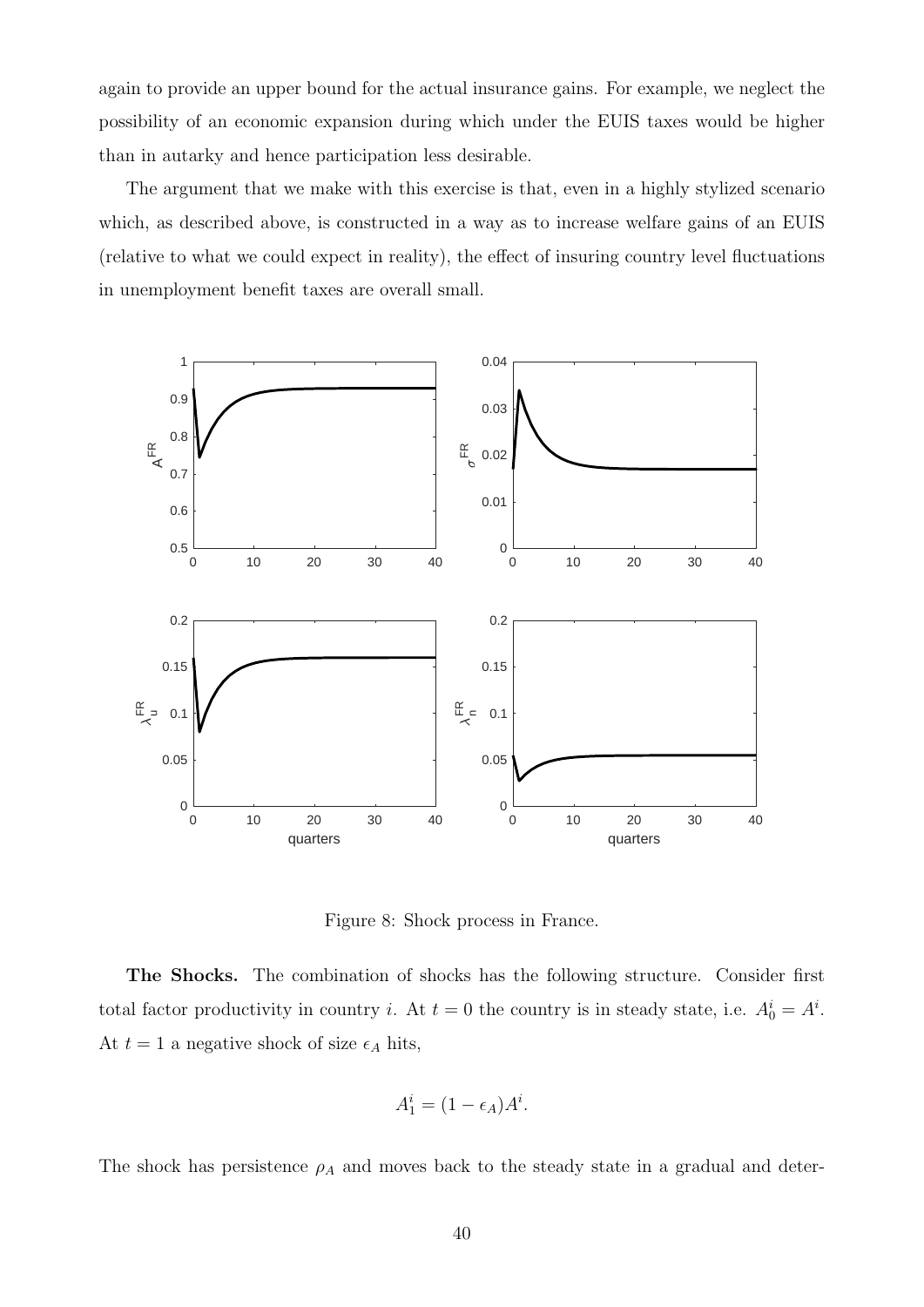again to provide an upper bound for the actual insurance gains. For example, we neglect the possibility of an economic expansion during which under the EUIS taxes would be higher than in autarky and hence participation less desirable.

The argument that we make with this exercise is that, even in a highly stylized scenario which, as described above, is constructed in a way as to increase welfare gains of an EUIS (relative to what we could expect in reality), the effect of insuring country level fluctuations in unemployment benefit taxes are overall small.



<span id="page-39-0"></span>Figure 8: Shock process in France.

The Shocks. The combination of shocks has the following structure. Consider first total factor productivity in country *i*. At  $t = 0$  the country is in steady state, i.e.  $A_0^i = A^i$ . At  $t = 1$  a negative shock of size  $\epsilon_A$  hits,

$$
A_1^i = (1 - \epsilon_A)A^i.
$$

The shock has persistence  $\rho_A$  and moves back to the steady state in a gradual and deter-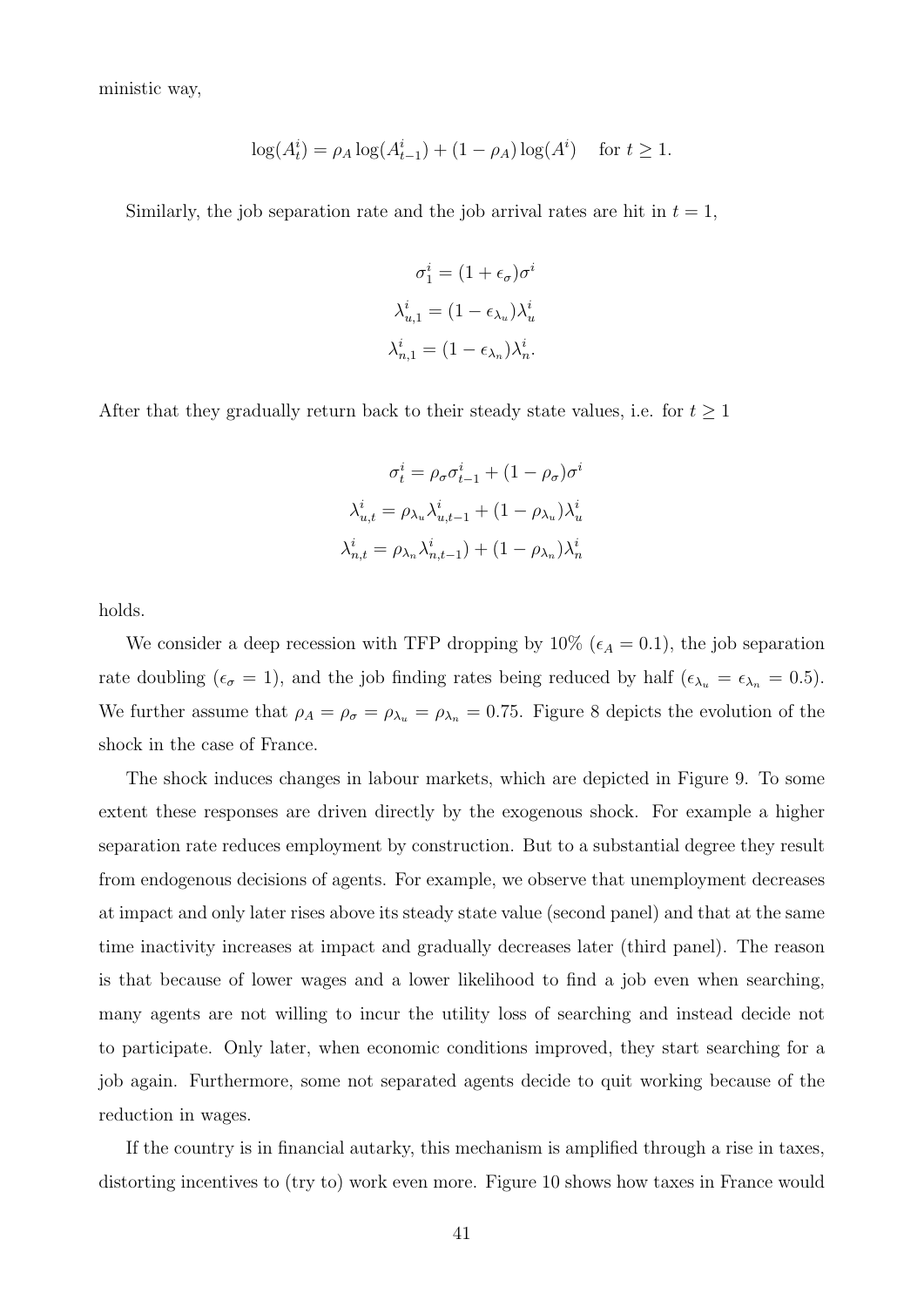ministic way,

$$
\log(A_t^i) = \rho_A \log(A_{t-1}^i) + (1 - \rho_A) \log(A^i) \quad \text{for } t \ge 1.
$$

Similarly, the job separation rate and the job arrival rates are hit in  $t = 1$ ,

$$
\sigma_1^i = (1 + \epsilon_{\sigma})\sigma^i
$$
  

$$
\lambda_{u,1}^i = (1 - \epsilon_{\lambda_u})\lambda_u^i
$$
  

$$
\lambda_{n,1}^i = (1 - \epsilon_{\lambda_n})\lambda_n^i.
$$

After that they gradually return back to their steady state values, i.e. for  $t \geq 1$ 

$$
\sigma_t^i = \rho_\sigma \sigma_{t-1}^i + (1 - \rho_\sigma) \sigma^i
$$

$$
\lambda_{u,t}^i = \rho_{\lambda_u} \lambda_{u,t-1}^i + (1 - \rho_{\lambda_u}) \lambda_u^i
$$

$$
\lambda_{n,t}^i = \rho_{\lambda_n} \lambda_{n,t-1}^i + (1 - \rho_{\lambda_n}) \lambda_n^i
$$

holds.

We consider a deep recession with TFP dropping by 10% ( $\epsilon_A = 0.1$ ), the job separation rate doubling ( $\epsilon_{\sigma} = 1$ ), and the job finding rates being reduced by half ( $\epsilon_{\lambda_u} = \epsilon_{\lambda_n} = 0.5$ ). We further assume that  $\rho_A = \rho_{\sigma} = \rho_{\lambda_u} = \rho_{\lambda_n} = 0.75$ . Figure [8](#page-39-0) depicts the evolution of the shock in the case of France.

The shock induces changes in labour markets, which are depicted in Figure [9.](#page-41-0) To some extent these responses are driven directly by the exogenous shock. For example a higher separation rate reduces employment by construction. But to a substantial degree they result from endogenous decisions of agents. For example, we observe that unemployment decreases at impact and only later rises above its steady state value (second panel) and that at the same time inactivity increases at impact and gradually decreases later (third panel). The reason is that because of lower wages and a lower likelihood to find a job even when searching, many agents are not willing to incur the utility loss of searching and instead decide not to participate. Only later, when economic conditions improved, they start searching for a job again. Furthermore, some not separated agents decide to quit working because of the reduction in wages.

If the country is in financial autarky, this mechanism is amplified through a rise in taxes, distorting incentives to (try to) work even more. Figure [10](#page-42-0) shows how taxes in France would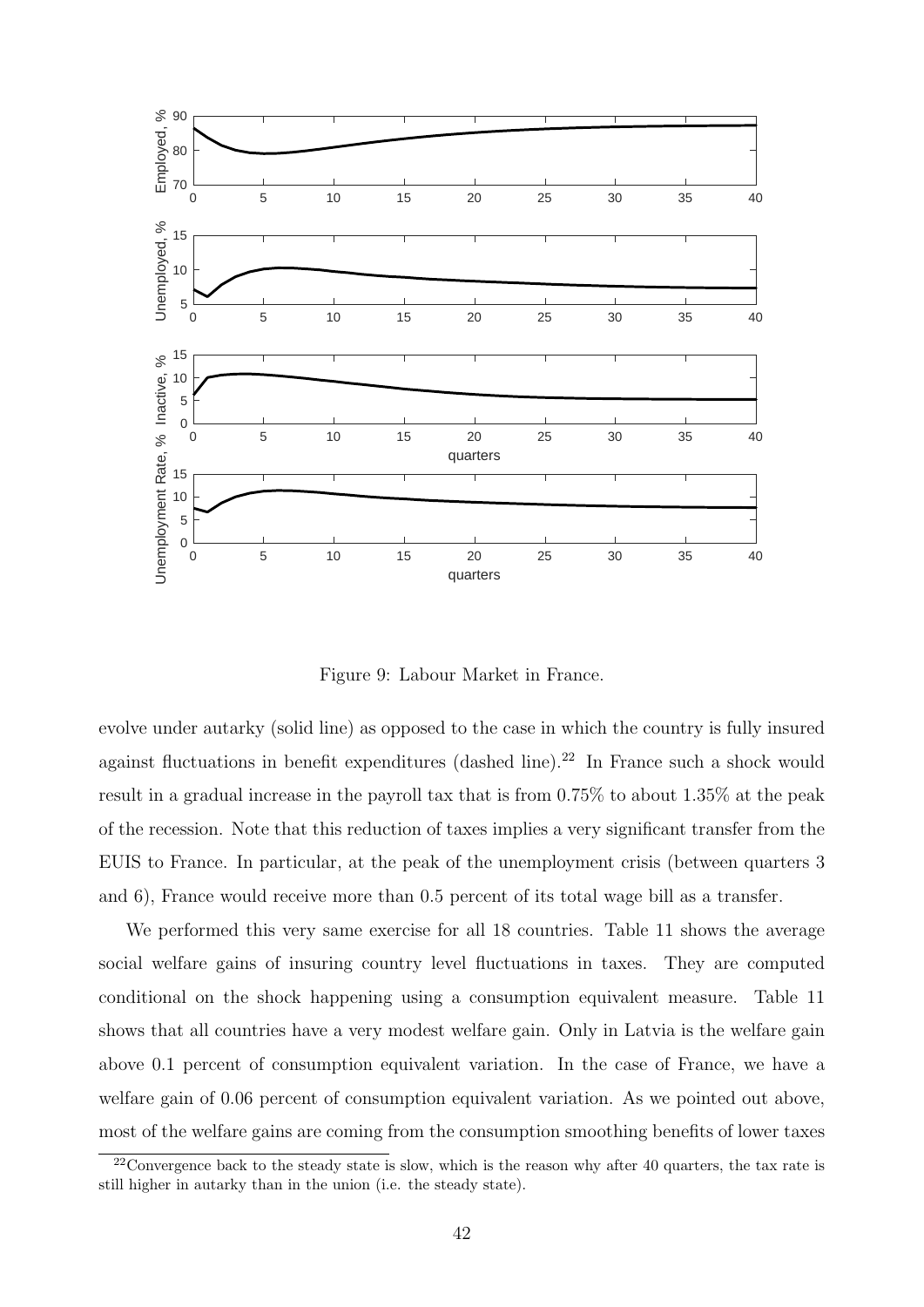

<span id="page-41-0"></span>Figure 9: Labour Market in France.

evolve under autarky (solid line) as opposed to the case in which the country is fully insured against fluctuations in benefit expenditures (dashed line).<sup>[22](#page-0-0)</sup> In France such a shock would result in a gradual increase in the payroll tax that is from 0.75% to about 1.35% at the peak of the recession. Note that this reduction of taxes implies a very significant transfer from the EUIS to France. In particular, at the peak of the unemployment crisis (between quarters 3 and 6), France would receive more than 0.5 percent of its total wage bill as a transfer.

We performed this very same exercise for all 18 countries. Table [11](#page-43-1) shows the average social welfare gains of insuring country level fluctuations in taxes. They are computed conditional on the shock happening using a consumption equivalent measure. Table [11](#page-43-1) shows that all countries have a very modest welfare gain. Only in Latvia is the welfare gain above 0.1 percent of consumption equivalent variation. In the case of France, we have a welfare gain of 0.06 percent of consumption equivalent variation. As we pointed out above, most of the welfare gains are coming from the consumption smoothing benefits of lower taxes

<sup>&</sup>lt;sup>22</sup>Convergence back to the steady state is slow, which is the reason why after 40 quarters, the tax rate is still higher in autarky than in the union (i.e. the steady state).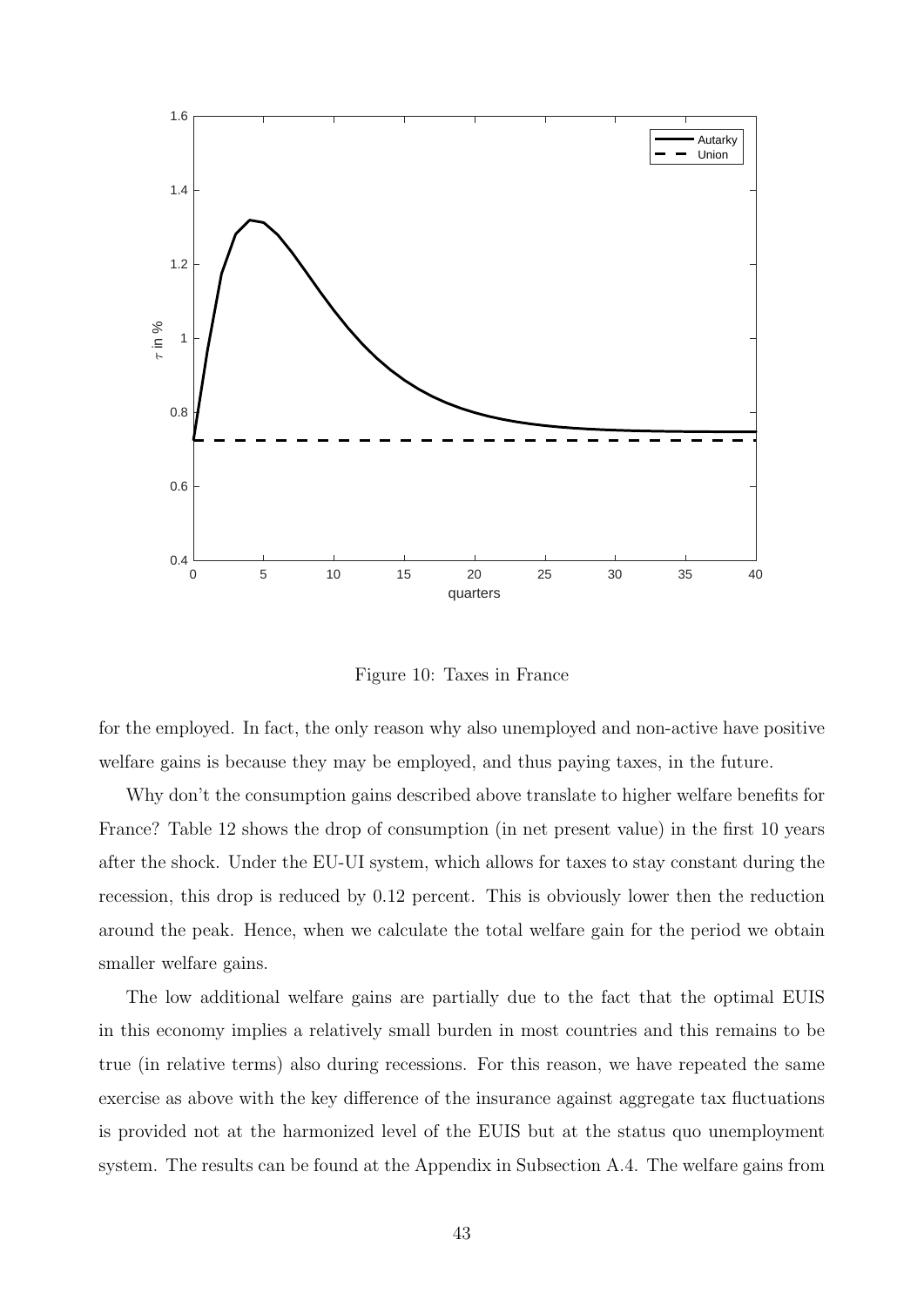

<span id="page-42-0"></span>Figure 10: Taxes in France

for the employed. In fact, the only reason why also unemployed and non-active have positive welfare gains is because they may be employed, and thus paying taxes, in the future.

Why don't the consumption gains described above translate to higher welfare benefits for France? Table [12](#page-44-0) shows the drop of consumption (in net present value) in the first 10 years after the shock. Under the EU-UI system, which allows for taxes to stay constant during the recession, this drop is reduced by 0.12 percent. This is obviously lower then the reduction around the peak. Hence, when we calculate the total welfare gain for the period we obtain smaller welfare gains.

The low additional welfare gains are partially due to the fact that the optimal EUIS in this economy implies a relatively small burden in most countries and this remains to be true (in relative terms) also during recessions. For this reason, we have repeated the same exercise as above with the key difference of the insurance against aggregate tax fluctuations is provided not at the harmonized level of the EUIS but at the status quo unemployment system. The results can be found at the Appendix in Subsection [A.4.](#page-57-1) The welfare gains from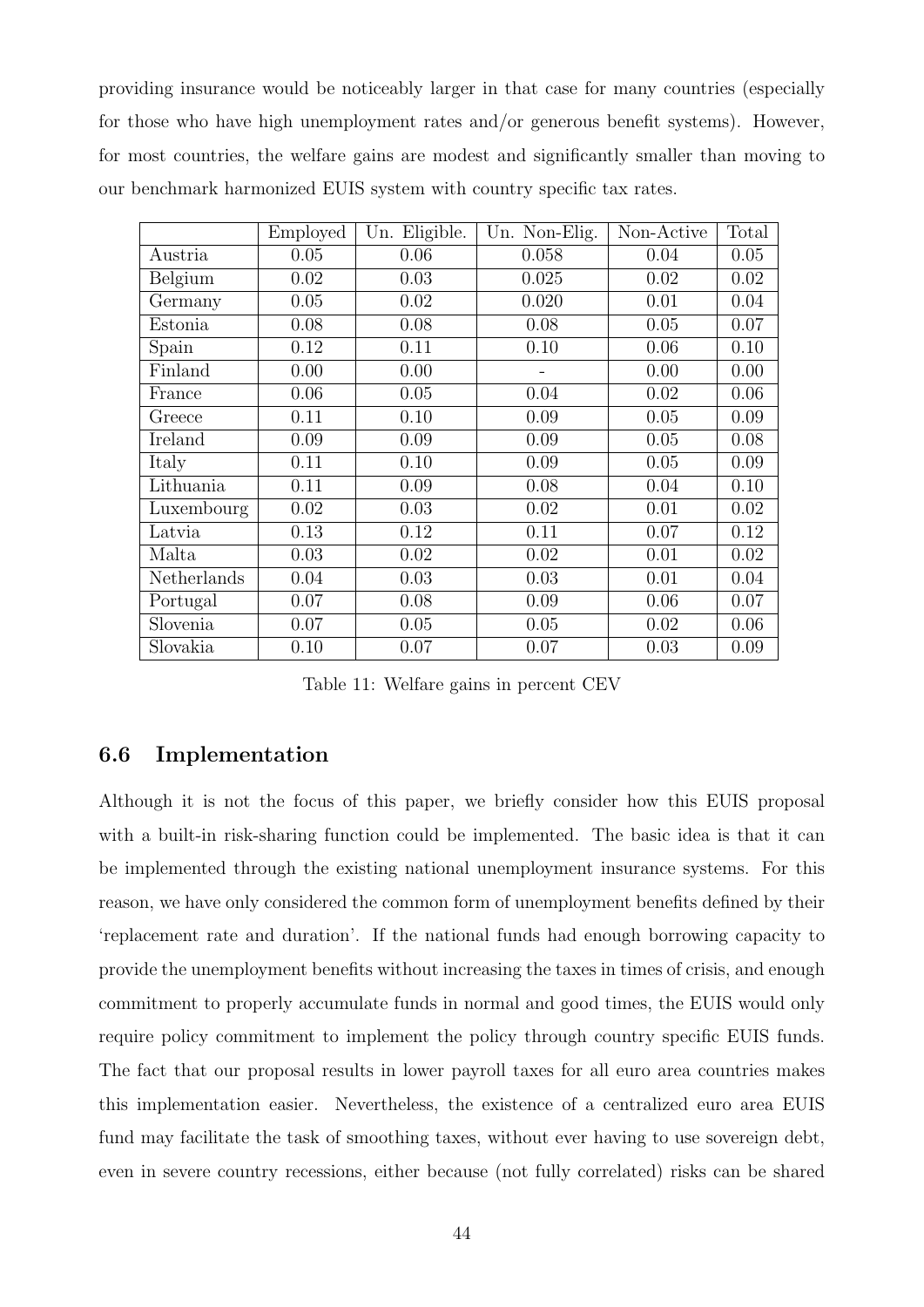providing insurance would be noticeably larger in that case for many countries (especially for those who have high unemployment rates and/or generous benefit systems). However, for most countries, the welfare gains are modest and significantly smaller than moving to our benchmark harmonized EUIS system with country specific tax rates.

|             | Employed | Un. Eligible. | Un. Non-Elig. | Non-Active | Total |
|-------------|----------|---------------|---------------|------------|-------|
| Austria     | 0.05     | 0.06          | 0.058         | 0.04       | 0.05  |
| Belgium     | 0.02     | 0.03          | 0.025         | 0.02       | 0.02  |
| Germany     | 0.05     | 0.02          | 0.020         | 0.01       | 0.04  |
| Estonia     | 0.08     | 0.08          | 0.08          | 0.05       | 0.07  |
| Spain       | 0.12     | 0.11          | 0.10          | 0.06       | 0.10  |
| Finland     | 0.00     | 0.00          |               | 0.00       | 0.00  |
| France      | 0.06     | 0.05          | 0.04          | 0.02       | 0.06  |
| Greece      | 0.11     | 0.10          | 0.09          | 0.05       | 0.09  |
| Ireland     | 0.09     | 0.09          | 0.09          | 0.05       | 0.08  |
| Italy       | 0.11     | 0.10          | 0.09          | 0.05       | 0.09  |
| Lithuania   | 0.11     | 0.09          | 0.08          | 0.04       | 0.10  |
| Luxembourg  | 0.02     | 0.03          | 0.02          | 0.01       | 0.02  |
| Latvia      | 0.13     | 0.12          | 0.11          | 0.07       | 0.12  |
| Malta       | 0.03     | 0.02          | 0.02          | 0.01       | 0.02  |
| Netherlands | 0.04     | 0.03          | 0.03          | 0.01       | 0.04  |
| Portugal    | 0.07     | 0.08          | 0.09          | 0.06       | 0.07  |
| Slovenia    | 0.07     | 0.05          | 0.05          | 0.02       | 0.06  |
| Slovakia    | 0.10     | 0.07          | 0.07          | 0.03       | 0.09  |

<span id="page-43-1"></span>Table 11: Welfare gains in percent CEV

#### <span id="page-43-0"></span>6.6 Implementation

Although it is not the focus of this paper, we briefly consider how this EUIS proposal with a built-in risk-sharing function could be implemented. The basic idea is that it can be implemented through the existing national unemployment insurance systems. For this reason, we have only considered the common form of unemployment benefits defined by their 'replacement rate and duration'. If the national funds had enough borrowing capacity to provide the unemployment benefits without increasing the taxes in times of crisis, and enough commitment to properly accumulate funds in normal and good times, the EUIS would only require policy commitment to implement the policy through country specific EUIS funds. The fact that our proposal results in lower payroll taxes for all euro area countries makes this implementation easier. Nevertheless, the existence of a centralized euro area EUIS fund may facilitate the task of smoothing taxes, without ever having to use sovereign debt, even in severe country recessions, either because (not fully correlated) risks can be shared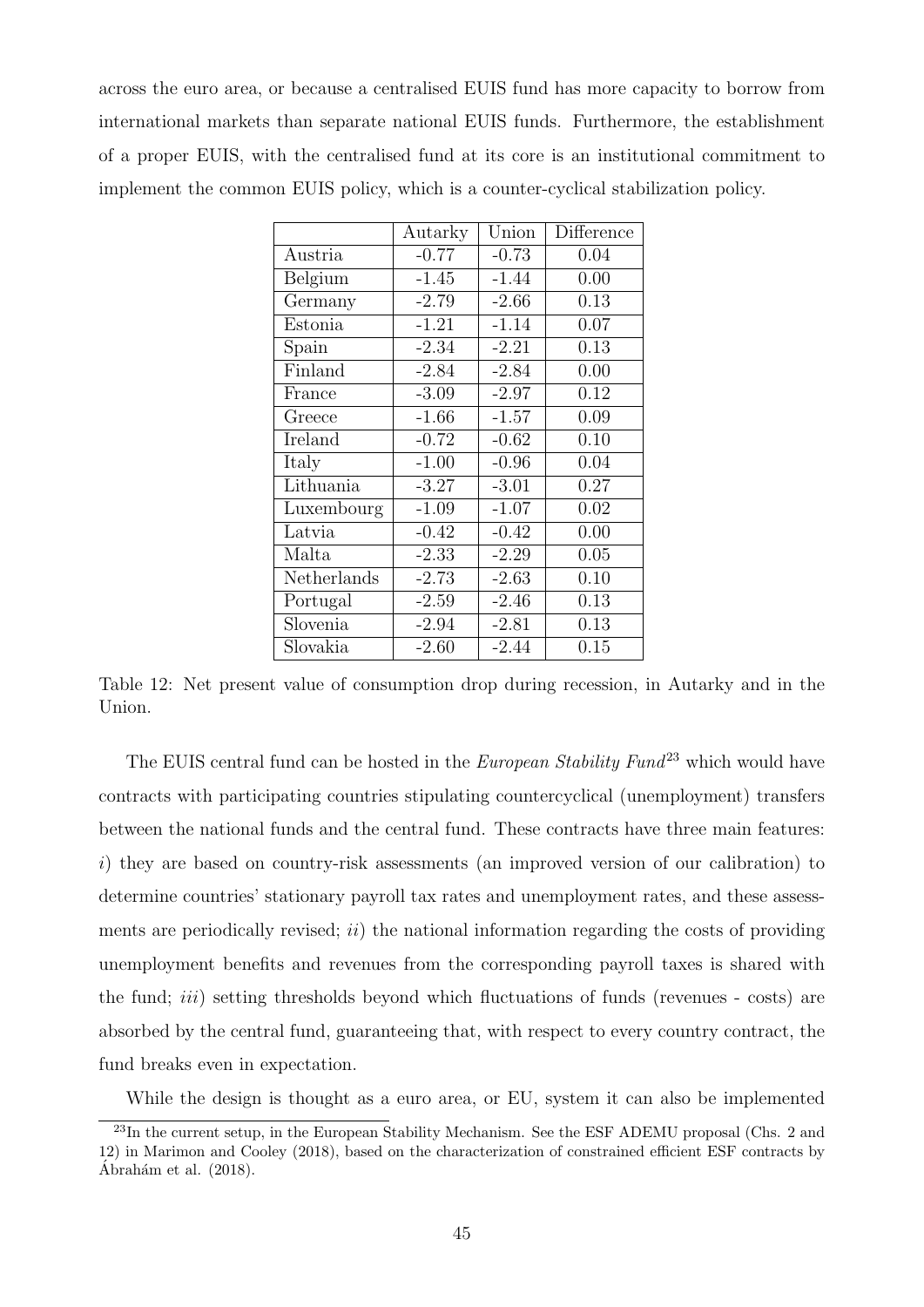across the euro area, or because a centralised EUIS fund has more capacity to borrow from international markets than separate national EUIS funds. Furthermore, the establishment of a proper EUIS, with the centralised fund at its core is an institutional commitment to implement the common EUIS policy, which is a counter-cyclical stabilization policy.

<span id="page-44-0"></span>

|             | Autarky | Union   | Difference |
|-------------|---------|---------|------------|
| Austria     | $-0.77$ | $-0.73$ | 0.04       |
| Belgium     | $-1.45$ | $-1.44$ | 0.00       |
| Germany     | $-2.79$ | $-2.66$ | 0.13       |
| Estonia     | $-1.21$ | $-1.14$ | 0.07       |
| Spain       | $-2.34$ | $-2.21$ | 0.13       |
| Finland     | $-2.84$ | $-2.84$ | 0.00       |
| France      | $-3.09$ | $-2.97$ | 0.12       |
| Greece      | $-1.66$ | $-1.57$ | 0.09       |
| Ireland     | $-0.72$ | $-0.62$ | 0.10       |
| Italy       | $-1.00$ | $-0.96$ | 0.04       |
| Lithuania   | $-3.27$ | $-3.01$ | 0.27       |
| Luxembourg  | $-1.09$ | $-1.07$ | 0.02       |
| Latvia      | $-0.42$ | $-0.42$ | 0.00       |
| Malta       | $-2.33$ | $-2.29$ | 0.05       |
| Netherlands | $-2.73$ | $-2.63$ | 0.10       |
| Portugal    | $-2.59$ | $-2.46$ | 0.13       |
| Slovenia    | $-2.94$ | $-2.81$ | 0.13       |
| Slovakia    | $-2.60$ | $-2.44$ | 0.15       |

Table 12: Net present value of consumption drop during recession, in Autarky and in the Union.

The EUIS central fund can be hosted in the *European Stability Fund*<sup>[23](#page-0-0)</sup> which would have contracts with participating countries stipulating countercyclical (unemployment) transfers between the national funds and the central fund. These contracts have three main features: i) they are based on country-risk assessments (an improved version of our calibration) to determine countries' stationary payroll tax rates and unemployment rates, and these assessments are periodically revised;  $ii)$  the national information regarding the costs of providing unemployment benefits and revenues from the corresponding payroll taxes is shared with the fund;  $iii)$  setting thresholds beyond which fluctuations of funds (revenues - costs) are absorbed by the central fund, guaranteeing that, with respect to every country contract, the fund breaks even in expectation.

While the design is thought as a euro area, or EU, system it can also be implemented

<sup>&</sup>lt;sup>23</sup>In the current setup, in the European Stability Mechanism. See the ESF ADEMU proposal (Chs. 2 and 12) in [Marimon and Cooley \(2018\)](#page-48-12), based on the characterization of constrained efficient ESF contracts by Ábrahám et al.  $(2018)$ .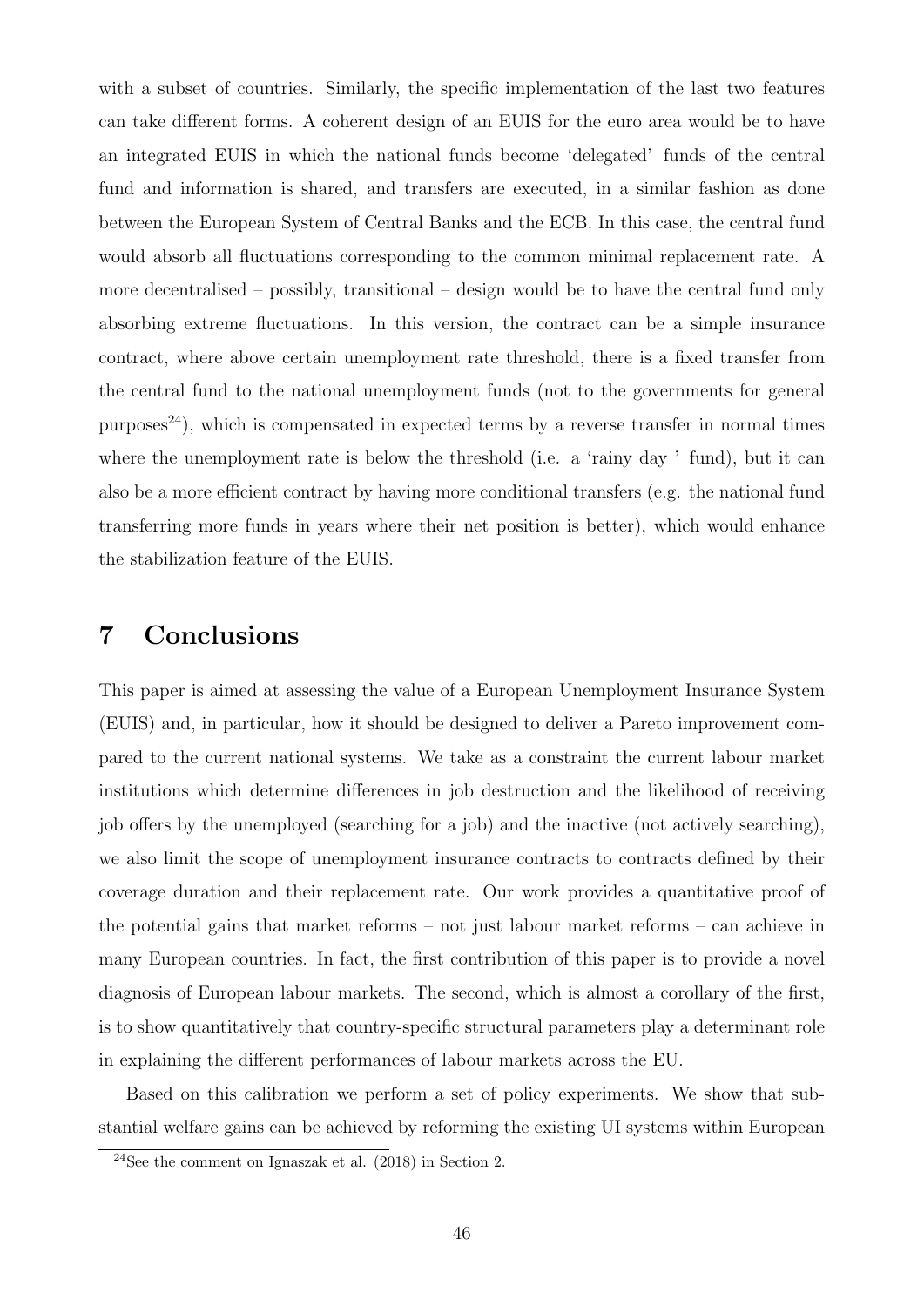with a subset of countries. Similarly, the specific implementation of the last two features can take different forms. A coherent design of an EUIS for the euro area would be to have an integrated EUIS in which the national funds become 'delegated' funds of the central fund and information is shared, and transfers are executed, in a similar fashion as done between the European System of Central Banks and the ECB. In this case, the central fund would absorb all fluctuations corresponding to the common minimal replacement rate. A more decentralised – possibly, transitional – design would be to have the central fund only absorbing extreme fluctuations. In this version, the contract can be a simple insurance contract, where above certain unemployment rate threshold, there is a fixed transfer from the central fund to the national unemployment funds (not to the governments for general  $purpose<sup>24</sup>$  $purpose<sup>24</sup>$  $purpose<sup>24</sup>$ , which is compensated in expected terms by a reverse transfer in normal times where the unemployment rate is below the threshold (i.e. a 'rainy day ' fund), but it can also be a more efficient contract by having more conditional transfers (e.g. the national fund transferring more funds in years where their net position is better), which would enhance the stabilization feature of the EUIS.

### 7 Conclusions

This paper is aimed at assessing the value of a European Unemployment Insurance System (EUIS) and, in particular, how it should be designed to deliver a Pareto improvement compared to the current national systems. We take as a constraint the current labour market institutions which determine differences in job destruction and the likelihood of receiving job offers by the unemployed (searching for a job) and the inactive (not actively searching), we also limit the scope of unemployment insurance contracts to contracts defined by their coverage duration and their replacement rate. Our work provides a quantitative proof of the potential gains that market reforms – not just labour market reforms – can achieve in many European countries. In fact, the first contribution of this paper is to provide a novel diagnosis of European labour markets. The second, which is almost a corollary of the first, is to show quantitatively that country-specific structural parameters play a determinant role in explaining the different performances of labour markets across the EU.

Based on this calibration we perform a set of policy experiments. We show that substantial welfare gains can be achieved by reforming the existing UI systems within European

<sup>24</sup>See the comment on [Ignaszak et al. \(2018\)](#page-48-5) in Section [2.](#page-6-0)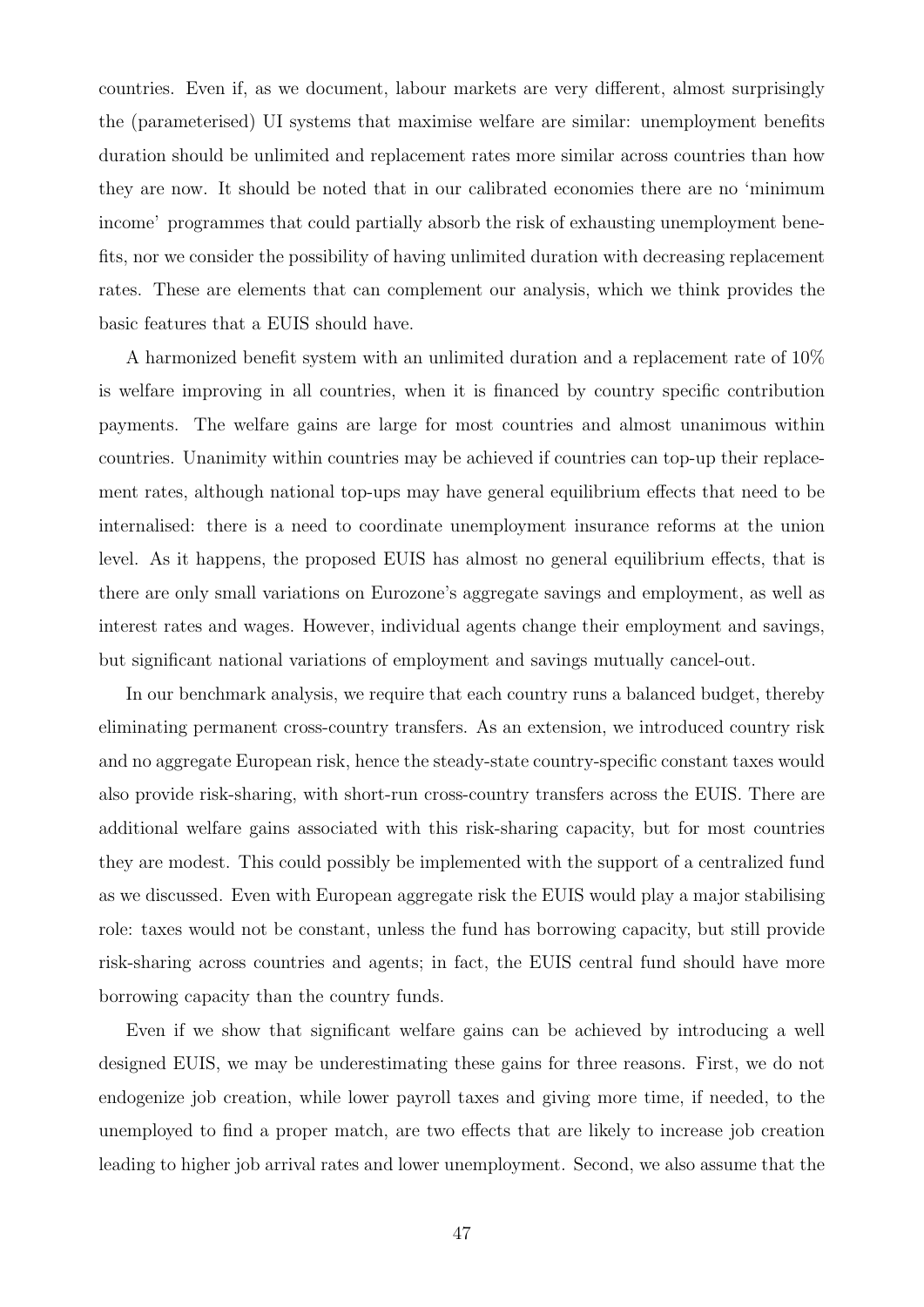countries. Even if, as we document, labour markets are very different, almost surprisingly the (parameterised) UI systems that maximise welfare are similar: unemployment benefits duration should be unlimited and replacement rates more similar across countries than how they are now. It should be noted that in our calibrated economies there are no 'minimum income' programmes that could partially absorb the risk of exhausting unemployment benefits, nor we consider the possibility of having unlimited duration with decreasing replacement rates. These are elements that can complement our analysis, which we think provides the basic features that a EUIS should have.

A harmonized benefit system with an unlimited duration and a replacement rate of 10% is welfare improving in all countries, when it is financed by country specific contribution payments. The welfare gains are large for most countries and almost unanimous within countries. Unanimity within countries may be achieved if countries can top-up their replacement rates, although national top-ups may have general equilibrium effects that need to be internalised: there is a need to coordinate unemployment insurance reforms at the union level. As it happens, the proposed EUIS has almost no general equilibrium effects, that is there are only small variations on Eurozone's aggregate savings and employment, as well as interest rates and wages. However, individual agents change their employment and savings, but significant national variations of employment and savings mutually cancel-out.

In our benchmark analysis, we require that each country runs a balanced budget, thereby eliminating permanent cross-country transfers. As an extension, we introduced country risk and no aggregate European risk, hence the steady-state country-specific constant taxes would also provide risk-sharing, with short-run cross-country transfers across the EUIS. There are additional welfare gains associated with this risk-sharing capacity, but for most countries they are modest. This could possibly be implemented with the support of a centralized fund as we discussed. Even with European aggregate risk the EUIS would play a major stabilising role: taxes would not be constant, unless the fund has borrowing capacity, but still provide risk-sharing across countries and agents; in fact, the EUIS central fund should have more borrowing capacity than the country funds.

Even if we show that significant welfare gains can be achieved by introducing a well designed EUIS, we may be underestimating these gains for three reasons. First, we do not endogenize job creation, while lower payroll taxes and giving more time, if needed, to the unemployed to find a proper match, are two effects that are likely to increase job creation leading to higher job arrival rates and lower unemployment. Second, we also assume that the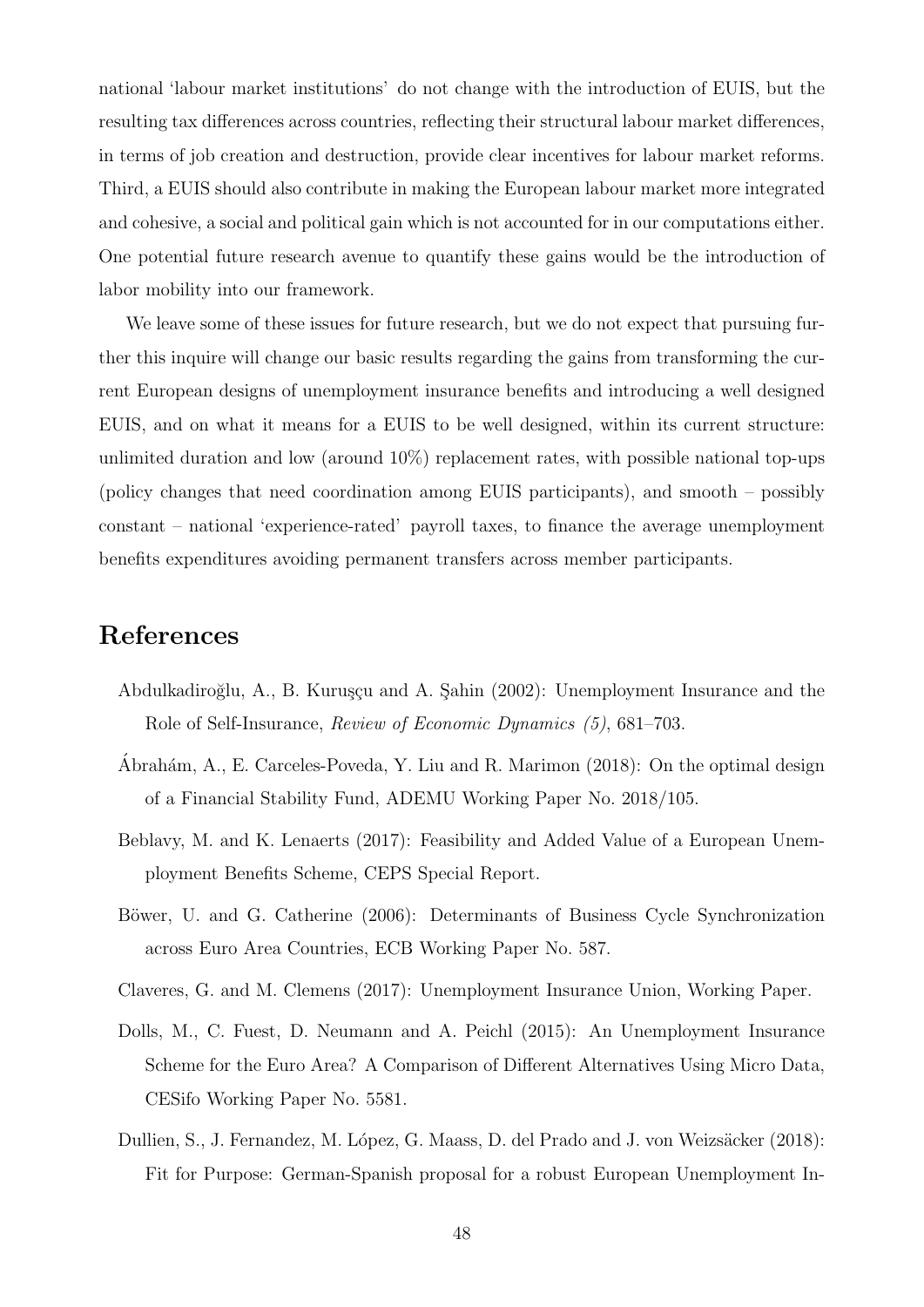national 'labour market institutions' do not change with the introduction of EUIS, but the resulting tax differences across countries, reflecting their structural labour market differences, in terms of job creation and destruction, provide clear incentives for labour market reforms. Third, a EUIS should also contribute in making the European labour market more integrated and cohesive, a social and political gain which is not accounted for in our computations either. One potential future research avenue to quantify these gains would be the introduction of labor mobility into our framework.

We leave some of these issues for future research, but we do not expect that pursuing further this inquire will change our basic results regarding the gains from transforming the current European designs of unemployment insurance benefits and introducing a well designed EUIS, and on what it means for a EUIS to be well designed, within its current structure: unlimited duration and low (around  $10\%$ ) replacement rates, with possible national top-ups (policy changes that need coordination among EUIS participants), and smooth – possibly constant – national 'experience-rated' payroll taxes, to finance the average unemployment benefits expenditures avoiding permanent transfers across member participants.

### References

- <span id="page-47-1"></span>Abdulkadiroğlu, A., B. Kuruşçu and A. Şahin (2002): Unemployment Insurance and the Role of Self-Insurance, Review of Economic Dynamics (5), 681–703.
- <span id="page-47-6"></span>Abrahám, A., E. Carceles-Poveda, Y. Liu and R. Marimon (2018): On the optimal design of a Financial Stability Fund, ADEMU Working Paper No. 2018/105.
- <span id="page-47-4"></span>Beblavy, M. and K. Lenaerts (2017): Feasibility and Added Value of a European Unemployment Benefits Scheme, CEPS Special Report.
- <span id="page-47-0"></span>Böwer, U. and G. Catherine (2006): Determinants of Business Cycle Synchronization across Euro Area Countries, ECB Working Paper No. 587.
- <span id="page-47-3"></span><span id="page-47-2"></span>Claveres, G. and M. Clemens (2017): Unemployment Insurance Union, Working Paper.
- Dolls, M., C. Fuest, D. Neumann and A. Peichl (2015): An Unemployment Insurance Scheme for the Euro Area? A Comparison of Different Alternatives Using Micro Data, CESifo Working Paper No. 5581.
- <span id="page-47-5"></span>Dullien, S., J. Fernandez, M. López, G. Maass, D. del Prado and J. von Weizsäcker (2018): Fit for Purpose: German-Spanish proposal for a robust European Unemployment In-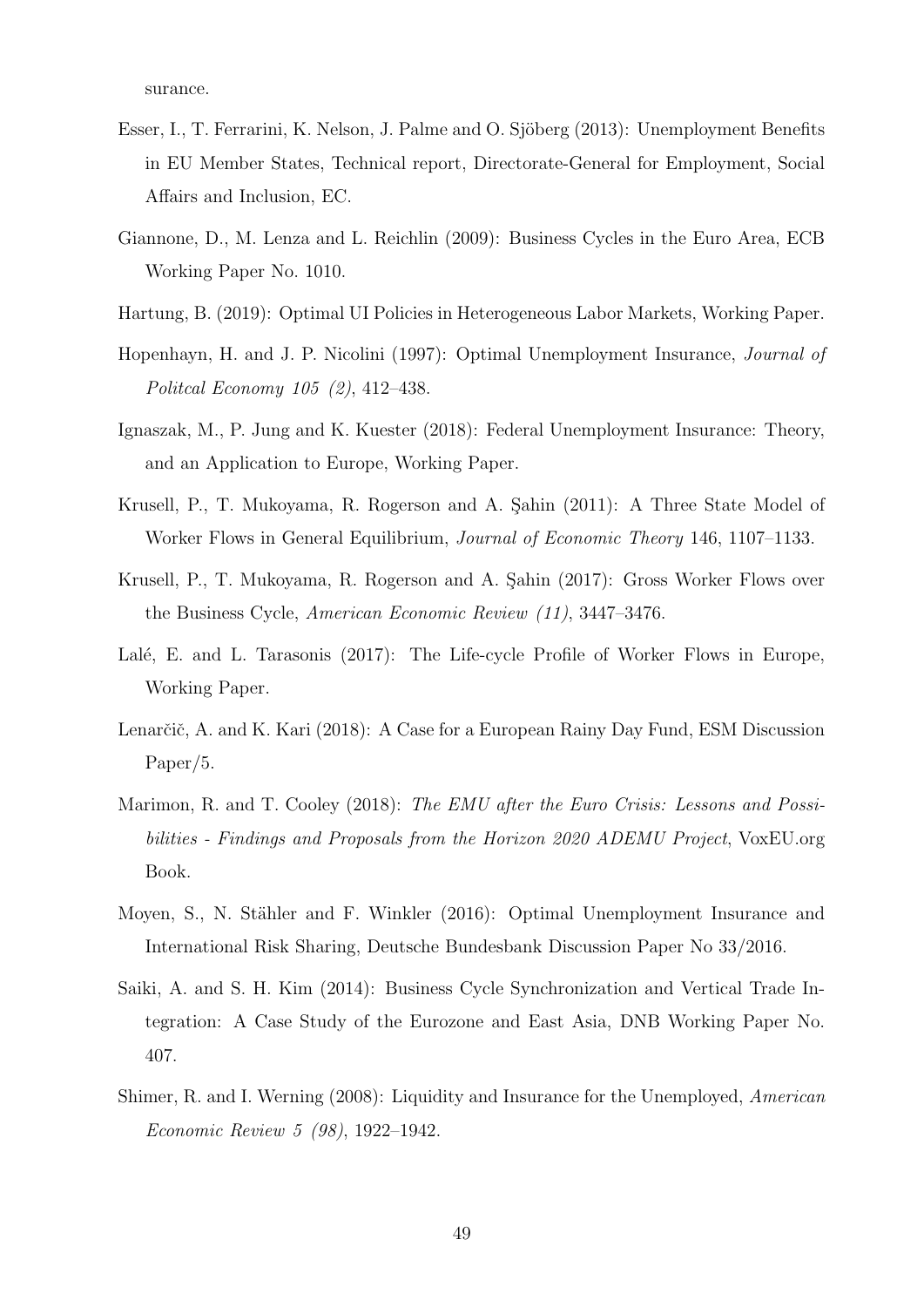surance.

- <span id="page-48-10"></span>Esser, I., T. Ferrarini, K. Nelson, J. Palme and O. Sjöberg (2013): Unemployment Benefits in EU Member States, Technical report, Directorate-General for Employment, Social Affairs and Inclusion, EC.
- <span id="page-48-0"></span>Giannone, D., M. Lenza and L. Reichlin (2009): Business Cycles in the Euro Area, ECB Working Paper No. 1010.
- <span id="page-48-7"></span>Hartung, B. (2019): Optimal UI Policies in Heterogeneous Labor Markets, Working Paper.
- <span id="page-48-11"></span>Hopenhayn, H. and J. P. Nicolini (1997): Optimal Unemployment Insurance, Journal of Politcal Economy 105 (2), 412–438.
- <span id="page-48-5"></span>Ignaszak, M., P. Jung and K. Kuester (2018): Federal Unemployment Insurance: Theory, and an Application to Europe, Working Paper.
- <span id="page-48-2"></span>Krusell, P., T. Mukoyama, R. Rogerson and A. Sahin (2011): A Three State Model of Worker Flows in General Equilibrium, Journal of Economic Theory 146, 1107–1133.
- <span id="page-48-3"></span>Krusell, P., T. Mukoyama, R. Rogerson and A. Sahin (2017): Gross Worker Flows over the Business Cycle, American Economic Review (11), 3447–3476.
- <span id="page-48-9"></span>Lalé, E. and L. Tarasonis (2017): The Life-cycle Profile of Worker Flows in Europe, Working Paper.
- <span id="page-48-8"></span>Lenarčič, A. and K. Kari (2018): A Case for a European Rainy Day Fund, ESM Discussion Paper/5.
- <span id="page-48-12"></span>Marimon, R. and T. Cooley (2018): The EMU after the Euro Crisis: Lessons and Possibilities - Findings and Proposals from the Horizon 2020 ADEMU Project, VoxEU.org Book.
- <span id="page-48-6"></span>Moyen, S., N. Stähler and F. Winkler (2016): Optimal Unemployment Insurance and International Risk Sharing, Deutsche Bundesbank Discussion Paper No 33/2016.
- <span id="page-48-1"></span>Saiki, A. and S. H. Kim (2014): Business Cycle Synchronization and Vertical Trade Integration: A Case Study of the Eurozone and East Asia, DNB Working Paper No. 407.
- <span id="page-48-4"></span>Shimer, R. and I. Werning (2008): Liquidity and Insurance for the Unemployed, American Economic Review 5 (98), 1922–1942.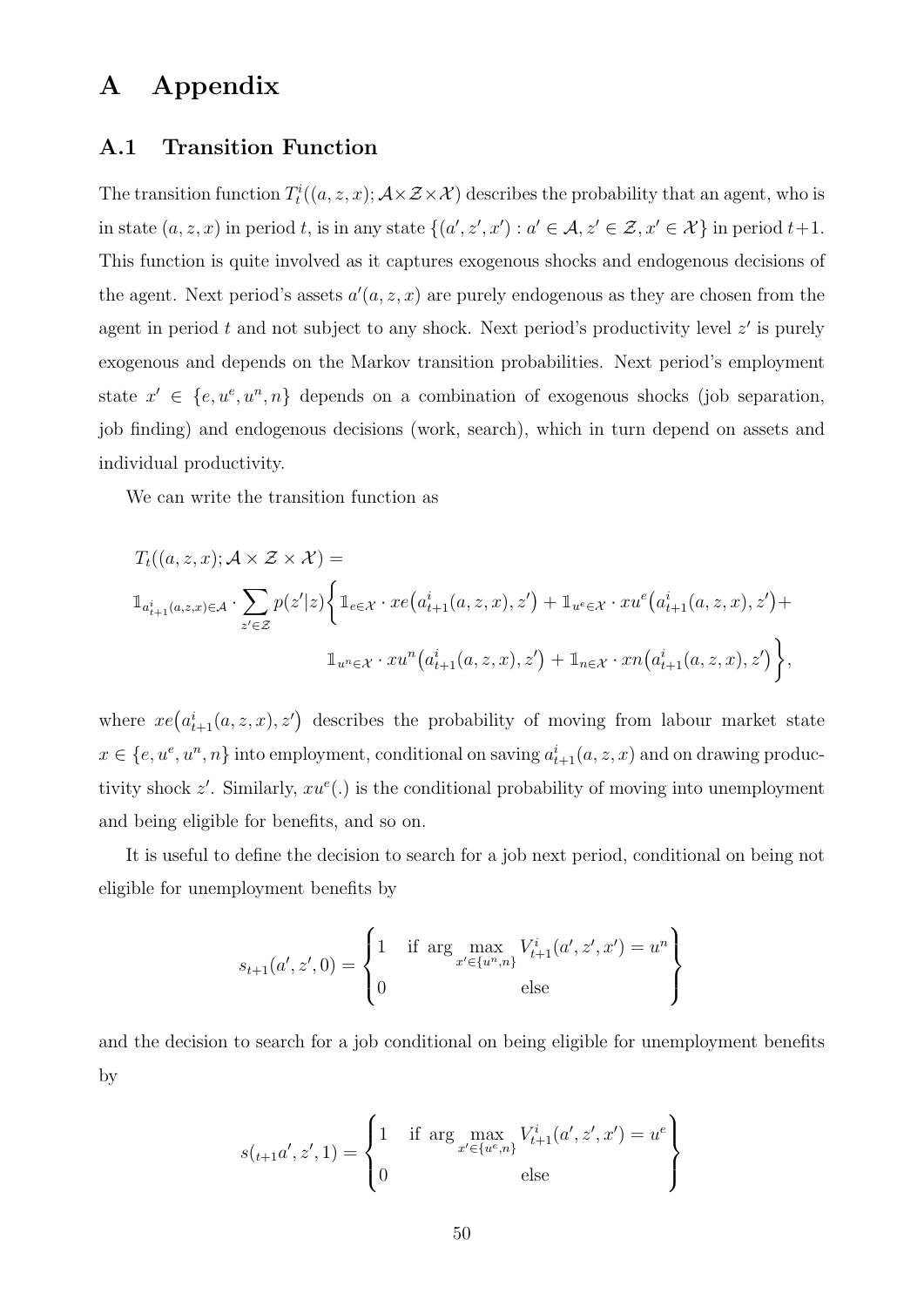# A Appendix

#### A.1 Transition Function

The transition function  $T_t^i((a, z, x); \mathcal{A}\times\mathcal{Z}\times\mathcal{X})$  describes the probability that an agent, who is in state  $(a, z, x)$  in period t, is in any state  $\{(a', z', x') : a' \in A, z' \in \mathcal{Z}, x' \in \mathcal{X}\}\$ in period  $t+1$ . This function is quite involved as it captures exogenous shocks and endogenous decisions of the agent. Next period's assets  $a'(a, z, x)$  are purely endogenous as they are chosen from the agent in period  $t$  and not subject to any shock. Next period's productivity level  $z'$  is purely exogenous and depends on the Markov transition probabilities. Next period's employment state  $x' \in \{e, u^e, u^n, n\}$  depends on a combination of exogenous shocks (job separation, job finding) and endogenous decisions (work, search), which in turn depend on assets and individual productivity.

We can write the transition function as

$$
T_t((a, z, x); \mathcal{A} \times \mathcal{Z} \times \mathcal{X}) =
$$
  

$$
\mathbb{1}_{a_{t+1}^i(a, z, x) \in \mathcal{A}} \cdot \sum_{z' \in \mathcal{Z}} p(z'|z) \Big\{ \mathbb{1}_{e \in \mathcal{X}} \cdot xe\big(a_{t+1}^i(a, z, x), z'\big) + \mathbb{1}_{u^e \in \mathcal{X}} \cdot xu^e\big(a_{t+1}^i(a, z, x), z'\big) +
$$
  

$$
\mathbb{1}_{u^n \in \mathcal{X}} \cdot xu^n\big(a_{t+1}^i(a, z, x), z'\big) + \mathbb{1}_{n \in \mathcal{X}} \cdot xn\big(a_{t+1}^i(a, z, x), z'\big) \Big\},
$$

where  $xe(a_{t+1}^i(a, z, x), z')$  describes the probability of moving from labour market state  $x \in \{e, u^e, u^n, n\}$  into employment, conditional on saving  $a_{t+1}^i(a, z, x)$  and on drawing productivity shock  $z'$ . Similarly,  $xu^e(.)$  is the conditional probability of moving into unemployment and being eligible for benefits, and so on.

It is useful to define the decision to search for a job next period, conditional on being not eligible for unemployment benefits by

$$
s_{t+1}(a', z', 0) = \begin{cases} 1 & \text{if } \arg \max_{x' \in \{u^n, n\}} V_{t+1}^i(a', z', x') = u^n \\ 0 & \text{else} \end{cases}
$$

and the decision to search for a job conditional on being eligible for unemployment benefits by

$$
s_{t+1}a', z', 1) = \begin{cases} 1 & \text{if } \arg \max_{x' \in \{u^e, n\}} V_{t+1}^i(a', z', x') = u^e \\ 0 & \text{else} \end{cases}
$$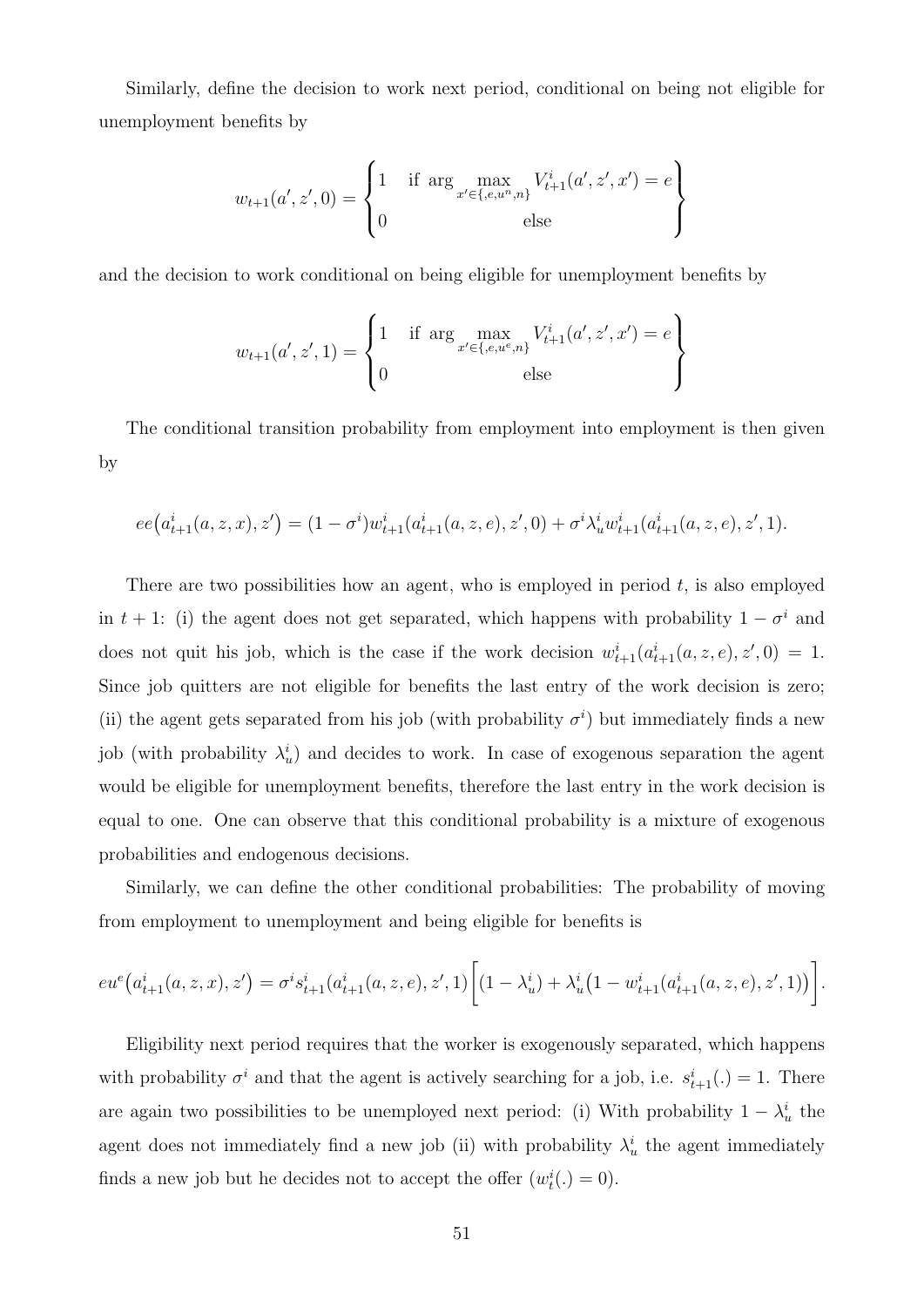Similarly, define the decision to work next period, conditional on being not eligible for unemployment benefits by

$$
w_{t+1}(a', z', 0) = \begin{cases} 1 & \text{if } \arg \max_{x' \in \{e, u^n, n\}} V_{t+1}^i(a', z', x') = e \\ 0 & \text{else} \end{cases}
$$

and the decision to work conditional on being eligible for unemployment benefits by

$$
w_{t+1}(a', z', 1) = \begin{cases} 1 & \text{if } \arg \max_{x' \in \{e, u^e, n\}} V_{t+1}^i(a', z', x') = e \\ 0 & \text{else} \end{cases}
$$

The conditional transition probability from employment into employment is then given by

$$
ee(a_{t+1}^i(a,z,x),z') = (1-\sigma^i)w_{t+1}^i(a_{t+1}^i(a,z,e),z',0) + \sigma^i\lambda_u^i w_{t+1}^i(a_{t+1}^i(a,z,e),z',1).
$$

There are two possibilities how an agent, who is employed in period  $t$ , is also employed in t + 1: (i) the agent does not get separated, which happens with probability  $1 - \sigma^i$  and does not quit his job, which is the case if the work decision  $w_{t+1}^i(a_{t+1}^i(a,z,e), z', 0) = 1$ . Since job quitters are not eligible for benefits the last entry of the work decision is zero; (ii) the agent gets separated from his job (with probability  $\sigma^i$ ) but immediately finds a new job (with probability  $\lambda_u^i$ ) and decides to work. In case of exogenous separation the agent would be eligible for unemployment benefits, therefore the last entry in the work decision is equal to one. One can observe that this conditional probability is a mixture of exogenous probabilities and endogenous decisions.

Similarly, we can define the other conditional probabilities: The probability of moving from employment to unemployment and being eligible for benefits is

$$
eu^{e}(a_{t+1}^{i}(a,z,x),z') = \sigma^{i}s_{t+1}^{i}(a_{t+1}^{i}(a,z,e),z',1)\bigg[(1-\lambda_{u}^{i}) + \lambda_{u}^{i}(1-w_{t+1}^{i}(a_{t+1}^{i}(a,z,e),z',1))\bigg].
$$

Eligibility next period requires that the worker is exogenously separated, which happens with probability  $\sigma^i$  and that the agent is actively searching for a job, i.e.  $s_{t+1}^i(.) = 1$ . There are again two possibilities to be unemployed next period: (i) With probability  $1 - \lambda_u^i$  the agent does not immediately find a new job (ii) with probability  $\lambda_u^i$  the agent immediately finds a new job but he decides not to accept the offer  $(w_t^i(.) = 0)$ .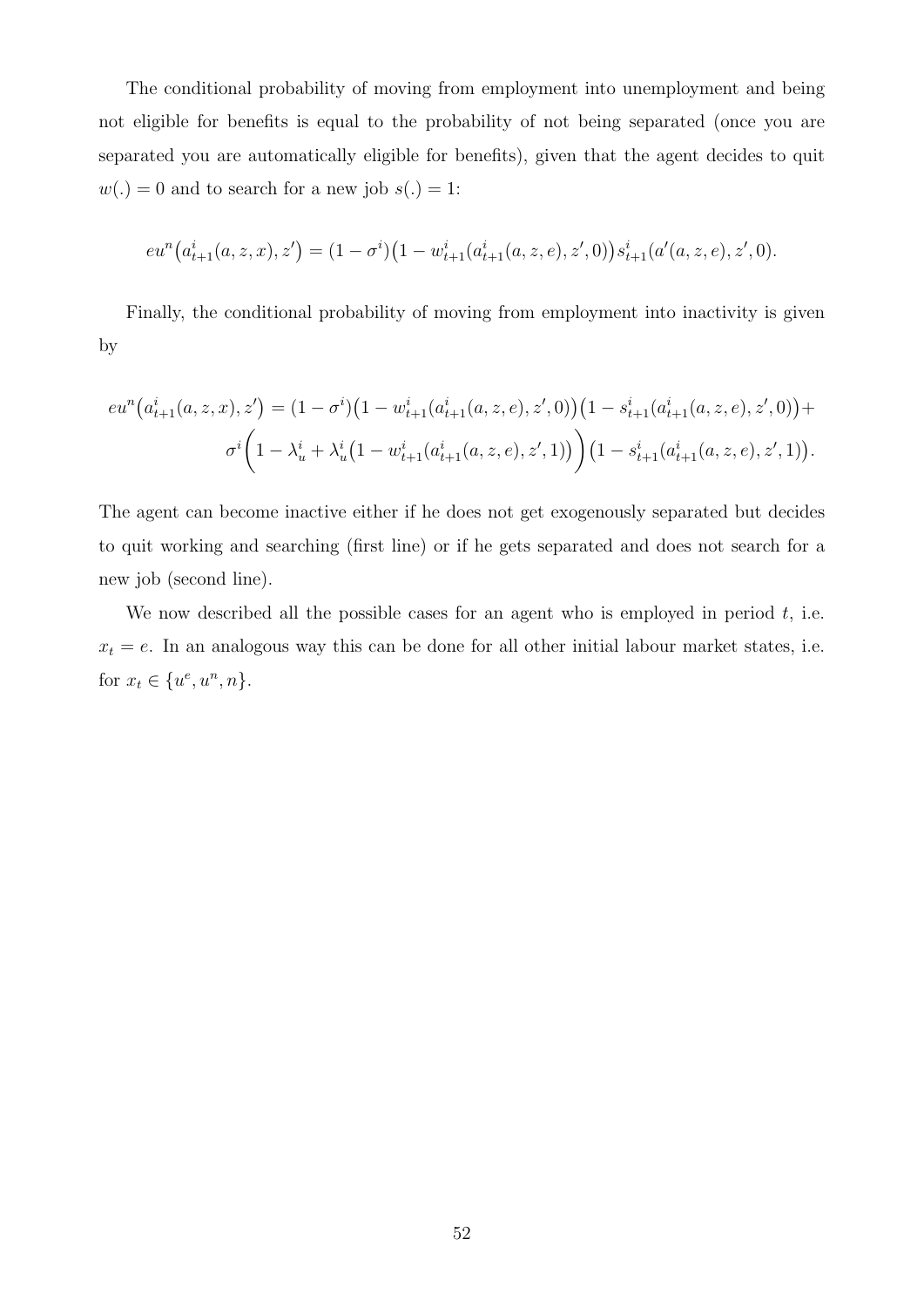The conditional probability of moving from employment into unemployment and being not eligible for benefits is equal to the probability of not being separated (once you are separated you are automatically eligible for benefits), given that the agent decides to quit  $w(.) = 0$  and to search for a new job  $s(.) = 1$ :

$$
eu^n\big(a_{t+1}^i(a,z,x),z'\big)=(1-\sigma^i)\big(1-w_{t+1}^i(a_{t+1}^i(a,z,e),z',0)\big)s_{t+1}^i(a'(a,z,e),z',0).
$$

Finally, the conditional probability of moving from employment into inactivity is given by

$$
eu^{n}(a_{t+1}^{i}(a,z,x),z') = (1-\sigma^{i})(1-w_{t+1}^{i}(a_{t+1}^{i}(a,z,e),z',0))(1-s_{t+1}^{i}(a_{t+1}^{i}(a,z,e),z',0)) + \sigma^{i}\left(1-\lambda_{u}^{i}+\lambda_{u}^{i}(1-w_{t+1}^{i}(a_{t+1}^{i}(a,z,e),z',1))\right)(1-s_{t+1}^{i}(a_{t+1}^{i}(a,z,e),z',1)).
$$

The agent can become inactive either if he does not get exogenously separated but decides to quit working and searching (first line) or if he gets separated and does not search for a new job (second line).

We now described all the possible cases for an agent who is employed in period  $t$ , i.e.  $x_t = e$ . In an analogous way this can be done for all other initial labour market states, i.e. for  $x_t \in \{u^e, u^n, n\}.$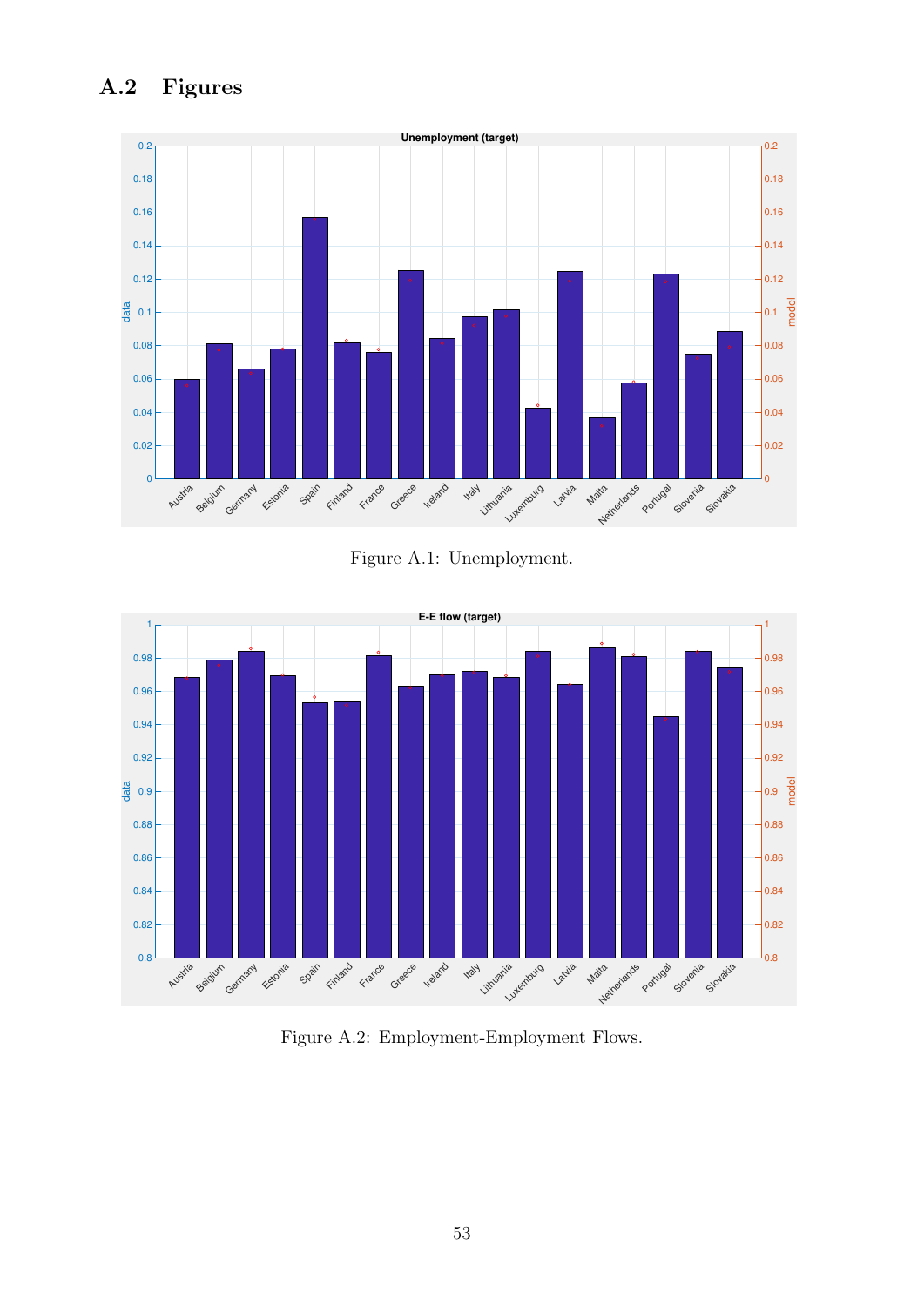# A.2 Figures



Figure A.1: Unemployment.



Figure A.2: Employment-Employment Flows.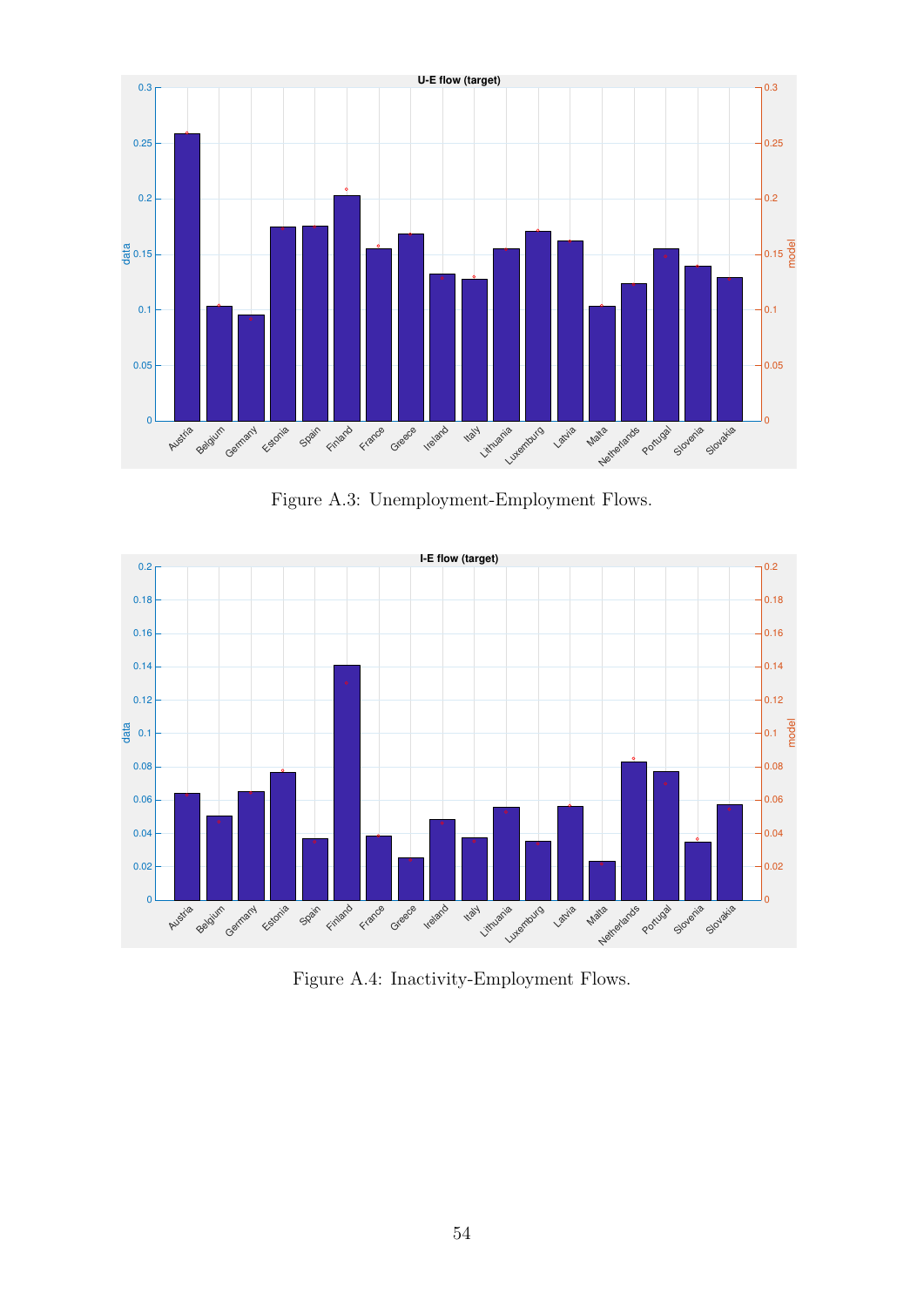

Figure A.3: Unemployment-Employment Flows.



Figure A.4: Inactivity-Employment Flows.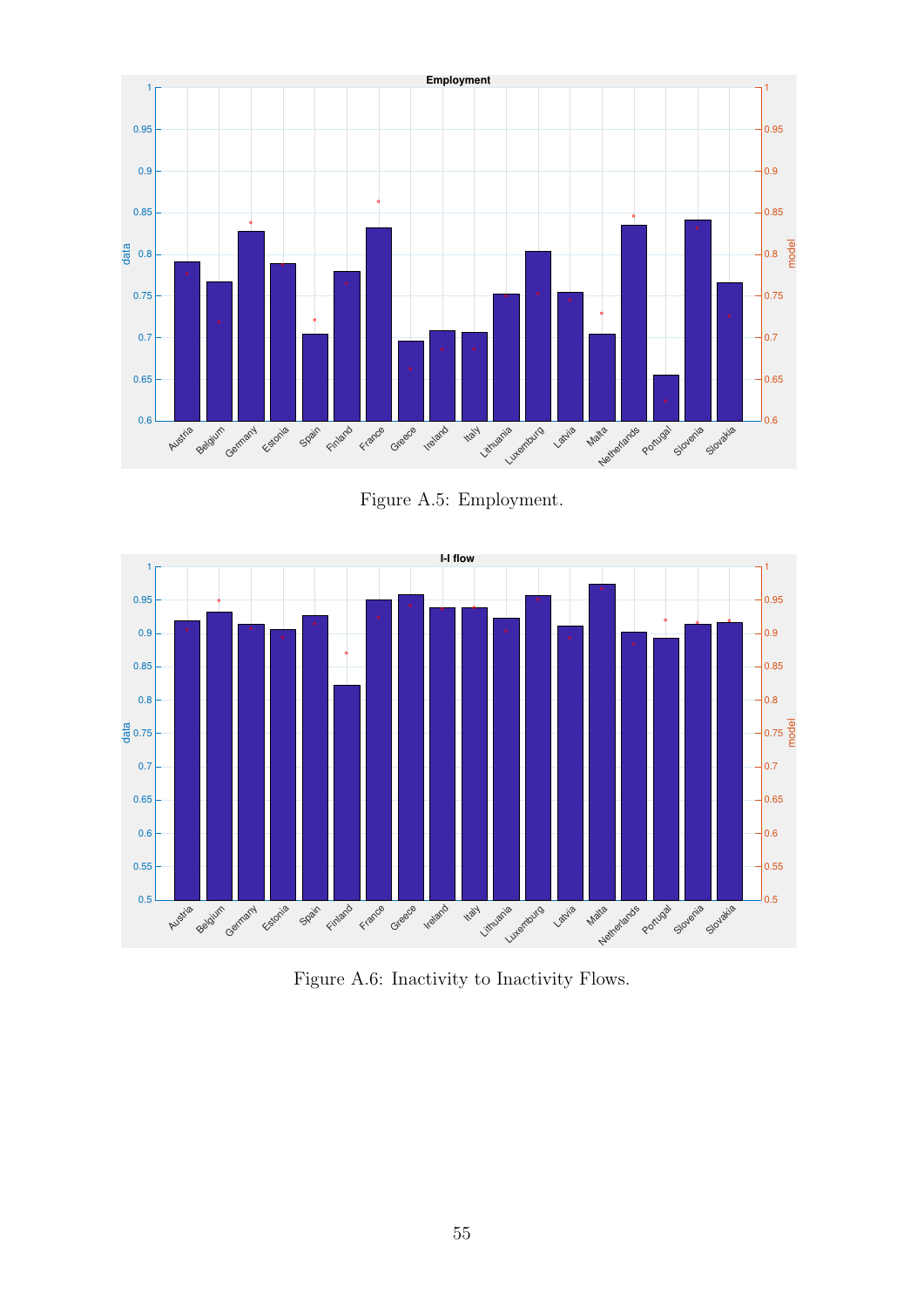

Figure A.5: Employment.



Figure A.6: Inactivity to Inactivity Flows.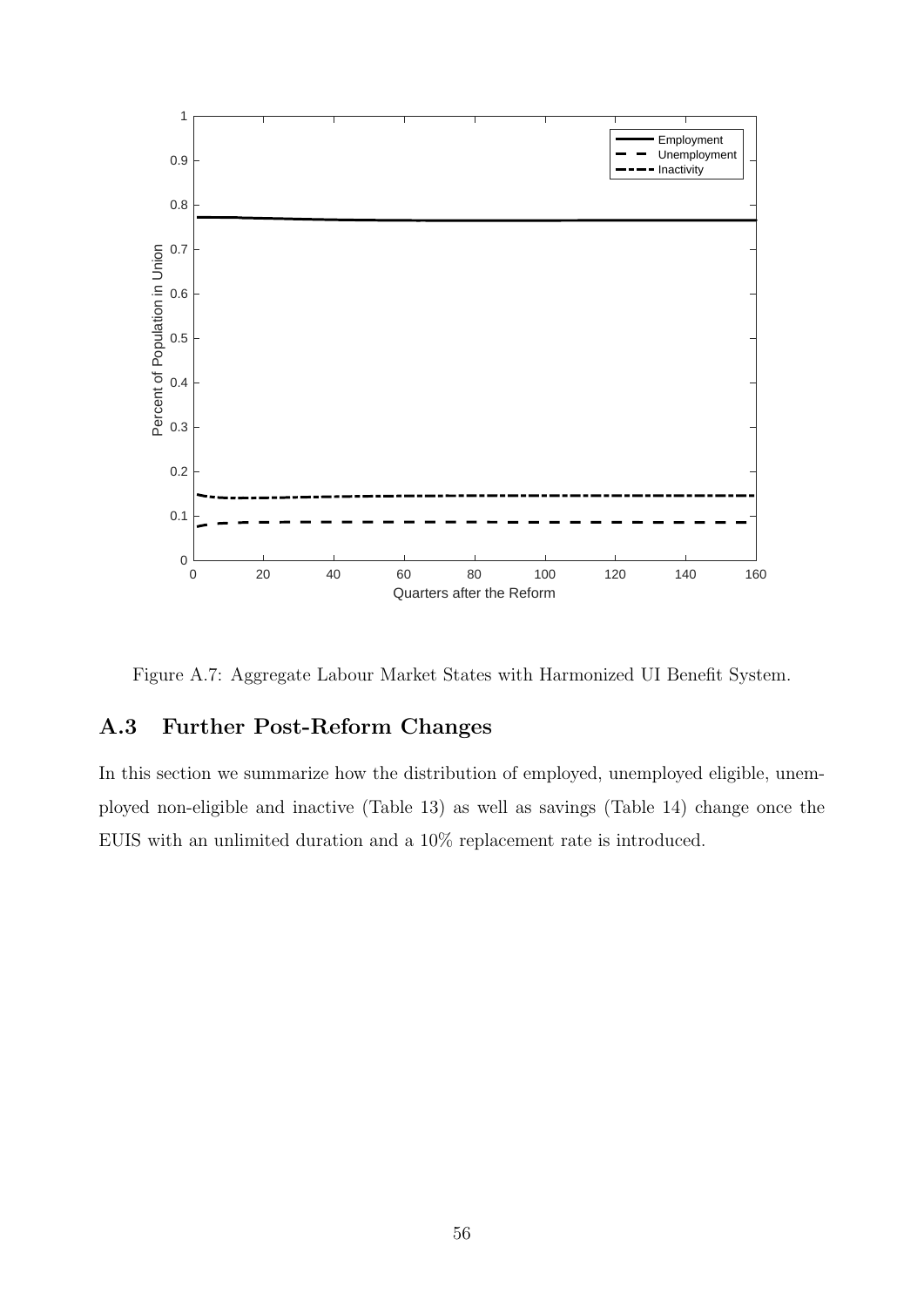

Figure A.7: Aggregate Labour Market States with Harmonized UI Benefit System.

### A.3 Further Post-Reform Changes

In this section we summarize how the distribution of employed, unemployed eligible, unemployed non-eligible and inactive (Table [13\)](#page-56-0) as well as savings (Table [14\)](#page-57-0) change once the EUIS with an unlimited duration and a 10% replacement rate is introduced.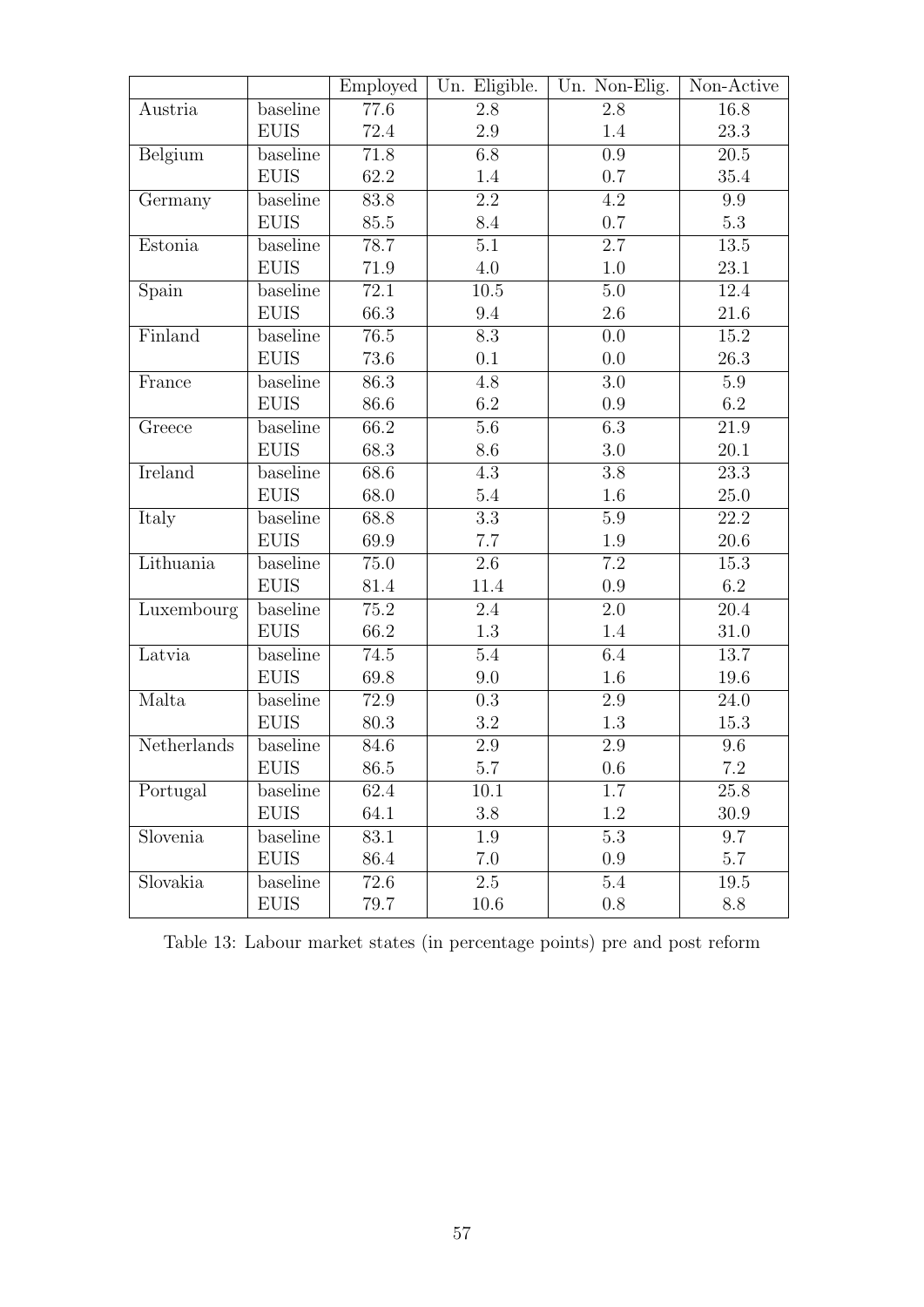|             |              | Employed          | Un. Eligible.    | Un. Non-Elig.    | Non-Active        |
|-------------|--------------|-------------------|------------------|------------------|-------------------|
| Austria     | baseline     | 77.6              | 2.8              | 2.8              | 16.8              |
|             | <b>EUIS</b>  | 72.4              | $2.9\,$          | 1.4              | 23.3              |
| Belgium     | baseline     | 71.8              | 6.8              | 0.9              | $20.5\,$          |
|             | <b>EUIS</b>  | 62.2              | 1.4              | 0.7              | 35.4              |
| Germany     | baseline     | 83.8              | 2.2              | 4.2              | 9.9               |
|             | <b>EUIS</b>  | 85.5              | 8.4              | 0.7              | 5.3               |
| Estonia     | baseline     | 78.7              | 5.1              | $\overline{2.7}$ | 13.5              |
|             | <b>EUIS</b>  | 71.9              | $4.0\,$          | 1.0              | 23.1              |
| Spain       | baseline     | 72.1              | 10.5             | $5.0\,$          | 12.4              |
|             | <b>EUIS</b>  | 66.3              | 9.4              | $2.6\,$          | 21.6              |
| Finland     | baseline     | $\overline{76.5}$ | 8.3              | 0.0              | 15.2              |
|             | <b>EUIS</b>  | 73.6              | 0.1              | 0.0              | 26.3              |
| France      | baseline     | 86.3              | 4.8              | 3.0              | 5.9               |
|             | <b>EUIS</b>  | 86.6              | 6.2              | 0.9              | 6.2               |
| Greece      | baseline     | 66.2              | 5.6              | $\overline{6.3}$ | $21.9\,$          |
|             | <b>EUIS</b>  | 68.3              | 8.6              | $3.0\,$          | 20.1              |
| Ireland     | baseline     | 68.6              | 4.3              | 3.8              | 23.3              |
|             | <b>EUIS</b>  | 68.0              | 5.4              | 1.6              | $25.0\,$          |
| Italy       | baseline     | 68.8              | $\overline{3.3}$ | $5.9\,$          | $\overline{22.2}$ |
|             | <b>EUIS</b>  | 69.9              | 7.7              | 1.9              | $20.6\,$          |
| Lithuania   | baseline     | 75.0              | 2.6              | $\overline{7.2}$ | 15.3              |
|             | <b>EUIS</b>  | 81.4              | 11.4             | 0.9              | 6.2               |
| Luxembourg  | baseline     | 75.2              | 2.4              | 2.0              | 20.4              |
|             | <b>EUIS</b>  | 66.2              | 1.3              | 1.4              | $31.0\,$          |
| Latvia      | baseline     | 74.5              | 5.4              | 6.4              | 13.7              |
|             | <b>EUIS</b>  | 69.8              | 9.0              | $1.6\,$          | 19.6              |
| Malta       | baseline     | 72.9              | 0.3              | 2.9              | 24.0              |
|             | <b>EUIS</b>  | $80.3\,$          | $3.2\,$          | $1.3\,$          | 15.3              |
| Netherlands | baseline     | 84.6              | $2.9\,$          | 2.9              | 9.6               |
|             | EUIS         | 86.5              | $5.7\,$          | $0.6\,$          | $7.2\,$           |
| Portugal    | baseline     | 62.4              | 10.1             | 1.7              | 25.8              |
|             | <b>EUIS</b>  | 64.1              | 3.8              | 1.2              | 30.9              |
| Slovenia    | baseline     | 83.1              | 1.9              | 5.3              | 9.7               |
|             | <b>EUIS</b>  | 86.4              | 7.0              | 0.9              | $5.7\,$           |
| Slovakia    | baseline     | 72.6              | $2.5\,$          | 5.4              | 19.5              |
|             | ${\rm EUIS}$ | 79.7              | 10.6             | $0.8\,$          | 8.8               |

<span id="page-56-0"></span>Table 13: Labour market states (in percentage points) pre and post reform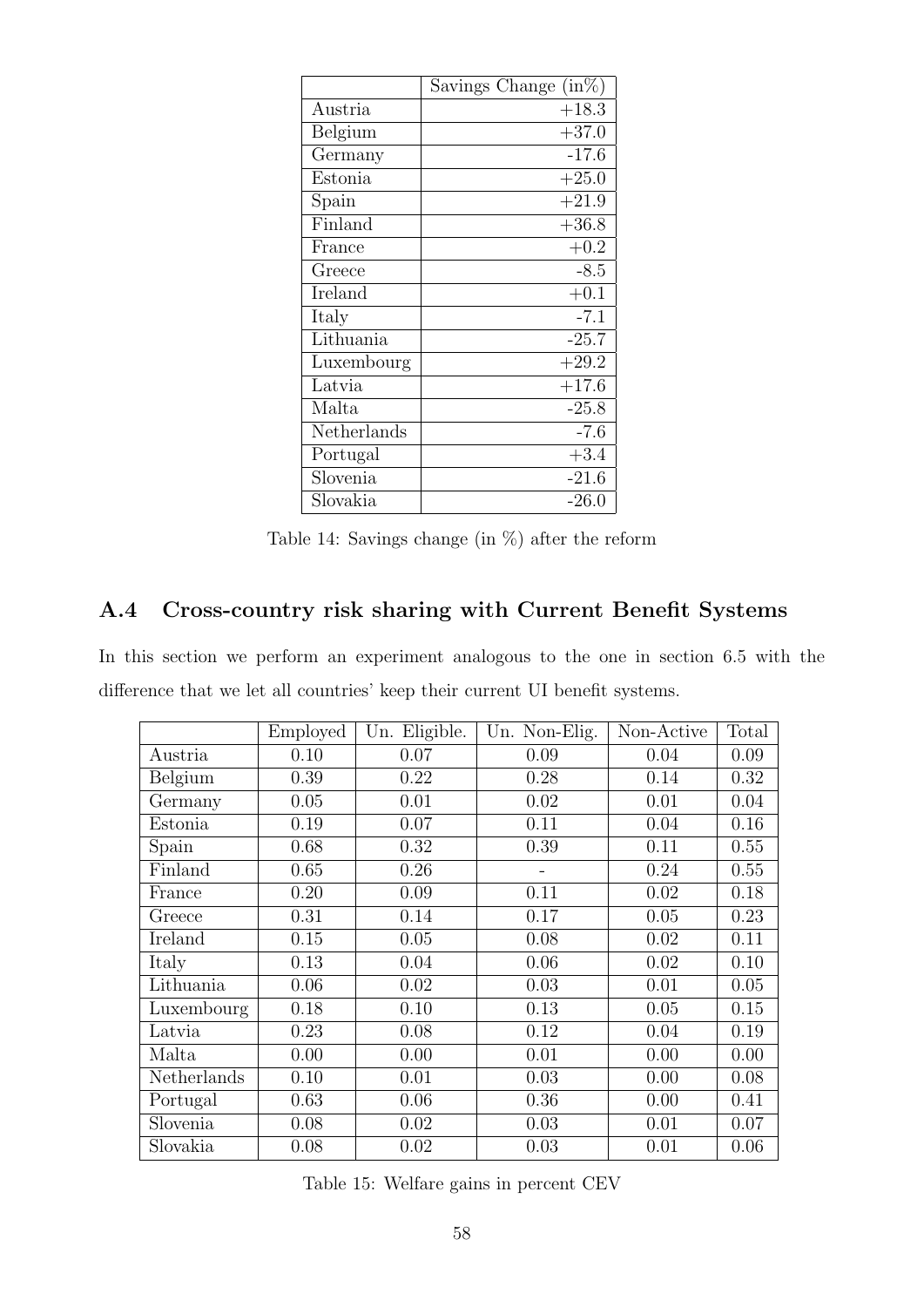<span id="page-57-0"></span>

|             | $(in\%)$<br>Savings Change |
|-------------|----------------------------|
| Austria     | $+18.3$                    |
| Belgium     | $+37.0$                    |
| Germany     | $-17.6$                    |
| Estonia     | $+25.0$                    |
| Spain       | $+21.9$                    |
| Finland     | $+36.8$                    |
| France      | $+0.2$                     |
| Greece      | $-8.5$                     |
| Ireland     | $+0.1$                     |
| Italy       | $-7.1$                     |
| Lithuania   | $-25.7$                    |
| Luxembourg  | $+29.2$                    |
| Latvia      | $+17.6$                    |
| Malta       | $-25.8$                    |
| Netherlands | $-7.6$                     |
| Portugal    | $+3.4$                     |
| Slovenia    | $-21.6$                    |
| Slovakia    | $-26.0$                    |

Table 14: Savings change (in %) after the reform

# <span id="page-57-1"></span>A.4 Cross-country risk sharing with Current Benefit Systems

In this section we perform an experiment analogous to the one in section [6.5](#page-37-0) with the difference that we let all countries' keep their current UI benefit systems.

|             | Employed | Un. Eligible. | Un. Non-Elig. | Non-Active | Total |
|-------------|----------|---------------|---------------|------------|-------|
| Austria     | 0.10     | 0.07          | 0.09          | 0.04       | 0.09  |
| Belgium     | 0.39     | 0.22          | 0.28          | 0.14       | 0.32  |
| Germany     | 0.05     | 0.01          | 0.02          | 0.01       | 0.04  |
| Estonia     | 0.19     | 0.07          | 0.11          | 0.04       | 0.16  |
| Spain       | 0.68     | 0.32          | 0.39          | 0.11       | 0.55  |
| Finland     | 0.65     | 0.26          |               | 0.24       | 0.55  |
| France      | 0.20     | 0.09          | 0.11          | 0.02       | 0.18  |
| Greece      | 0.31     | 0.14          | 0.17          | 0.05       | 0.23  |
| Ireland     | 0.15     | 0.05          | 0.08          | 0.02       | 0.11  |
| Italy       | 0.13     | 0.04          | 0.06          | 0.02       | 0.10  |
| Lithuania   | 0.06     | 0.02          | 0.03          | 0.01       | 0.05  |
| Luxembourg  | 0.18     | 0.10          | 0.13          | 0.05       | 0.15  |
| Latvia      | 0.23     | 0.08          | 0.12          | 0.04       | 0.19  |
| Malta       | 0.00     | 0.00          | 0.01          | 0.00       | 0.00  |
| Netherlands | 0.10     | 0.01          | 0.03          | 0.00       | 0.08  |
| Portugal    | 0.63     | 0.06          | 0.36          | 0.00       | 0.41  |
| Slovenia    | 0.08     | 0.02          | 0.03          | 0.01       | 0.07  |
| Slovakia    | 0.08     | 0.02          | 0.03          | 0.01       | 0.06  |

Table 15: Welfare gains in percent CEV